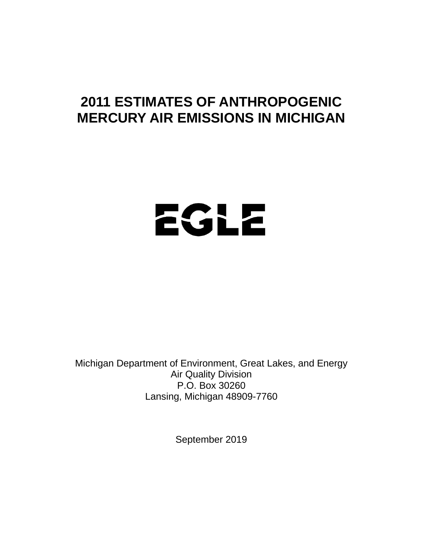# **2011 ESTIMATES OF ANTHROPOGENIC MERCURY AIR EMISSIONS IN MICHIGAN**

# EGLE

Michigan Department of Environment, Great Lakes, and Energy Air Quality Division P.O. Box 30260 Lansing, Michigan 48909-7760

September 2019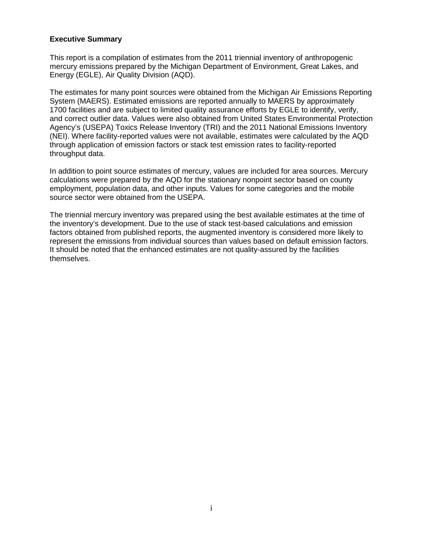#### **Executive Summary**

This report is a compilation of estimates from the 2011 triennial inventory of anthropogenic mercury emissions prepared by the Michigan Department of Environment, Great Lakes, and Energy (EGLE), Air Quality Division (AQD).

The estimates for many point sources were obtained from the Michigan Air Emissions Reporting System (MAERS). Estimated emissions are reported annually to MAERS by approximately 1700 facilities and are subject to limited quality assurance efforts by EGLE to identify, verify, and correct outlier data. Values were also obtained from United States Environmental Protection Agency's (USEPA) Toxics Release Inventory (TRI) and the 2011 National Emissions Inventory (NEI). Where facility-reported values were not available, estimates were calculated by the AQD through application of emission factors or stack test emission rates to facility-reported throughput data.

In addition to point source estimates of mercury, values are included for area sources. Mercury calculations were prepared by the AQD for the stationary nonpoint sector based on county employment, population data, and other inputs. Values for some categories and the mobile source sector were obtained from the USEPA.

The triennial mercury inventory was prepared using the best available estimates at the time of the inventory's development. Due to the use of stack test-based calculations and emission factors obtained from published reports, the augmented inventory is considered more likely to represent the emissions from individual sources than values based on default emission factors. It should be noted that the enhanced estimates are not quality-assured by the facilities themselves.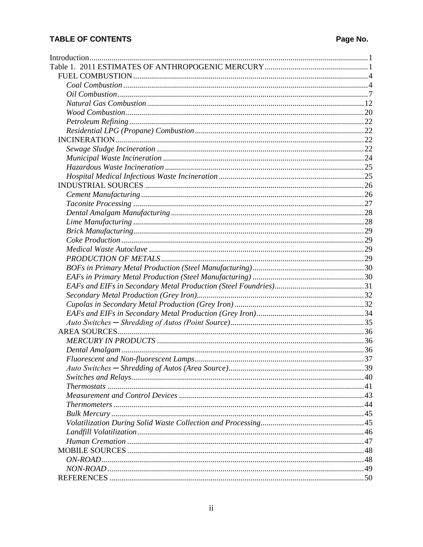# **TABLE OF CONTENTS**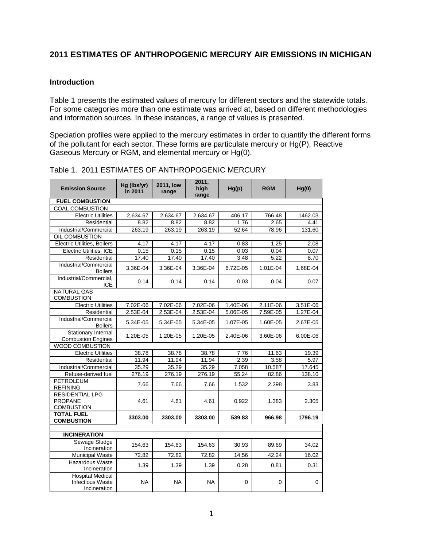# **2011 ESTIMATES OF ANTHROPOGENIC MERCURY AIR EMISSIONS IN MICHIGAN**

#### <span id="page-3-0"></span>**Introduction**

Table 1 presents the estimated values of mercury for different sectors and the statewide totals. For some categories more than one estimate was arrived at, based on different methodologies and information sources. In these instances, a range of values is presented.

Speciation profiles were applied to the mercury estimates in order to quantify the different forms of the pollutant for each sector. These forms are particulate mercury or Hg(P), Reactive Gaseous Mercury or RGM, and elemental mercury or Hg(0).

| <b>Emission Source</b>                                             | Hg (lbs/yr)<br>in 2011 | <b>2011, low</b><br>range | 2011.<br>high<br>range | Hg(p)    | <b>RGM</b> | Hg(0)    |
|--------------------------------------------------------------------|------------------------|---------------------------|------------------------|----------|------------|----------|
| <b>FUEL COMBUSTION</b>                                             |                        |                           |                        |          |            |          |
| COAL COMBUSTION                                                    |                        |                           |                        |          |            |          |
| <b>Electric Utilities</b>                                          | 2,634.67               | 2,634.67                  | 2,634.67               | 406.17   | 766.48     | 1462.03  |
| Residential                                                        | 8.82                   | 8.82                      | 8.82                   | 1.76     | 2.65       | 4.41     |
| Industrial/Commercial                                              | 263.19                 | 263.19                    | 263.19                 | 52.64    | 78.96      | 131.60   |
| OIL COMBUSTION                                                     |                        |                           |                        |          |            |          |
| <b>Electric Utilities, Boilers</b>                                 | 4.17                   | 4.17                      | 4.17                   | 0.83     | 1.25       | 2.08     |
| Electric Utilities, ICE                                            | 0.15                   | 0.15                      | 0.15                   | 0.03     | 0.04       | 0.07     |
| Residential                                                        | 17.40                  | 17.40                     | 17.40                  | 3.48     | 5.22       | 8.70     |
| Industrial/Commercial<br><b>Boilers</b>                            | 3.36E-04               | 3.36E-04                  | 3.36E-04               | 6.72E-05 | 1.01E-04   | 1.68E-04 |
| Industrial/Commercial.<br><b>ICE</b>                               | 0.14                   | 0.14                      | 0.14                   | 0.03     | 0.04       | 0.07     |
| <b>NATURAL GAS</b><br><b>COMBUSTION</b>                            |                        |                           |                        |          |            |          |
| <b>Electric Utilities</b>                                          | 7.02E-06               | 7.02E-06                  | 7.02E-06               | 1.40E-06 | 2.11E-06   | 3.51E-06 |
| Residential                                                        | 2.53E-04               | 2.53E-04                  | 2.53E-04               | 5.06E-05 | 7.59E-05   | 1.27E-04 |
| Industrial/Commercial<br><b>Boilers</b>                            | 5.34E-05               | 5.34E-05                  | 5.34E-05               | 1.07E-05 | 1.60E-05   | 2.67E-05 |
| Stationary Internal<br><b>Combustion Engines</b>                   | 1.20E-05               | 1.20E-05                  | 1.20E-05               | 2.40E-06 | 3.60E-06   | 6.00E-06 |
| <b>WOOD COMBUSTION</b>                                             |                        |                           |                        |          |            |          |
| <b>Electric Utilities</b>                                          | 38.78                  | 38.78                     | 38.78                  | 7.76     | 11.63      | 19.39    |
| Residential                                                        | 11.94                  | 11.94                     | 11.94                  | 2.39     | 3.58       | 5.97     |
| Industrial/Commercial                                              | 35.29                  | 35.29                     | 35.29                  | 7.058    | 10.587     | 17.645   |
| Refuse-derived fuel                                                | 276.19                 | 276.19                    | 276.19                 | 55.24    | 82.86      | 138.10   |
| PETROLEUM<br><b>REFINING</b>                                       | 7.66                   | 7.66                      | 7.66                   | 1.532    | 2.298      | 3.83     |
| <b>RESIDENTIAL LPG</b><br><b>PROPANE</b><br><b>COMBUSTION</b>      | 4.61                   | 4.61                      | 4.61                   | 0.922    | 1.383      | 2.305    |
| <b>TOTAL FUEL</b><br><b>COMBUSTION</b>                             | 3303.00                | 3303.00                   | 3303.00                | 539.83   | 966.98     | 1796.19  |
|                                                                    |                        |                           |                        |          |            |          |
| <b>INCINERATION</b>                                                |                        |                           |                        |          |            |          |
| Sewage Sludge<br>Incineration                                      | 154.63                 | 154.63                    | 154.63                 | 30.93    | 89.69      | 34.02    |
| <b>Municipal Waste</b>                                             | 72.82                  | 72.82                     | 72.82                  | 14.56    | 42.24      | 16.02    |
| <b>Hazardous Waste</b><br>Incineration                             | 1.39                   | 1.39                      | 1.39                   | 0.28     | 0.81       | 0.31     |
| <b>Hospital Medical</b><br><b>Infectious Waste</b><br>Incineration | <b>NA</b>              | <b>NA</b>                 | <b>NA</b>              | 0        | 0          | 0        |

<span id="page-3-1"></span>Table 1. 2011 ESTIMATES OF ANTHROPOGENIC MERCURY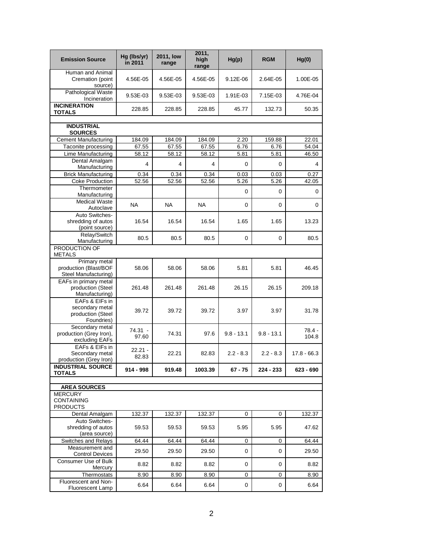| <b>Emission Source</b>                                                        | Hg (lbs/yr)<br>in 2011 | <b>2011, low</b><br>range | 2011,<br>high<br>range | Hg(p)        | <b>RGM</b>   | Hg(0)           |
|-------------------------------------------------------------------------------|------------------------|---------------------------|------------------------|--------------|--------------|-----------------|
| Human and Animal<br>Cremation (point<br>source)                               | 4.56E-05               | 4.56E-05                  | 4.56E-05               | 9.12E-06     | 2.64E-05     | 1.00E-05        |
| Pathological Waste<br>Incineration                                            | 9.53E-03               | 9.53E-03                  | 9.53E-03               | 1.91E-03     | 7.15E-03     | 4.76E-04        |
| <b>INCINERATION</b><br><b>TOTALS</b>                                          | 228.85                 | 228.85                    | 228.85                 | 45.77        | 132.73       | 50.35           |
| <b>INDUSTRIAL</b><br><b>SOURCES</b>                                           |                        |                           |                        |              |              |                 |
| <b>Cement Manufacturing</b>                                                   | 184.09                 | 184.09                    | 184.09                 | 2.20         | 159.88       | 22.01           |
| Taconite processing                                                           | 67.55                  | 67.55                     | 67.55                  | 6.76         | 6.76         | 54.04           |
| Lime Manufacturing                                                            | 58.12                  | 58.12                     | 58.12                  | 5.81         | 5.81         | 46.50           |
| Dental Amalgam                                                                | 4                      | 4                         | 4                      | $\mathbf 0$  | 0            | 4               |
| Manufacturing<br><b>Brick Manufacturing</b>                                   | 0.34                   | 0.34                      | 0.34                   | 0.03         | 0.03         | 0.27            |
| <b>Coke Production</b>                                                        | 52.56                  | 52.56                     | 52.56                  | 5.26         | 5.26         | 42.05           |
| Thermometer                                                                   |                        |                           |                        |              |              |                 |
| Manufacturing                                                                 |                        |                           |                        | $\mathbf 0$  | 0            | 0               |
| <b>Medical Waste</b><br>Autoclave                                             | <b>NA</b>              | <b>NA</b>                 | <b>NA</b>              | $\mathbf 0$  | 0            | 0               |
| Auto Switches-<br>shredding of autos<br>(point source)                        | 16.54                  | 16.54                     | 16.54                  | 1.65         | 1.65         | 13.23           |
| Relay/Switch<br>Manufacturing                                                 | 80.5                   | 80.5                      | 80.5                   | 0            | 0            | 80.5            |
| PRODUCTION OF<br><b>METALS</b>                                                |                        |                           |                        |              |              |                 |
| Primary metal<br>production (Blast/BOF<br>Steel Manufacturing)                | 58.06                  | 58.06                     | 58.06                  | 5.81         | 5.81         | 46.45           |
| EAFs in primary metal<br>production (Steel<br>Manufacturing)                  | 261.48                 | 261.48                    | 261.48                 | 26.15        | 26.15        | 209.18          |
| EAFs & EIFs in<br>secondary metal<br>production (Steel<br>Foundries)          | 39.72                  | 39.72                     | 39.72                  | 3.97         | 3.97         | 31.78           |
| Secondary metal<br>production (Grey Iron),<br>excluding EAFs                  | 74.31 -<br>97.60       | 74.31                     | 97.6                   | $9.8 - 13.1$ | $9.8 - 13.1$ | 78.4 -<br>104.8 |
| EAFs & EIFs in<br>Secondary metal<br>production (Grey Iron)                   | $22.21 -$<br>82.83     | 22.21                     | 82.83                  | $2.2 - 8.3$  | $2.2 - 8.3$  | $17.8 - 66.3$   |
| <b>INDUSTRIAL SOURCE</b><br><b>TOTALS</b>                                     | $914 - 998$            | 919.48                    | 1003.39                | $67 - 75$    | 224 - 233    | 623 - 690       |
|                                                                               |                        |                           |                        |              |              |                 |
| <b>AREA SOURCES</b><br><b>MERCURY</b><br><b>CONTAINING</b><br><b>PRODUCTS</b> |                        |                           |                        |              |              |                 |
| Dental Amalgam                                                                | 132.37                 | 132.37                    | 132.37                 | 0            | 0            | 132.37          |
| Auto Switches-<br>shredding of autos                                          | 59.53                  | 59.53                     | 59.53                  | 5.95         | 5.95         | 47.62           |
| (area source)<br>Switches and Relays                                          | 64.44                  | 64.44                     | 64.44                  | 0            | 0            | 64.44           |
| Measurement and                                                               |                        |                           |                        |              |              |                 |
| <b>Control Devices</b>                                                        | 29.50                  | 29.50                     | 29.50                  | 0            | 0            | 29.50           |
| Consumer Use of Bulk<br>Mercury                                               | 8.82                   | 8.82                      | 8.82                   | 0            | 0            | 8.82            |
| Thermostats                                                                   | 8.90                   | 8.90                      | 8.90                   | 0            | 0            | 8.90            |
| Fluorescent and Non-<br>Fluorescent Lamp                                      | 6.64                   | 6.64                      | 6.64                   | 0            | 0            | 6.64            |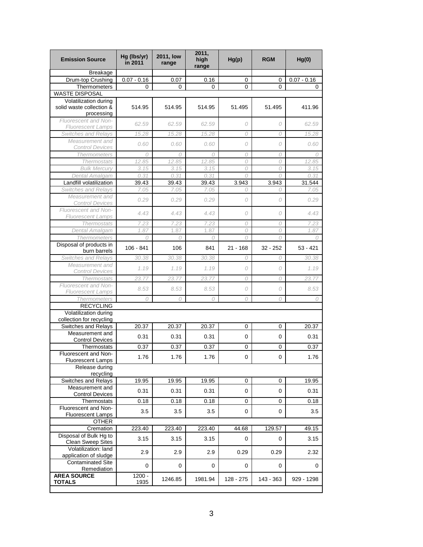| <b>Emission Source</b>                             | Hg (lbs/yr)<br>in 2011 | <b>2011, low</b><br>range | 2011,<br>high<br>range | Hg(p)      | <b>RGM</b>  | Hg(0)          |
|----------------------------------------------------|------------------------|---------------------------|------------------------|------------|-------------|----------------|
| <b>Breakage</b>                                    |                        |                           |                        |            |             |                |
| Drum-top Crushing                                  | $0.07 - 0.16$          | 0.07                      | 0.16                   | 0          | 0           | $0.07 - 0.16$  |
| Thermometers<br><b>WASTE DISPOSAL</b>              | 0                      | 0                         | 0                      | 0          | 0           | 0              |
| Volatilization during                              |                        |                           |                        |            |             |                |
| solid waste collection &<br>processing             | 514.95                 | 514.95                    | 514.95                 | 51.495     | 51.495      | 411.96         |
| Fluorescent and Non-<br><b>Fluorescent Lamps</b>   | 62.59                  | 62.59                     | 62.59                  | 0          | 0           | 62.59          |
| <b>Switches and Relays</b>                         | 15.28                  | 15.28                     | 15.28                  | 0          | 0           | 15.28          |
| Measurement and<br><b>Control Devices</b>          | 0.60                   | 0.60                      | 0.60                   | 0          | 0           | 0.60           |
| <b>Thermometers</b>                                | 0                      | 0                         | 0                      | 0          | 0           | 0              |
| <b>Thermostats</b>                                 | 12.85                  | 12.85                     | 12.85                  | 0          | 0           | 12.85          |
| <b>Bulk Mercury</b>                                | 3.15<br>0.31           | 3.15                      | 3.15<br>0.31           | 0<br>0     | 0<br>0      | 3.15           |
| Dental Amalgam<br>Landfill volatilization          | 39.43                  | 0.31<br>39.43             | 39.43                  | 3.943      | 3.943       | 0.31<br>31.544 |
| <b>Switches and Relays</b>                         | 7.05                   | 7.05                      | 7.05                   | 0          | 0           | 7.05           |
| Measurement and<br><b>Control Devices</b>          | 0.29                   | 0.29                      | 0.29                   | 0          | 0           | 0.29           |
| Fluorescent and Non-                               | 4.43                   | 4.43                      | 4.43                   | 0          | 0           | 4.43           |
| <b>Fluorescent Lamps</b><br><b>Thermostats</b>     | 7.23                   | 7.23                      | 7.23                   | 0          | 0           | 7.23           |
| Dental Amalgam                                     | 1.87                   | 1.87                      | 1.87                   | 0          | 0           | 1.87           |
| <b>Thermometers</b>                                | 0                      | 0                         | 0                      | 0          | 0           | 0              |
| Disposal of products in<br>burn barrels            | $106 - 841$            | 106                       | 841                    | $21 - 168$ | $32 - 252$  | $53 - 421$     |
| Switches and Relays                                | 30.38                  | 30.38                     | 30.38                  | 0          | 0           | 30.38          |
| Measurement and<br><b>Control Devices</b>          | 1.19                   | 1.19                      | 1.19                   | 0          | 0           | 1.19           |
| <b>Thermostats</b>                                 | 23.77                  | 23.77                     | 23.77                  | 0          | 0           | 23.77          |
| Fluorescent and Non-<br><b>Fluorescent Lamps</b>   | 8.53                   | 8.53                      | 8.53                   | 0          | 0           | 8.53           |
| Thermometers                                       | 0                      | 0                         | 0                      | 0          | 0           | 0              |
| <b>RECYCLING</b>                                   |                        |                           |                        |            |             |                |
| Volatilization during<br>collection for recycling  |                        |                           |                        |            |             |                |
| Switches and Relays                                | 20.37                  | 20.37                     | 20.37                  | 0          | 0           | 20.37          |
| Measurement and<br><b>Control Devices</b>          | 0.31                   | 0.31                      | 0.31                   | 0          | 0           | 0.31           |
| Thermostats                                        | 0.37                   | 0.37                      | 0.37                   | 0          | 0           | 0.37           |
| Fluorescent and Non-<br><b>Fluorescent Lamps</b>   | 1.76                   | 1.76                      | 1.76                   | 0          | 0           | 1.76           |
| Release during<br>recycling                        |                        |                           |                        |            |             |                |
| Switches and Relays                                | 19.95                  | 19.95                     | 19.95                  | 0          | 0           | 19.95          |
| Measurement and<br><b>Control Devices</b>          | 0.31                   | 0.31                      | 0.31                   | 0          | 0           | 0.31           |
| Thermostats                                        | 0.18                   | 0.18                      | 0.18                   | 0          | $\mathbf 0$ | 0.18           |
| Fluorescent and Non-<br><b>Fluorescent Lamps</b>   | 3.5                    | 3.5                       | 3.5                    | 0          | 0           | 3.5            |
| <b>OTHER</b>                                       |                        |                           |                        |            |             |                |
| Cremation                                          | 223.40                 | 223.40                    | 223.40                 | 44.68      | 129.57      | 49.15          |
| Disposal of Bulk Hg to<br><b>Clean Sweep Sites</b> | 3.15                   | 3.15                      | 3.15                   | 0          | 0           | 3.15           |
| Volatilization: land<br>application of sludge      | 2.9                    | 2.9                       | 2.9                    | 0.29       | 0.29        | 2.32           |
| <b>Contaminated Site</b><br>Remediation            | 0                      | 0                         | 0                      | 0          | 0           | 0              |
| <b>AREA SOURCE</b><br><b>TOTALS</b>                | $1200 -$<br>1935       | 1246.85                   | 1981.94                | 128 - 275  | 143 - 363   | 929 - 1298     |
|                                                    |                        |                           |                        |            |             |                |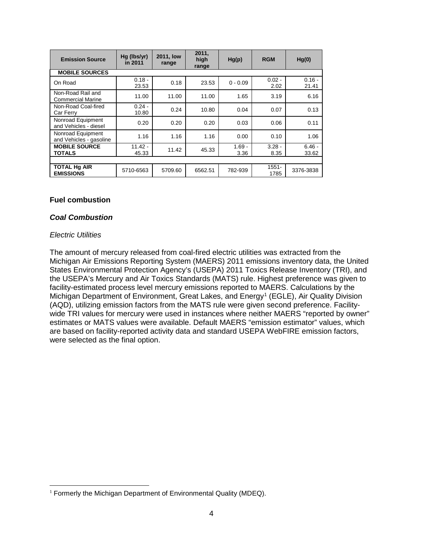| <b>Emission Source</b>                        | $Hq$ (lbs/yr)<br>in 2011 | 2011, low<br>range | 2011,<br>high<br>range | Hg(p)            | <b>RGM</b>       | Hg(0)             |  |  |
|-----------------------------------------------|--------------------------|--------------------|------------------------|------------------|------------------|-------------------|--|--|
| <b>MOBILE SOURCES</b>                         |                          |                    |                        |                  |                  |                   |  |  |
| On Road                                       | $0.18 -$<br>23.53        | 0.18               | 23.53                  | $0 - 0.09$       | $0.02 -$<br>2.02 | $0.16 -$<br>21.41 |  |  |
| Non-Road Rail and<br><b>Commercial Marine</b> | 11.00                    | 11.00              | 11.00                  | 1.65             | 3.19             | 6.16              |  |  |
| Non-Road Coal-fired<br>Car Ferry              | $0.24 -$<br>10.80        | 0.24               | 10.80                  | 0.04             | 0.07             | 0.13              |  |  |
| Nonroad Equipment<br>and Vehicles - diesel    | 0.20                     | 0.20               | 0.20                   | 0.03             | 0.06             | 0.11              |  |  |
| Nonroad Equipment<br>and Vehicles - gasoline  | 1.16                     | 1.16               | 1.16                   | 0.00             | 0.10             | 1.06              |  |  |
| <b>MOBILE SOURCE</b><br><b>TOTALS</b>         | $11.42 -$<br>45.33       | 11.42              | 45.33                  | $1.69 -$<br>3.36 | $3.28 -$<br>8.35 | $6.46 -$<br>33.62 |  |  |
|                                               |                          |                    |                        |                  |                  |                   |  |  |
| <b>TOTAL Hg AIR</b><br><b>EMISSIONS</b>       | 5710-6563                | 5709.60            | 6562.51                | 782-939          | $1551 -$<br>1785 | 3376-3838         |  |  |

#### <span id="page-6-0"></span>**Fuel combustion**

#### <span id="page-6-1"></span>*Coal Combustion*

#### *Electric Utilities*

The amount of mercury released from coal-fired electric utilities was extracted from the Michigan Air Emissions Reporting System (MAERS) 2011 emissions inventory data, the United States Environmental Protection Agency's (USEPA) 2011 Toxics Release Inventory (TRI), and the USEPA's Mercury and Air Toxics Standards (MATS) rule. Highest preference was given to facility-estimated process level mercury emissions reported to MAERS. Calculations by the Michigan Department of Environment, Great Lakes, and Energy<sup>[1](#page-6-2)</sup> (EGLE), Air Quality Division (AQD), utilizing emission factors from the MATS rule were given second preference. Facilitywide TRI values for mercury were used in instances where neither MAERS "reported by owner" estimates or MATS values were available. Default MAERS "emission estimator" values, which are based on facility-reported activity data and standard USEPA WebFIRE emission factors, were selected as the final option.

<span id="page-6-2"></span><sup>&</sup>lt;sup>1</sup> Formerly the Michigan Department of Environmental Quality (MDEQ).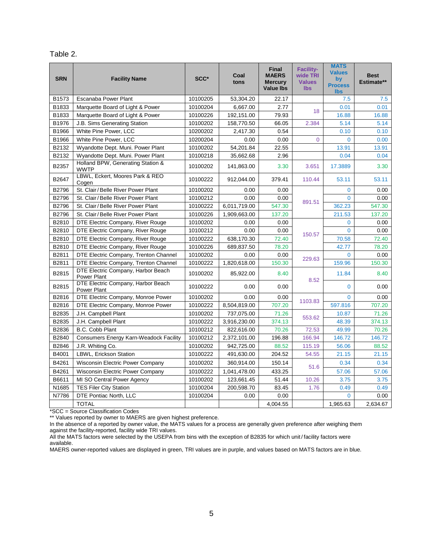| abie |
|------|
|------|

| <b>SRN</b> | <b>Facility Name</b>                                     | SCC*     | Coal<br>tons | <b>Final</b><br><b>MAERS</b><br><b>Mercury</b><br><b>Value lbs</b> | <b>Facility-</b><br>wide TRI<br><b>Values</b><br><b>lbs</b> | <b>MATS</b><br><b>Values</b><br>by<br><b>Process</b><br><b>lbs</b> | <b>Best</b><br>Estimate** |
|------------|----------------------------------------------------------|----------|--------------|--------------------------------------------------------------------|-------------------------------------------------------------|--------------------------------------------------------------------|---------------------------|
| B1573      | Escanaba Power Plant                                     | 10100205 | 53,304.20    | 22.17                                                              |                                                             | 7.5                                                                | 7.5                       |
| B1833      | Marquette Board of Light & Power                         | 10100204 | 6,667.00     | 2.77                                                               |                                                             | 0.01                                                               | 0.01                      |
| B1833      | Marquette Board of Light & Power                         | 10100226 | 192,151.00   | 79.93                                                              | 18                                                          | 16.88                                                              | 16.88                     |
| B1976      | J.B. Sims Generating Station                             | 10100202 | 158,770.50   | 66.05                                                              | 2.384                                                       | 5.14                                                               | 5.14                      |
| B1966      | White Pine Power, LCC                                    | 10200202 | 2,417.30     | 0.54                                                               |                                                             | 0.10                                                               | 0.10                      |
| B1966      | White Pine Power, LCC                                    | 10200204 | 0.00         | 0.00                                                               | $\Omega$                                                    | $\Omega$                                                           | 0.00                      |
| B2132      | Wyandotte Dept. Muni. Power Plant                        | 10100202 | 54,201.84    | 22.55                                                              |                                                             | 13.91                                                              | 13.91                     |
| B2132      | Wyandotte Dept. Muni. Power Plant                        | 10100218 | 35,662.68    | 2.96                                                               |                                                             | 0.04                                                               | 0.04                      |
| B2357      | Holland BPW, Generating Station &<br><b>WWTP</b>         | 10100202 | 141,863.00   | 3.30                                                               | 3.651                                                       | 17.3889                                                            | 3.30                      |
| B2647      | LBWL, Eckert, Moores Park & REO<br>Cogen                 | 10100222 | 912,044.00   | 379.41                                                             | 110.44                                                      | 53.11                                                              | 53.11                     |
| B2796      | St. Clair/Belle River Power Plant                        | 10100202 | 0.00         | 0.00                                                               |                                                             | $\Omega$                                                           | 0.00                      |
| B2796      | St. Clair/Belle River Power Plant                        | 10100212 | 0.00         | 0.00                                                               | 891.51                                                      | $\mathbf{0}$                                                       | 0.00                      |
| B2796      | St. Clair/Belle River Power Plant                        | 10100222 | 6,011,719.00 | 547.30                                                             |                                                             | 362.23                                                             | 547.30                    |
| B2796      | St. Clair/Belle River Power Plant                        | 10100226 | 1,909,663.00 | 137.20                                                             |                                                             | 211.53                                                             | 137.20                    |
| B2810      | DTE Electric Company, River Rouge                        | 10100202 | 0.00         | 0.00                                                               |                                                             | $\mathbf{0}$                                                       | 0.00                      |
| B2810      | DTE Electric Company, River Rouge                        | 10100212 | 0.00         | 0.00                                                               | 150.57                                                      | $\Omega$                                                           | 0.00                      |
| B2810      | DTE Electric Company, River Rouge                        | 10100222 | 638,170.30   | 72.40                                                              |                                                             | 70.58                                                              | 72.40                     |
| B2810      | DTE Electric Company, River Rouge                        | 10100226 | 689,837.50   | 78.20                                                              |                                                             | 42.77                                                              | 78.20                     |
| B2811      | DTE Electric Company, Trenton Channel                    | 10100202 | 0.00         | 0.00                                                               | 229.63                                                      | $\Omega$                                                           | 0.00                      |
| B2811      | DTE Electric Company, Trenton Channel                    | 10100222 | 1,820,618.00 | 150.30                                                             |                                                             | 159.96                                                             | 150.30                    |
| B2815      | DTE Electric Company, Harbor Beach<br><b>Power Plant</b> | 10100202 | 85,922.00    | 8.40                                                               | 8.52                                                        | 11.84                                                              | 8.40                      |
| B2815      | DTE Electric Company, Harbor Beach<br>Power Plant        | 10100222 | 0.00         | 0.00                                                               |                                                             | $\Omega$                                                           | 0.00                      |
| B2816      | DTE Electric Company, Monroe Power                       | 10100202 | 0.00         | 0.00                                                               | 1103.83                                                     | $\mathbf{0}$                                                       | 0.00                      |
| B2816      | DTE Electric Company, Monroe Power                       | 10100222 | 8,504,819.00 | 707.20                                                             |                                                             | 597.816                                                            | 707.20                    |
| B2835      | J.H. Campbell Plant                                      | 10100202 | 737,075.00   | 71.26                                                              | 553.62                                                      | 10.87                                                              | 71.26                     |
| B2835      | J.H. Campbell Plant                                      | 10100222 | 3,916,230.00 | 374.13                                                             |                                                             | 48.39                                                              | 374.13                    |
| B2836      | B.C. Cobb Plant                                          | 10100212 | 822,616.00   | 70.26                                                              | 72.53                                                       | 49.99                                                              | 70.26                     |
| B2840      | <b>Consumers Energy Karn-Weadock Facility</b>            | 10100212 | 2,372,101.00 | 196.88                                                             | 166.94                                                      | 146.72                                                             | 146.72                    |
| B2846      | J.R. Whiting Co.                                         | 10100202 | 942,725.00   | 88.52                                                              | 115.19                                                      | 56.06                                                              | 88.52                     |
| B4001      | LBWL, Erickson Station                                   | 10100222 | 491,630.00   | 204.52                                                             | 54.55                                                       | 21.15                                                              | 21.15                     |
| B4261      | Wisconsin Electric Power Company                         | 10100202 | 360,914.00   | 150.14                                                             | 51.6                                                        | 0.34                                                               | 0.34                      |
| B4261      | Wisconsin Electric Power Company                         | 10100222 | 1.041.478.00 | 433.25                                                             |                                                             | 57.06                                                              | 57.06                     |
| B6611      | MI SO Central Power Agency                               | 10100202 | 123,661.45   | 51.44                                                              | 10.26                                                       | 3.75                                                               | 3.75                      |
| N1685      | <b>TES Filer City Station</b>                            | 10100204 | 200,598.70   | 83.45                                                              | 1.76                                                        | 0.49                                                               | 0.49                      |
| N7786      | DTE Pontiac North, LLC                                   | 10100204 | 0.00         | 0.00                                                               |                                                             | $\Omega$                                                           | 0.00                      |
|            | <b>TOTAL</b>                                             |          |              | 4,004.55                                                           |                                                             | 1,965.63                                                           | 2,634.67                  |

\*SCC = Source Classification Codes

\*\* Values reported by owner to MAERS are given highest preference.

In the absence of a reported by owner value, the MATS values for a process are generally given preference after weighing them against the facility-reported, facility wide TRI values.

All the MATS factors were selected by the USEPA from bins with the exception of B2835 for which unit / facility factors were available.

MAERS owner-reported values are displayed in green, TRI values are in purple, and values based on MATS factors are in blue.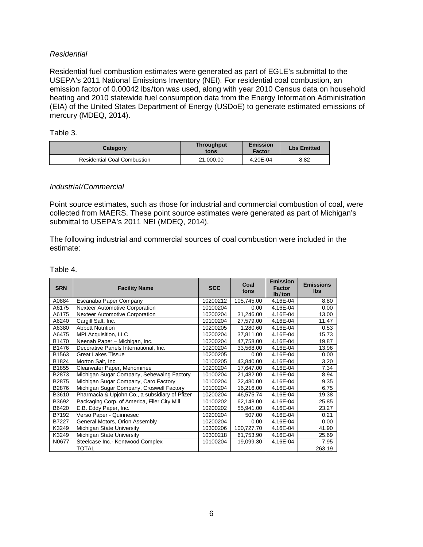#### *Residential*

Residential fuel combustion estimates were generated as part of EGLE's submittal to the USEPA's 2011 National Emissions Inventory (NEI). For residential coal combustion, an emission factor of 0.00042 lbs/ton was used, along with year 2010 Census data on household heating and 2010 statewide fuel consumption data from the Energy Information Administration (EIA) of the United States Department of Energy (USDoE) to generate estimated emissions of mercury (MDEQ, 2014).

Table 3.

| Category                           | <b>Throughput</b><br>tons | Emission<br>Factor | <b>Lbs Emitted</b> |
|------------------------------------|---------------------------|--------------------|--------------------|
| <b>Residential Coal Combustion</b> | 21.000.00                 | 4.20E-04           | 8.82               |

#### *Industrial/Commercial*

Point source estimates, such as those for industrial and commercial combustion of coal, were collected from MAERS. These point source estimates were generated as part of Michigan's submittal to USEPA's 2011 NEI (MDEQ, 2014).

The following industrial and commercial sources of coal combustion were included in the estimate:

Table 4.

| <b>SRN</b> | <b>Facility Name</b>                           | <b>SCC</b> | Coal<br>tons | <b>Emission</b><br>Factor<br>$lb$ /ton | <b>Emissions</b><br><b>Ibs</b> |
|------------|------------------------------------------------|------------|--------------|----------------------------------------|--------------------------------|
| A0884      | Escanaba Paper Company                         | 10200212   | 105,745.00   | 4.16E-04                               | 8.80                           |
| A6175      | Nexteer Automotive Corporation                 | 10100204   | 0.00         | 4.16E-04                               | 0.00                           |
| A6175      | <b>Nexteer Automotive Corporation</b>          | 10200204   | 31,246.00    | 4.16E-04                               | 13.00                          |
| A6240      | Cargill Salt, Inc.                             | 10100204   | 27,579.00    | 4.16E-04                               | 11.47                          |
| A6380      | <b>Abbott Nutrition</b>                        | 10200205   | 1,280.60     | 4.16E-04                               | 0.53                           |
| A6475      | MPI Acquisition, LLC                           | 10200204   | 37,811.00    | 4.16E-04                               | 15.73                          |
| B1470      | Neenah Paper - Michigan, Inc.                  | 10200204   | 47,758.00    | 4.16E-04                               | 19.87                          |
| B1476      | Decorative Panels International, Inc.          | 10200204   | 33,568.00    | 4.16E-04                               | 13.96                          |
| B1563      | <b>Great Lakes Tissue</b>                      | 10200205   | 0.00         | 4.16E-04                               | 0.00                           |
| B1824      | Morton Salt, Inc.                              | 10100205   | 43,840.00    | 4.16E-04                               | 3.20                           |
| B1855      | Clearwater Paper, Menominee                    | 10200204   | 17,647.00    | 4.16E-04                               | 7.34                           |
| B2873      | Michigan Sugar Company, Sebewaing Factory      | 10100204   | 21,482.00    | 4.16E-04                               | 8.94                           |
| B2875      | Michigan Sugar Company, Caro Factory           | 10100204   | 22,480.00    | 4.16E-04                               | 9.35                           |
| B2876      | Michigan Sugar Company, Croswell Factory       | 10100204   | 16,216.00    | 4.16E-04                               | 6.75                           |
| B3610      | Pharmacia & Upjohn Co., a subsidiary of Pfizer | 10200204   | 46,575.74    | 4.16E-04                               | 19.38                          |
| B3692      | Packaging Corp. of America, Filer City Mill    | 10100202   | 62,148.00    | 4.16E-04                               | 25.85                          |
| B6420      | E.B. Eddy Paper, Inc.                          | 10200202   | 55,941.00    | 4.16E-04                               | 23.27                          |
| B7192      | Verso Paper - Quinnesec                        | 10200204   | 507.00       | 4.16E-04                               | 0.21                           |
| B7227      | General Motors, Orion Assembly                 | 10200204   | 0.00         | 4.16E-04                               | 0.00                           |
| K3249      | Michigan State University                      | 10300206   | 100,727.70   | 4.16E-04                               | 41.90                          |
| K3249      | Michigan State University                      | 10300218   | 61,753.90    | 4.16E-04                               | 25.69                          |
| N0677      | Steelcase Inc.- Kentwood Complex               | 10100204   | 19,099.30    | 4.16E-04                               | 7.95                           |
|            | TOTAL                                          |            |              |                                        | 263.19                         |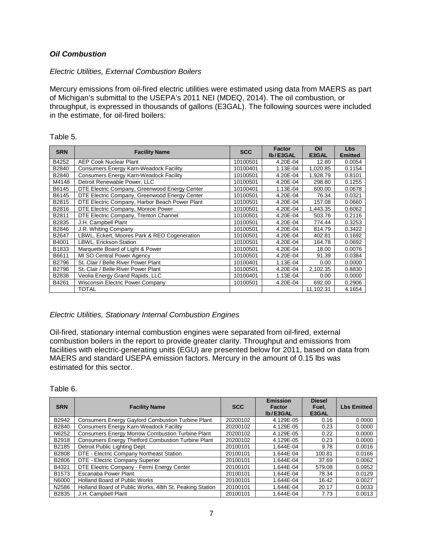#### <span id="page-9-0"></span>*Oil Combustion*

#### *Electric Utilities, External Combustion Boilers*

Mercury emissions from oil-fired electric utilities were estimated using data from MAERS as part of Michigan's submittal to the USEPA's 2011 NEI (MDEQ, 2014). The oil combustion, or throughput, is expressed in thousands of gallons (E3GAL). The following sources were included in the estimate, for oil-fired boilers:

| able |  |  |
|------|--|--|
|------|--|--|

| <b>SRN</b> | <b>Facility Name</b>                           | <b>SCC</b> | <b>Factor</b><br>Ib/E3GAL | Oil<br>E3GAL | Lbs<br><b>Emitted</b> |
|------------|------------------------------------------------|------------|---------------------------|--------------|-----------------------|
| B4252      | <b>AEP Cook Nuclear Plant</b>                  | 10100501   | 4.20E-04                  | 12.80        | 0.0054                |
| B2840      | Consumers Energy Karn-Weadock Facility         | 10100401   | 1.13E-04                  | 1,020.85     | 0.1154                |
| B2840      | <b>Consumers Energy Karn-Weadock Facility</b>  | 10100501   | 4.20E-04                  | 1.928.79     | 0.8101                |
| M4148      | Detroit Renewable Power, LLC                   | 10100501   | 4.20E-04                  | 298.80       | 0.1255                |
| B6145      | DTE Electric Company, Greenwood Energy Center  | 10100401   | 1.13E-04                  | 600.00       | 0.0678                |
| B6145      | DTE Electric Company, Greenwood Energy Center  | 10100501   | 4.20E-04                  | 76.34        | 0.0321                |
| B2815      | DTE Electric Company, Harbor Beach Power Plant | 10100501   | 4.20E-04                  | 157.08       | 0.0660                |
| B2816      | DTE Electric Company, Monroe Power             | 10100501   | 4.20E-04                  | 1,443.35     | 0.6062                |
| B2811      | DTE Electric Company, Trenton Channel          | 10100501   | 4.20E-04                  | 503.76       | 0.2116                |
| B2835      | J.H. Campbell Plant                            | 10100501   | 4.20E-04                  | 774.44       | 0.3253                |
| B2846      | J.R. Whiting Company                           | 10100501   | 4.20E-04                  | 814.79       | 0.3422                |
| B2647      | LBWL, Eckert, Moores Park & REO Cogeneration   | 10100501   | 4.20E-04                  | 402.81       | 0.1692                |
| B4001      | LBWL, Erickson Station                         | 10100501   | 4.20E-04                  | 164.78       | 0.0692                |
| B1833      | Marquette Board of Light & Power               | 10100501   | 4.20E-04                  | 18.00        | 0.0076                |
| B6611      | MI SO Central Power Agency                     | 10100501   | 4.20E-04                  | 91.39        | 0.0384                |
| B2796      | St. Clair / Belle River Power Plant            | 10100401   | 1.13E-04                  | 0.00         | 0.0000                |
| B2796      | St. Clair / Belle River Power Plant            | 10100501   | 4.20E-04                  | 2,102.35     | 0.8830                |
| B2838      | Veolia Energy Grand Rapids, LLC                | 10100401   | 1.13E-04                  | 0.00         | 0.0000                |
| B4261      | <b>Wisconsin Electric Power Company</b>        | 10100501   | 4.20E-04                  | 692.00       | 0.2906                |
|            | <b>TOTAL</b>                                   |            |                           | 11,102.31    | 4.1654                |

#### *Electric Utilities, Stationary Internal Combustion Engines*

Oil-fired, stationary internal combustion engines were separated from oil-fired, external combustion boilers in the report to provide greater clarity. Throughput and emissions from facilities with electric-generating units (EGU) are presented below for 2011, based on data from MAERS and standard USEPA emission factors. Mercury in the amount of 0.15 lbs was estimated for this sector.

| Table 6 |  |
|---------|--|
|---------|--|

| <b>SRN</b>        | <b>Facility Name</b>                                     | <b>SCC</b> | Emission<br>Factor<br>Ib/E3GAL | <b>Diesel</b><br>Fuel.<br>E3GAL | <b>Lbs Emitted</b> |
|-------------------|----------------------------------------------------------|------------|--------------------------------|---------------------------------|--------------------|
| B2942             | <b>Consumers Energy Gaylord Combustion Turbine Plant</b> | 20200102   | 4.129E-05                      | 0.16                            | 0.0000             |
| B2840             | Consumers Energy Karn-Weadock Facility                   | 20200102   | 4.129E-05                      | 0.23                            | 0.0000             |
| N6252             | <b>Consumers Energy Morrow Combustion Turbine Plant</b>  | 20200102   | 4.129E-05                      | 0.22                            | 0.0000             |
| B2918             | Consumers Energy Thetford Combustion Turbine Plant       | 20200102   | 4.129E-05                      | 0.23                            | 0.0000             |
| B2185             | Detroit Public Lighting Dept.                            | 20100101   | 1.644E-04                      | 9.78                            | 0.0016             |
| B2808             | DTE - Electric Company Northeast Station                 | 20100101   | 1.644E-04                      | 100.81                          | 0.0166             |
| B2806             | DTE - Electric Company Superior                          | 20100101   | 1.644E-04                      | 37.69                           | 0.0062             |
| B4321             | DTE Electric Company - Fermi Energy Center               | 20100101   | 1.644E-04                      | 579.08                          | 0.0952             |
| B <sub>1573</sub> | Escanaba Power Plant                                     | 20100101   | 1.644E-04                      | 78.34                           | 0.0129             |
| N6000             | <b>Holland Board of Public Works</b>                     | 20100101   | 1.644E-04                      | 16.42                           | 0.0027             |
| N2586             | Holland Board of Public Works, 48th St. Peaking Station  | 20100101   | 1.644E-04                      | 20.17                           | 0.0033             |
| B2835             | J.H. Campbell Plant                                      | 20100101   | 1.644E-04                      | 7.73                            | 0.0013             |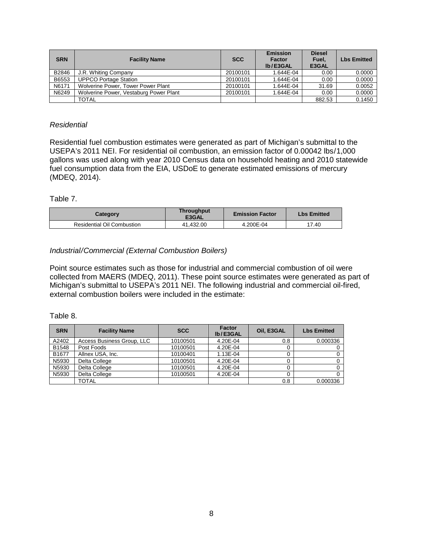| <b>SRN</b> | <b>Facility Name</b>                   | <b>SCC</b> | <b>Emission</b><br><b>Factor</b><br>Ib/E3GAL | <b>Diesel</b><br>Fuel.<br>E3GAL | <b>Lbs Emitted</b> |
|------------|----------------------------------------|------------|----------------------------------------------|---------------------------------|--------------------|
| B2846      | J.R. Whiting Company                   | 20100101   | 1.644E-04                                    | 0.00                            | 0.0000             |
| B6553      | <b>UPPCO Portage Station</b>           | 20100101   | 1.644E-04                                    | 0.00                            | 0.0000             |
| N6171      | Wolverine Power, Tower Power Plant     | 20100101   | 1.644E-04                                    | 31.69                           | 0.0052             |
| N6249      | Wolverine Power, Vestaburg Power Plant | 20100101   | 1.644E-04                                    | 0.00                            | 0.0000             |
|            | TOTAL                                  |            |                                              | 882.53                          | 0.1450             |

#### *Residential*

Residential fuel combustion estimates were generated as part of Michigan's submittal to the USEPA's 2011 NEI. For residential oil combustion, an emission factor of 0.00042 lbs/1,000 gallons was used along with year 2010 Census data on household heating and 2010 statewide fuel consumption data from the EIA, USDoE to generate estimated emissions of mercury (MDEQ, 2014).

#### Table 7.

| Category                          | <b>Throughput</b><br>E3GAL | <b>Emission Factor</b> | <b>Lbs Emitted</b> |
|-----------------------------------|----------------------------|------------------------|--------------------|
| <b>Residential Oil Combustion</b> | 41.432.00                  | 4.200E-04              | 17.40              |

#### *Industrial/Commercial (External Combustion Boilers)*

Point source estimates such as those for industrial and commercial combustion of oil were collected from MAERS (MDEQ, 2011). These point source estimates were generated as part of Michigan's submittal to USEPA's 2011 NEI. The following industrial and commercial oil-fired, external combustion boilers were included in the estimate:

#### Table 8.

| <b>SRN</b> | <b>Facility Name</b>       | <b>SCC</b> | Factor<br>Ib/E3GAL | <b>Oil. E3GAL</b> | <b>Lbs Emitted</b> |
|------------|----------------------------|------------|--------------------|-------------------|--------------------|
| A2402      | Access Business Group, LLC | 10100501   | 4.20E-04           | 0.8               | 0.000336           |
| B1548      | Post Foods                 | 10100501   | 4.20E-04           |                   |                    |
| B1677      | Allnex USA, Inc.           | 10100401   | $1.13E - 04$       |                   |                    |
| N5930      | Delta College              | 10100501   | 4.20E-04           |                   |                    |
| N5930      | Delta College              | 10100501   | 4.20E-04           |                   |                    |
| N5930      | Delta College              | 10100501   | 4.20E-04           |                   |                    |
|            | TOTAL                      |            |                    | 0.8               | 0.000336           |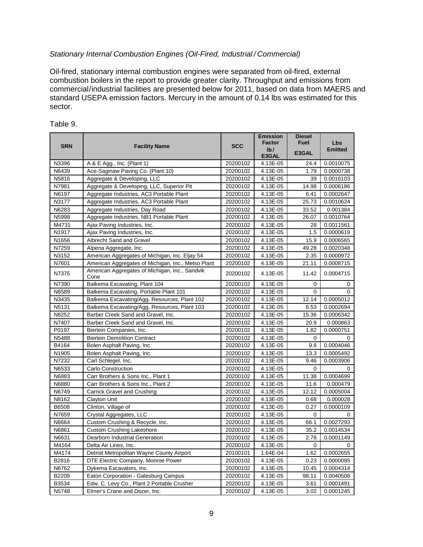#### *Stationary Internal Combustion Engines (Oil-Fired, Industrial / Commercial)*

Oil-fired, stationary internal combustion engines were separated from oil-fired, external combustion boilers in the report to provide greater clarity. Throughput and emissions from commercial/industrial facilities are presented below for 2011, based on data from MAERS and standard USEPA emission factors. Mercury in the amount of 0.14 lbs was estimated for this sector.

|            |                                                        |            | <b>Emission</b><br><b>Factor</b> | <b>Diesel</b><br><b>Fuel</b> |                              |
|------------|--------------------------------------------------------|------------|----------------------------------|------------------------------|------------------------------|
| <b>SRN</b> | <b>Facility Name</b>                                   | <b>SCC</b> | Ib/                              |                              | <b>Lbs</b><br><b>Emitted</b> |
|            |                                                        |            | E3GAL                            | E3GAL                        |                              |
| N3396      | A & E Agg., Inc. (Plant 1)                             | 20200102   | 4.13E-05                         | 24.4                         | 0.0010075                    |
| N6439      | Ace-Saginaw Paving Co. (Plant 10)                      | 20200102   | 4.13E-05                         | 1.79                         | 0.0000738                    |
| N5816      | Aggregate & Developing, LLC                            | 20200102   | 4.13E-05                         | 39                           | 0.0016103                    |
| N7981      | Aggregate & Developing, LLC, Superior Pit              | 20200102   | 4.13E-05                         | 14.98                        | 0.0006186                    |
| N6197      | Aggregate Industries, AC3 Portable Plant               | 20200102   | 4.13E-05                         | 6.41                         | 0.0002647                    |
| N3177      | Aggregate Industries, AC3 Portable Plant               | 20200102   | 4.13E-05                         | 25.73                        | 0.0010624                    |
| N6283      | Aggregate Industries, Day Road                         | 20200102   | 4.13E-05                         | 33.52                        | 0.001384                     |
| N5998      | Aggregate Industries, NB1 Portable Plant               | 20200102   | 4.13E-05                         | 26.07                        | 0.0010764                    |
| M4731      | Ajax Paving Industries, Inc.                           | 20200102   | 4.13E-05                         | 28                           | 0.0011561                    |
| N1917      | Ajax Paving Industries, Inc.                           | 20200102   | 4.13E-05                         | 1.5                          | 0.0000619                    |
| N1656      | Albrecht Sand and Gravel                               | 20200102   | 4.13E-05                         | 15.9                         | 0.0006565                    |
| N7259      | Alpena Aggregate, Inc.                                 | 20200102   | 4.13E-05                         | 49.28                        | 0.0020348                    |
| N3152      | American Aggregates of Michigan, Inc. Eljay 54         | 20200102   | 4.13E-05                         | 2.35                         | 0.0000972                    |
| N7601      | American Aggregates of Michigan, Inc., Metso Plant     | 20200102   | 4.13E-05                         | 21.11                        | 0.0008715                    |
| N7375      | American Aggregates of Michigan, Inc., Sandvik<br>Cone | 20200102   | 4.13E-05                         | 11.42                        | 0.0004715                    |
| N7390      | Balkema Excavating, Plant 104                          | 20200102   | 4.13E-05                         | 0                            | 0                            |
| N6589      | Balkema Excavating, Portable Plant 101                 | 20200102   | 4.13E-05                         | $\Omega$                     | 0                            |
| N3435      | Balkema Excavating/Agg. Resources, Plant 102           | 20200102   | 4.13E-05                         | 12.14                        | 0.0005012                    |
| N5131      | Balkema Excavating/Agg. Resources, Plant 103           | 20200102   | 4.13E-05                         | 6.53                         | 0.0002694                    |
| N8252      | Barber Creek Sand and Gravel, Inc.                     | 20200102   | 4.13E-05                         | 15.36                        | 0.0006342                    |
| N7407      | Barber Creek Sand and Gravel, Inc.                     | 20200102   | 4.13E-05                         | 20.9                         | 0.000863                     |
| P0197      | Bierlein Companies, Inc.                               | 20200102   | 4.13E-05                         | 1.82                         | 0.0000751                    |
| N5488      | <b>Bierlein Demolition Contract</b>                    | 20200102   | 4.13E-05                         | 0                            | 0                            |
| B4164      | Bolen Asphalt Paving, Inc.                             | 20200102   | 4.13E-05                         | 9.8                          | 0.0004046                    |
| N1905      | Bolen Asphalt Paving, Inc.                             | 20200102   | 4.13E-05                         | 13.3                         | 0.0005492                    |
| N7232      | Carl Schlegel, Inc.                                    | 20200102   | 4.13E-05                         | 9.46                         | 0.0003906                    |
| N6533      | Carlo Construction                                     | 20200102   | 4.13E-05                         | $\Omega$                     | 0                            |
| N6883      | Carr Brothers & Sons Inc., Plant 1                     | 20200102   | 4.13E-05                         | 11.38                        | 0.0004699                    |
| N6880      | Carr Brothers & Sons Inc., Plant 2                     | 20200102   | 4.13E-05                         | 11.6                         | 0.000479                     |
| N6749      | Carrick Gravel and Crushing                            | 20200102   | 4.13E-05                         | 12.12                        | 0.0005004                    |
| N8162      | <b>Clayton Unit</b>                                    | 20200102   | 4.13E-05                         | 0.68                         | 0.000028                     |
| B6508      | Clinton, Village of                                    | 20200102   | 4.13E-05                         | 0.27                         | 0.0000109                    |
| N7659      | Crystal Aggregates, LLC                                | 20200102   | 4.13E-05                         | 0                            | 0                            |
| N6664      | Custom Crushing & Recycle, Inc.                        | 20200102   | 4.13E-05                         | 66.1                         | 0.0027293                    |
| N6861      | <b>Custom Crushing Lakeshore</b>                       | 20200102   | 4.13E-05                         | 35.2                         | 0.0014534                    |
| N6631      | Dearborn Industrial Generation                         | 20200102   | 4.13E-05                         | 2.78                         | 0.0001149                    |
| M4164      | Delta Air Lines, Inc.                                  | 20200102   | 4.13E-05                         | $\mathbf 0$                  | 0                            |
| M4174      | Detroit Metropolitan Wayne County Airport              | 20100101   | 1.64E-04                         | 1.62                         | 0.0002655                    |
| B2816      | DTE Electric Company, Monroe Power                     | 20200102   | 4.13E-05                         | 0.23                         | 0.0000095                    |
| N6762      | Dykema Excavators, Inc.                                | 20200102   | 4.13E-05                         | 10.45                        | 0.0004314                    |
| B2209      | Eaton Corporation - Galesburg Campus                   | 20200102   | 4.13E-05                         | 98.11                        | 0.0040508                    |
| B3534      | Edw. C. Levy Co., Plant 2 Portable Crusher             | 20200102   | 4.13E-05                         | 3.61                         | 0.0001491                    |
| N5748      | Elmer's Crane and Dozer, Inc.                          | 20200102   | 4.13E-05                         | 3.02                         | 0.0001245                    |

#### Table 9.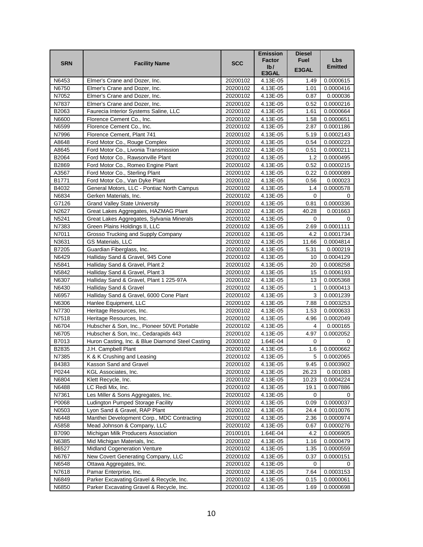|            |                                                  |            | <b>Emission</b>          | <b>Diesel</b> |                |
|------------|--------------------------------------------------|------------|--------------------------|---------------|----------------|
| <b>SRN</b> | <b>Facility Name</b>                             | <b>SCC</b> | Factor                   | <b>Fuel</b>   | <b>Lbs</b>     |
|            |                                                  |            | $I\mathbf{b}/I$<br>E3GAL | E3GAL         | <b>Emitted</b> |
| N6453      | Elmer's Crane and Dozer, Inc.                    | 20200102   | 4.13E-05                 | 1.49          | 0.0000615      |
| N6750      | Elmer's Crane and Dozer, Inc.                    | 20200102   | 4.13E-05                 | 1.01          | 0.0000416      |
| N7052      | Elmer's Crane and Dozer, Inc.                    | 20200102   | 4.13E-05                 | 0.87          | 0.000036       |
| N7837      | Elmer's Crane and Dozer, Inc.                    | 20200102   | 4.13E-05                 | 0.52          | 0.0000216      |
| B2063      | Faurecia Interior Systems Saline, LLC            | 20200102   | 4.13E-05                 | 1.61          | 0.0000664      |
| N6600      | Florence Cement Co., Inc.                        | 20200102   | 4.13E-05                 | 1.58          | 0.0000651      |
| N6599      | Florence Cement Co., Inc.                        | 20200102   | 4.13E-05                 | 2.87          | 0.0001186      |
| N7996      | Florence Cement, Plant 741                       | 20200102   | 4.13E-05                 | 5.19          | 0.0002143      |
| A8648      | Ford Motor Co., Rouge Complex                    | 20200102   | 4.13E-05                 | 0.54          | 0.0000223      |
| A8645      | Ford Motor Co., Livonia Transmission             | 20200102   | 4.13E-05                 | 0.51          | 0.0000211      |
| B2064      | Ford Motor Co., Rawsonville Plant                | 20200102   | 4.13E-05                 | 1.2           | 0.0000495      |
| B2869      | Ford Motor Co., Romeo Engine Plant               | 20200102   | 4.13E-05                 | 0.52          | 0.0000215      |
| A3567      | Ford Motor Co., Sterling Plant                   | 20200102   | 4.13E-05                 | 0.22          | 0.0000089      |
| B1771      | Ford Motor Co., Van Dyke Plant                   | 20200102   | 4.13E-05                 | 0.56          | 0.000023       |
| B4032      | General Motors, LLC - Pontiac North Campus       | 20200102   | 4.13E-05                 | 1.4           | 0.0000578      |
| N6834      | Gerken Materials, Inc.                           | 20200102   | 4.13E-05                 | 0             | 0              |
| G7126      | <b>Grand Valley State University</b>             | 20200102   | 4.13E-05                 | 0.81          | 0.0000336      |
| N2627      | Great Lakes Aggregates, HAZMAG Plant             | 20200102   | 4.13E-05                 | 40.28         | 0.001663       |
| N5241      | Great Lakes Aggregates, Sylvania Minerals        | 20200102   | 4.13E-05                 | 0             | 0              |
| N7383      | Green Plains Holdings II, LLC                    | 20200102   | 4.13E-05                 | 2.69          | 0.0001111      |
| N7011      | Grosso Trucking and Supply Company               | 20200102   | 4.13E-05                 | 4.2           | 0.0001734      |
| N3631      | GS Materials, LLC                                | 20200102   | 4.13E-05                 | 11.66         | 0.0004814      |
| B7205      | Guardian Fiberglass, Inc.                        | 20200102   | 4.13E-05                 | 5.31          | 0.000219       |
| N6429      | Halliday Sand & Gravel, 945 Cone                 | 20200102   | 4.13E-05                 | 10            | 0.0004129      |
| N5841      | Halliday Sand & Gravel, Plant 2                  | 20200102   | 4.13E-05                 | 20            | 0.0008258      |
| N5842      | Halliday Sand & Gravel, Plant 3                  | 20200102   | 4.13E-05                 | 15            | 0.0006193      |
| N6307      | Halliday Sand & Gravel, Plant 1 225-97A          | 20200102   | 4.13E-05                 | 13            | 0.0005368      |
| N6430      | Halliday Sand & Gravel                           | 20200102   | 4.13E-05                 | 1             | 0.0000413      |
| N6957      | Halliday Sand & Gravel, 6000 Cone Plant          | 20200102   | 4.13E-05                 | 3             | 0.0001239      |
| N6306      | Hanlee Equipment, LLC                            | 20200102   | 4.13E-05                 | 7.88          | 0.0003253      |
| N7730      | Heritage Resources, Inc.                         | 20200102   | 4.13E-05                 | 1.53          | 0.0000633      |
| N7518      | Heritage Resources, Inc.                         | 20200102   | 4.13E-05                 | 4.96          | 0.0002049      |
| N6704      | Hubscher & Son, Inc., Pioneer 50VE Portable      | 20200102   | 4.13E-05                 | 4             | 0.000165       |
| N6705      | Hubscher & Son, Inc., Cedarapids 443             | 20200102   | 4.13E-05                 | 4.97          | 0.0002052      |
| B7013      | Huron Casting, Inc. & Blue Diamond Steel Casting | 20300102   | 1.64E-04                 | 0             | 0              |
| B2835      | J.H. Campbell Plant                              | 20200102   | 4.13E-05                 | 1.6           | 0.0000662      |
| N7385      | K & K Crushing and Leasing                       | 20200102   | 4.13E-05                 | 5             | 0.0002065      |
| B4383      | Kasson Sand and Gravel                           | 20200102   | 4.13E-05                 | 9.45          | 0.0003902      |
| P0244      | KGL Associates, Inc.                             | 20200102   | 4.13E-05                 | 26.23         | 0.001083       |
| N6804      | Klett Recycle, Inc.                              | 20200102   | 4.13E-05                 | 10.23         | 0.0004224      |
| N6488      | LC Redi Mix, Inc.                                | 20200102   | 4.13E-05                 | 19.1          | 0.0007886      |
| N7361      | Les Miller & Sons Aggregates, Inc.               | 20200102   | 4.13E-05                 | 0             | 0              |
| P0068      | Ludington Pumped Storage Facility                | 20200102   | 4.13E-05                 | 0.09          | 0.0000037      |
| N0503      | Lyon Sand & Gravel, RAP Plant                    | 20200102   | 4.13E-05                 | 24.4          | 0.0010076      |
| N6448      | Manthei Development Corp., MDC Contracting       | 20200102   | 4.13E-05                 | 2.36          | 0.0000974      |
| A5858      | Mead Johnson & Company, LLC                      | 20200102   | 4.13E-05                 | 0.67          | 0.0000276      |
| B7090      | Michigan Milk Producers Association              | 20100101   | 1.64E-04                 | 4.2           | 0.0006905      |
| N6385      | Mid Michigan Materials, Inc.                     | 20200102   | 4.13E-05                 | 1.16          | 0.0000479      |
| B6527      | Midland Cogeneration Venture                     | 20200102   | 4.13E-05                 | 1.35          | 0.0000559      |
| N6767      | New Covert Generating Company, LLC               | 20200102   | 4.13E-05                 | 0.37          | 0.0000151      |
| N6548      | Ottawa Aggregates, Inc.                          | 20200102   | 4.13E-05                 | 0             | 0              |
| N7618      | Pamar Enterprise, Inc.                           | 20200102   | 4.13E-05                 | 7.64          | 0.0003153      |
| N6849      | Parker Excavating Gravel & Recycle, Inc.         | 20200102   | 4.13E-05                 | 0.15          | 0.0000061      |
| N6850      | Parker Excavating Gravel & Recycle, Inc.         | 20200102   | 4.13E-05                 | 1.69          | 0.0000698      |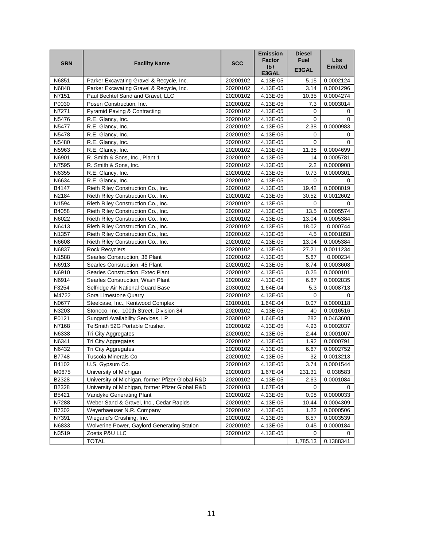|                   |                                                  |            | <b>Emission</b><br>Factor | <b>Diesel</b><br><b>Fuel</b> | <b>Lbs</b>     |
|-------------------|--------------------------------------------------|------------|---------------------------|------------------------------|----------------|
| <b>SRN</b>        | <b>Facility Name</b>                             | <b>SCC</b> | I <sub>b</sub>            | E3GAL                        | <b>Emitted</b> |
|                   |                                                  |            | E3GAL                     |                              |                |
| N6851             | Parker Excavating Gravel & Recycle, Inc.         | 20200102   | 4.13E-05                  | 5.15                         | 0.0002124      |
| N6848             | Parker Excavating Gravel & Recycle, Inc.         | 20200102   | 4.13E-05                  | 3.14                         | 0.0001296      |
| N7151             | Paul Bechtel Sand and Gravel, LLC                | 20200102   | 4.13E-05                  | 10.35                        | 0.0004274      |
| P0030             | Posen Construction, Inc.                         | 20200102   | 4.13E-05                  | 7.3                          | 0.0003014      |
| N7271             | Pyramid Paving & Contracting                     | 20200102   | 4.13E-05                  | 0                            | 0              |
| N5476             | R.E. Glancy, Inc.                                | 20200102   | 4.13E-05                  | 0                            | 0              |
| N5477             | R.E. Glancy, Inc.                                | 20200102   | 4.13E-05                  | 2.38                         | 0.0000983      |
| N5478             | R.E. Glancy, Inc.                                | 20200102   | 4.13E-05                  | 0                            | 0              |
| N5480             | R.E. Glancy, Inc.                                | 20200102   | 4.13E-05                  | 0                            | 0              |
| N5963             | R.E. Glancy, Inc.                                | 20200102   | 4.13E-05                  | 11.38                        | 0.0004699      |
| N6901             | R. Smith & Sons, Inc., Plant 1                   | 20200102   | 4.13E-05                  | 14                           | 0.0005781      |
| N7595             | R. Smith & Sons, Inc.                            | 20200102   | 4.13E-05                  | $2.2\,$                      | 0.0000908      |
| N6355             | R.E. Glancy, Inc.                                | 20200102   | 4.13E-05                  | 0.73                         | 0.0000301      |
| N6634             | R.E. Glancy, Inc.                                | 20200102   | 4.13E-05                  | 0                            | 0              |
| B4147             | Rieth Riley Construction Co., Inc.               | 20200102   | 4.13E-05                  | 19.42                        | 0.0008019      |
| N2184             | Rieth Riley Construction Co., Inc.               | 20200102   | 4.13E-05                  | 30.52                        | 0.0012602      |
| N1594             | Rieth Riley Construction Co., Inc.               | 20200102   | 4.13E-05                  | 0                            | 0              |
| B4058             | Rieth Riley Construction Co., Inc.               | 20200102   | 4.13E-05                  | 13.5                         | 0.0005574      |
| N6022             | Rieth Riley Construction Co., Inc.               | 20200102   | 4.13E-05                  | 13.04                        | 0.0005384      |
| N6413             | Rieth Riley Construction Co., Inc.               | 20200102   | 4.13E-05                  | 18.02                        | 0.000744       |
| N1357             | Rieth Riley Construction Co., Inc.               | 20200102   | 4.13E-05                  | 4.5                          | 0.0001858      |
| N6608             | Rieth Riley Construction Co., Inc.               | 20200102   | 4.13E-05                  | 13.04                        | 0.0005384      |
| N6837             | <b>Rock Recyclers</b>                            | 20200102   | 4.13E-05                  | 27.21                        | 0.0011234      |
| N <sub>1588</sub> | Searles Construction, 36 Plant                   | 20200102   | 4.13E-05                  | 5.67                         | 0.000234       |
| N6913             | Searles Construction, 45 Plant                   | 20200102   | 4.13E-05                  | 8.74                         | 0.0003608      |
| N6910             | Searles Construction, Extec Plant                | 20200102   | 4.13E-05                  | 0.25                         | 0.0000101      |
| N6914             | Searles Construction, Wash Plant                 | 20200102   | 4.13E-05                  | 6.87                         | 0.0002835      |
| F3254             | Selfridge Air National Guard Base                | 20300102   | 1.64E-04                  | 5.3                          | 0.0008713      |
| M4722             | Sora Limestone Quarry                            | 20200102   | 4.13E-05                  | 0                            | 0              |
| N0677             | Steelcase, Inc., Kentwood Complex                | 20100101   | 1.64E-04                  | 0.07                         | 0.0000118      |
| N3203             | Stoneco, Inc., 100th Street, Division 84         | 20200102   | 4.13E-05                  | 40                           | 0.0016516      |
| P0121             | Sungard Availability Services, LP                | 20300102   | 1.64E-04                  | 282                          | 0.0463608      |
| N7168             | TelSmith 52G Portable Crusher.                   | 20200102   | 4.13E-05                  | 4.93                         | 0.0002037      |
| N6338             | Tri City Aggregates                              | 20200102   | 4.13E-05                  | 2.44                         | 0.0001007      |
| N6341             | Tri City Aggregates                              | 20200102   | 4.13E-05                  | 1.92                         | 0.0000791      |
| N6432             | Tri City Aggregates                              | 20200102   | 4.13E-05                  | 6.67                         | 0.0002752      |
| B7748             | Tuscola Minerals Co                              | 20200102   | 4.13E-05                  | 32                           | 0.0013213      |
| B4102             | U.S. Gypsum Co.                                  | 20200102   | 4.13E-05                  | 3.74                         | 0.0001544      |
| M0675             | University of Michigan                           | 20200103   | 1.67E-04                  | 231.31                       | 0.038583       |
| B2328             | University of Michigan, former Pfizer Global R&D | 20200102   | 4.13E-05                  | 2.63                         | 0.0001084      |
| B2328             | University of Michigan, former Pfizer Global R&D | 20200103   | 1.67E-04                  | 0                            | 0              |
| B5421             | Vandyke Generating Plant                         | 20200102   | 4.13E-05                  | 0.08                         | 0.0000033      |
| N7288             | Weber Sand & Gravel, Inc., Cedar Rapids          | 20200102   | 4.13E-05                  | 10.44                        | 0.0004309      |
| B7302             | Weyerhaeuser N.R. Company                        | 20200102   | 4.13E-05                  | 1.22                         | 0.0000506      |
| N7391             | Wiegand's Crushing, Inc.                         | 20200102   | 4.13E-05                  | 8.57                         | 0.0003539      |
| N6833             | Wolverine Power, Gaylord Generating Station      | 20200102   | 4.13E-05                  | 0.45                         | 0.0000184      |
| N3519             | Zoetis P&U LLC                                   | 20200102   | 4.13E-05                  | 0                            | 0              |
|                   | <b>TOTAL</b>                                     |            |                           | 1,785.13                     | 0.1388341      |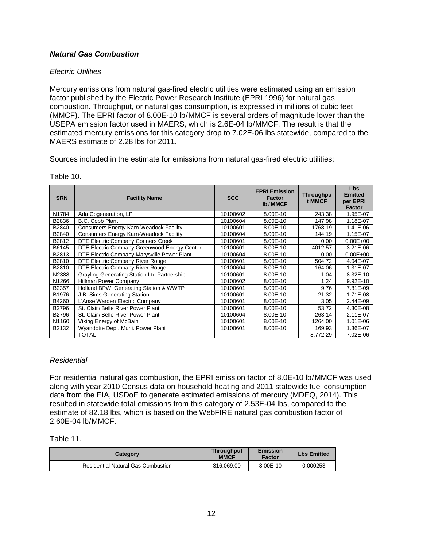# <span id="page-14-0"></span>*Natural Gas Combustion*

# *Electric Utilities*

Mercury emissions from natural gas-fired electric utilities were estimated using an emission factor published by the Electric Power Research Institute (EPRI 1996) for natural gas combustion. Throughput, or natural gas consumption, is expressed in millions of cubic feet (MMCF). The EPRI factor of 8.00E-10 lb/MMCF is several orders of magnitude lower than the USEPA emission factor used in MAERS, which is 2.6E-04 lb/MMCF. The result is that the estimated mercury emissions for this category drop to 7.02E-06 lbs statewide, compared to the MAERS estimate of 2.28 lbs for 2011.

Sources included in the estimate for emissions from natural gas-fired electric utilities:

| <b>SRN</b> | <b>Facility Name</b>                          | <b>SCC</b> | <b>EPRI Emission</b><br><b>Factor</b><br><b>Ib/MMCF</b> | <b>Throughpu</b><br>t MMCF | <b>Lbs</b><br><b>Emitted</b><br>per EPRI<br><b>Factor</b> |
|------------|-----------------------------------------------|------------|---------------------------------------------------------|----------------------------|-----------------------------------------------------------|
| N1784      | Ada Cogeneration, LP                          | 10100602   | 8.00E-10                                                | 243.38                     | 1.95E-07                                                  |
| B2836      | B.C. Cobb Plant                               | 10100604   | 8.00E-10                                                | 147.98                     | 1.18E-07                                                  |
| B2840      | <b>Consumers Energy Karn-Weadock Facility</b> | 10100601   | 8.00E-10                                                | 1768.19                    | 1.41E-06                                                  |
| B2840      | <b>Consumers Energy Karn-Weadock Facility</b> | 10100604   | 8.00E-10                                                | 144.19                     | 1.15E-07                                                  |
| B2812      | DTE Electric Company Conners Creek            | 10100601   | 8.00E-10                                                | 0.00                       | $0.00E + 00$                                              |
| B6145      | DTE Electric Company Greenwood Energy Center  | 10100601   | 8.00E-10                                                | 4012.57                    | 3.21E-06                                                  |
| B2813      | DTE Electric Company Marysville Power Plant   | 10100604   | 8.00E-10                                                | 0.00                       | $0.00E + 00$                                              |
| B2810      | DTE Electric Company River Rouge              | 10100601   | 8.00E-10                                                | 504.72                     | 4.04E-07                                                  |
| B2810      | DTE Electric Company River Rouge              | 10100604   | 8.00E-10                                                | 164.06                     | 1.31E-07                                                  |
| N2388      | Grayling Generating Station Ltd Partnership   | 10100601   | 8.00E-10                                                | 1.04                       | 8.32E-10                                                  |
| N1266      | Hillman Power Company                         | 10100602   | 8.00E-10                                                | 1.24                       | $9.92E - 10$                                              |
| B2357      | Holland BPW, Generating Station & WWTP        | 10100601   | 8.00E-10                                                | 9.76                       | 7.81E-09                                                  |
| B1976      | J.B. Sims Generating Station                  | 10100601   | 8.00E-10                                                | 21.32                      | 1.71E-08                                                  |
| B4260      | L'Anse Warden Electric Company                | 10100601   | 8.00E-10                                                | 3.05                       | 2.44E-09                                                  |
| B2796      | St. Clair/Belle River Power Plant             | 10100601   | 8.00E-10                                                | 53.72                      | 4.30E-08                                                  |
| B2796      | St. Clair / Belle River Power Plant           | 10100604   | 8.00E-10                                                | 263.14                     | 2.11E-07                                                  |
| N1160      | Viking Energy of McBain                       | 10100601   | 8.00E-10                                                | 1264.00                    | 1.01E-06                                                  |
| B2132      | Wyandotte Dept. Muni. Power Plant             | 10100601   | 8.00E-10                                                | 169.93                     | 1.36E-07                                                  |
|            | <b>TOTAL</b>                                  |            |                                                         | 8,772.29                   | 7.02E-06                                                  |

Table 10.

# *Residential*

For residential natural gas combustion, the EPRI emission factor of 8.0E-10 lb/MMCF was used along with year 2010 Census data on household heating and 2011 statewide fuel consumption data from the EIA, USDoE to generate estimated emissions of mercury (MDEQ, 2014). This resulted in statewide total emissions from this category of 2.53E-04 lbs, compared to the estimate of 82.18 lbs, which is based on the WebFIRE natural gas combustion factor of 2.60E-04 lb/MMCF.

#### Table 11.

| Category                                  | <b>Throughput</b><br><b>MMCF</b> | <b>Emission</b><br>Factor | <b>Lbs Emitted</b> |
|-------------------------------------------|----------------------------------|---------------------------|--------------------|
| <b>Residential Natural Gas Combustion</b> | 316.069.00                       | 8.00E-10                  | 0.000253           |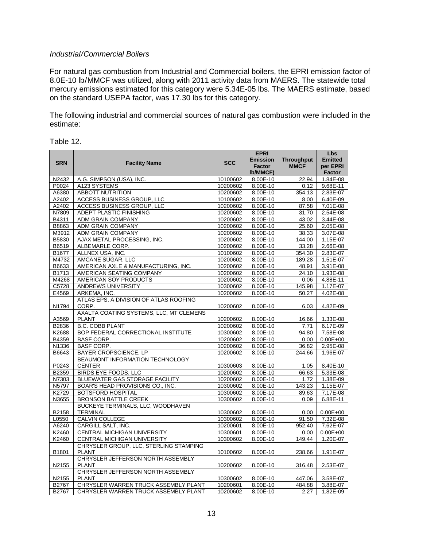#### *Industrial/Commercial Boilers*

For natural gas combustion from Industrial and Commercial boilers, the EPRI emission factor of 8.0E-10 lb/MMCF was utilized, along with 2011 activity data from MAERS. The statewide total mercury emissions estimated for this category were 5.34E-05 lbs. The MAERS estimate, based on the standard USEPA factor, was 17.30 lbs for this category.

The following industrial and commercial sources of natural gas combustion were included in the estimate:

|            |                                         |            | <b>EPRI</b>     |                   | Lbs            |
|------------|-----------------------------------------|------------|-----------------|-------------------|----------------|
|            |                                         |            | <b>Emission</b> | <b>Throughput</b> | <b>Emitted</b> |
| <b>SRN</b> | <b>Facility Name</b>                    | <b>SCC</b> | <b>Factor</b>   | <b>MMCF</b>       | per EPRI       |
|            |                                         |            | <b>Ib/MMCF)</b> |                   | <b>Factor</b>  |
| N2432      | A.G. SIMPSON (USA), INC.                | 10100602   | 8.00E-10        | 22.94             | 1.84E-08       |
| P0024      | A123 SYSTEMS                            | 10200602   | 8.00E-10        | 0.12              | 9.68E-11       |
| A6380      | <b>ABBOTT NUTRITION</b>                 | 10200602   | 8.00E-10        | 354.13            | 2.83E-07       |
| A2402      | ACCESS BUSINESS GROUP, LLC              | 10100602   | $8.00E-10$      | 8.00              | 6.40E-09       |
| A2402      | ACCESS BUSINESS GROUP, LLC              | 10200602   | 8.00E-10        | 87.58             | 7.01E-08       |
| N7809      | ADEPT PLASTIC FINISHING                 | 10200602   | 8.00E-10        | 31.70             | 2.54E-08       |
| B4311      | ADM GRAIN COMPANY                       | 10200602   | 8.00E-10        | 43.02             | 3.44E-08       |
| B8863      | <b>ADM GRAIN COMPANY</b>                | 10200602   | 8.00E-10        | 25.60             | 2.05E-08       |
| M3912      | <b>ADM GRAIN COMPANY</b>                | 10200602   | 8.00E-10        | 38.33             | 3.07E-08       |
| B5830      | AJAX METAL PROCESSING, INC.             | 10200602   | 8.00E-10        | 144.00            | 1.15E-07       |
| B6519      | ALBEMARLE CORP.                         | 10200602   | 8.00E-10        | 33.28             | 2.66E-08       |
| B1677      | ALLNEX USA, INC.                        | 10100602   | 8.00E-10        | 354.30            | 2.83E-07       |
| M4732      | AMCANE SUGAR, LLC                       | 10200602   | 8.00E-10        | 189.28            | 1.51E-07       |
| B6633      | AMERICAN AXLE & MANUFACTURING, INC.     | 10200602   | 8.00E-10        | 48.91             | 3.91E-08       |
| B1713      | AMERICAN SEATING COMPANY                | 10200602   | 8.00E-10        | 24.10             | 1.93E-08       |
| M4268      | AMERICAN SOY PRODUCTS                   | 10200602   | 8.00E-10        | 0.06              | 4.88E-11       |
| C5728      | ANDREWS UNIVERSITY                      | 10300602   | 8.00E-10        | 145.98            | 1.17E-07       |
| E4569      | ARKEMA, INC.                            | 10200602   | 8.00E-10        | 50.27             | 4.02E-08       |
|            | ATLAS EPS, A DIVISION OF ATLAS ROOFING  |            |                 |                   |                |
| N1794      | CORP.                                   | 10200602   | 8.00E-10        | 6.03              | 4.82E-09       |
|            | AXALTA COATING SYSTEMS, LLC, MT CLEMENS |            |                 |                   |                |
| A3569      | <b>PLANT</b>                            | 10200602   | 8.00E-10        | 16.66             | 1.33E-08       |
| B2836      | <b>B.C. COBB PLANT</b>                  | 10200602   | 8.00E-10        | 7.71              | 6.17E-09       |
| K2688      | BOP FEDERAL CORRECTIONAL INSTITUTE      | 10300602   | 8.00E-10        | 94.80             | 7.58E-08       |
| B4359      | <b>BASF CORP.</b>                       | 10200602   | 8.00E-10        | 0.00              | $0.00E + 00$   |
| N1336      | <b>BASF CORP.</b>                       | 10200602   | 8.00E-10        | 36.82             | 2.95E-08       |
| B6643      | BAYER CROPSCIENCE, LP                   | 10200602   | 8.00E-10        | 244.66            | 1.96E-07       |
|            | BEAUMONT INFORMATION TECHNOLOGY         |            |                 |                   |                |
| P0243      | <b>CENTER</b>                           | 10300603   | 8.00E-10        | 1.05              | 8.40E-10       |
| B2359      | <b>BIRDS EYE FOODS, LLC</b>             | 10200602   | 8.00E-10        | 66.63             | 5.33E-08       |
| N7303      | <b>BLUEWATER GAS STORAGE FACILITY</b>   | 10200602   | 8.00E-10        | 1.72              | 1.38E-09       |
| N5797      | BOAR'S HEAD PROVISIONS CO., INC.        | 10300602   | 8.00E-10        | 143.23            | $1.15E-07$     |
| K2729      | <b>BOTSFORD HOSPITAL</b>                | 10300602   | 8.00E-10        | 89.63             | 7.17E-08       |
| N3655      | <b>BRONSON BATTLE CREEK</b>             | 10300602   | 8.00E-10        | 0.09              | 6.88E-11       |
|            | BUCKEYE TERMINALS, LLC, WOODHAVEN       |            |                 |                   |                |
| B2158      | <b>TERMINAL</b>                         | 10300602   | 8.00E-10        | 0.00              | $0.00E + 00$   |
| L0550      | <b>CALVIN COLLEGE</b>                   | 10300602   | 8.00E-10        | 91.50             | 7.32E-08       |
| A6240      | CARGILL SALT, INC.                      | 10200601   | 8.00E-10        | 952.40            | 7.62E-07       |
| K2460      | CENTRAL MICHIGAN UNIVERSITY             | 10300601   | 8.00E-10        | 0.00              | $0.00E + 00$   |
| K2460      | CENTRAL MICHIGAN UNIVERSITY             | 10300602   | 8.00E-10        | 149.44            | 1.20E-07       |
|            | CHRYSLER GROUP, LLC, STERLING STAMPING  |            |                 |                   |                |
| B1801      | <b>PLANT</b>                            | 10100602   | 8.00E-10        | 238.66            | 1.91E-07       |
|            | CHRYSLER JEFFERSON NORTH ASSEMBLY       |            |                 |                   |                |
| N2155      | <b>PLANT</b>                            | 10200602   | 8.00E-10        | 316.48            | 2.53E-07       |
|            | CHRYSLER JEFFERSON NORTH ASSEMBLY       |            |                 |                   |                |
| N2155      | <b>PLANT</b>                            | 10300602   | 8.00E-10        | 447.06            | 3.58E-07       |
| B2767      | CHRYSLER WARREN TRUCK ASSEMBLY PLANT    | 10200601   | 8.00E-10        | 484.88            | 3.88E-07       |
| B2767      | CHRYSLER WARREN TRUCK ASSEMBLY PLANT    | 10200602   | 8.00E-10        | 2.27              | 1.82E-09       |

#### Table 12.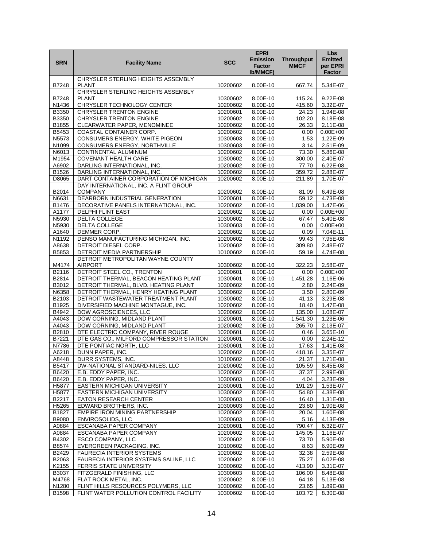|                       |                                                                              |                      | <b>EPRI</b>                                         |                                  | Lbs<br><b>Emitted</b>     |
|-----------------------|------------------------------------------------------------------------------|----------------------|-----------------------------------------------------|----------------------------------|---------------------------|
| <b>SRN</b>            | <b>Facility Name</b>                                                         | <b>SCC</b>           | <b>Emission</b><br><b>Factor</b><br><b>Ib/MMCF)</b> | <b>Throughput</b><br><b>MMCF</b> | per EPRI<br><b>Factor</b> |
| B7248                 | CHRYSLER STERLING HEIGHTS ASSEMBLY<br><b>PLANT</b>                           | 10200602             | 8.00E-10                                            | 667.74                           | 5.34E-07                  |
| B7248                 | CHRYSLER STERLING HEIGHTS ASSEMBLY<br><b>PLANT</b>                           | 10300602             | 8.00E-10                                            | 115.24                           | 9.22E-08                  |
| N1436                 | CHRYSLER TECHNOLOGY CENTER                                                   | 10200602             | 8.00E-10                                            | 415.60                           | 3.32E-07                  |
| B3350                 | <b>CHRYSLER TRENTON ENGINE</b>                                               | 10200601             | 8.00E-10                                            | 24.23                            | 1.94E-08                  |
| B3350                 | CHRYSLER TRENTON ENGINE                                                      | 10200602             | 8.00E-10                                            | 102.20                           | 8.18E-08                  |
| B1855                 | CLEARWATER PAPER, MENOMINEE                                                  | 10200602             | 8.00E-10                                            | 26.33                            | 2.11E-08                  |
| B5453                 | <b>COASTAL CONTAINER CORP.</b>                                               | 10200602             | 8.00E-10                                            | 0.00                             | $0.00E + 00$              |
| N5573                 | <b>CONSUMERS ENERGY, WHITE PIGEON</b>                                        | 10300603             | 8.00E-10                                            | 1.53                             | 1.22E-09                  |
| N1099<br>N6013        | CONSUMERS ENERGY, NORTHVILLE<br>CONTINENTAL ALUMINUM                         | 10300603<br>10200602 | 8.00E-10<br>8.00E-10                                | 3.14<br>73.30                    | 2.51E-09<br>5.86E-08      |
| M1954                 | <b>COVENANT HEALTH CARE</b>                                                  | 10300602             | 8.00E-10                                            | 300.00                           | 2.40E-07                  |
| A6902                 | DARLING INTERNATIONAL, INC.                                                  | 10200602             | 8.00E-10                                            | 77.70                            | $6.22E - 08$              |
| B1526                 | DARLING INTERNATIONAL, INC.                                                  | 10200602             | 8.00E-10                                            | 359.72                           | 2.88E-07                  |
| D8065                 | DART CONTAINER CORPORATION OF MICHIGAN                                       | 10200602             | 8.00E-10                                            | 211.89                           | 1.70E-07                  |
|                       | DAY INTERNATIONAL, INC. A FLINT GROUP                                        |                      |                                                     |                                  |                           |
| B2014                 | <b>COMPANY</b>                                                               | 10200602             | 8.00E-10                                            | 81.09                            | 6.49E-08                  |
| N6631                 | DEARBORN INDUSTRIAL GENERATION                                               | 10200601             | 8.00E-10                                            | 59.12                            | 4.73E-08                  |
| <b>B1476</b>          | DECORATIVE PANELS INTERNATIONAL, INC.                                        | 10200602             | 8.00E-10                                            | 1,839.00                         | 1.47E-06                  |
| A1177<br>N5930        | DELPHI FLINT EAST<br><b>DELTA COLLEGE</b>                                    | 10200602             | 8.00E-10                                            | 0.00                             | $0.00E + 00$              |
| N5930                 | <b>DELTA COLLEGE</b>                                                         | 10300602<br>10300603 | 8.00E-10<br>8.00E-10                                | 67.47<br>0.00                    | 5.40E-08<br>$0.00E + 00$  |
| A1640                 | DEMMER CORP.                                                                 | 10200602             | 8.00E-10                                            | 0.09                             | 7.04E-11                  |
| N1192                 | DENSO MANUFACTURING MICHIGAN, INC.                                           | 10200602             | 8.00E-10                                            | 99.43                            | 7.95E-08                  |
| A8638                 | DETROIT DIESEL CORP.                                                         | 10200602             | 8.00E-10                                            | 309.80                           | 2.48E-07                  |
| B5853                 | DETROIT MEDIA PARTNERSHIP                                                    | 10100602             | 8.00E-10                                            | 59.19                            | 4.74E-08                  |
|                       | DETROIT METROPOLITAN WAYNE COUNTY                                            |                      |                                                     |                                  |                           |
| M4174                 | <b>AIRPORT</b>                                                               | 10300602             | 8.00E-10                                            | 322.23                           | 2.58E-07                  |
| B2116                 | DETROIT STEEL CO., TRENTON                                                   | 10200601             | 8.00E-10                                            | 0.00                             | $0.00E + 00$              |
| B2814                 | DETROIT THERMAL, BEACON HEATING PLANT                                        | 10300601             | 8.00E-10                                            | 1,451.28                         | 1.16E-06                  |
| B3012<br>N6358        | DETROIT THERMAL, BLVD. HEATING PLANT<br>DETROIT THERMAL, HENRY HEATING PLANT | 10300602<br>10300602 | 8.00E-10                                            | 2.80                             | 2.24E-09                  |
| B2103                 | DETROIT WASTEWATER TREATMENT PLANT                                           | 10300602             | 8.00E-10<br>8.00E-10                                | 3.50<br>41.13                    | 2.80E-09<br>3.29E-08      |
| B1925                 | DIVERSIFIED MACHINE MONTAGUE, INC.                                           | 10200602             | 8.00E-10                                            | 18.40                            | 1.47E-08                  |
| B4942                 | DOW AGROSCIENCES, LLC                                                        | 10200602             | 8.00E-10                                            | 135.00                           | 1.08E-07                  |
| A4043                 | DOW CORNING, MIDLAND PLANT                                                   | 10200601             | 8.00E-10                                            | 1,541.30                         | 1.23E-06                  |
| A4043                 | DOW CORNING, MIDLAND PLANT                                                   | 10200602             | 8.00E-10                                            | 265.70                           | 2.13E-07                  |
| B2810                 | DTE ELECTRIC COMPANY, RIVER ROUGE                                            | 10200601             | 8.00E-10                                            | 0.46                             | 3.65E-10                  |
| B7221                 | DTE GAS CO., MILFORD COMPRESSOR STATION                                      | 10200601             | 8.00E-10                                            | 0.00                             | 2.24E-12                  |
| N7786                 | DTE PONTIAC NORTH, LLC                                                       | 10300601             | 8.00E-10                                            | 17.63                            | 1.41E-08                  |
| A6218                 | DUNN PAPER, INC.                                                             | 10200602             | 8.00E-10                                            | 418.16                           | 3.35E-07                  |
| A8448                 | DURR SYSTEMS, INC.                                                           | 10100602             | 8.00E-10                                            | 21.37                            | 1.71E-08                  |
| B5417<br><b>B6420</b> | DW-NATIONAL STANDARD-NILES, LLC<br>E.B. EDDY PAPER, INC.                     | 10200602<br>10200602 | 8.00E-10<br>8.00E-10                                | 105.59<br>37.37                  | 8.45E-08<br>2.99E-08      |
| B6420                 | E.B. EDDY PAPER, INC.                                                        | 10300603             | 8.00E-10                                            | 4.04                             | 3.23E-09                  |
| H5877                 | EASTERN MICHIGAN UNIVERSITY                                                  | 10300601             | 8.00E-10                                            | 191.29                           | 1.53E-07                  |
| H5877                 | <b>EASTERN MICHIGAN UNIVERSITY</b>                                           | 10300602             | 8.00E-10                                            | 54.80                            | $4.38E-08$                |
| B2217                 | EATON RESEARCH CENTER                                                        | 10300603             | 8.00E-10                                            | 16.40                            | 1.31E-08                  |
| H5265                 | EDWARD BROTHERS, INC.                                                        | 10300603             | 8.00E-10                                            | 23.80                            | 1.90E-08                  |
| B1827                 | EMPIRE IRON MINING PARTNERSHIP                                               | 10200602             | 8.00E-10                                            | 20.04                            | 1.60E-08                  |
| B9080                 | <b>ENVIROSOLIDS, LLC</b>                                                     | 10300603             | 8.00E-10                                            | 5.16                             | 4.13E-09                  |
| A0884                 | <b>ESCANABA PAPER COMPANY</b>                                                | 10200601             | 8.00E-10                                            | 790.47                           | $6.32E - 07$              |
| A0884                 | ESCANABA PAPER COMPANY                                                       | 10200602             | 8.00E-10                                            | 145.05                           | 1.16E-07                  |
| B4302<br>B8574        | ESCO COMPANY, LLC<br>EVERGREEN PACKAGING, INC.                               | 10200602<br>10100602 | 8.00E-10<br>8.00E-10                                | 73.70                            | 5.90E-08<br>6.90E-09      |
| B2429                 | <b>FAURECIA INTERIOR SYSTEMS</b>                                             | 10200602             | 8.00E-10                                            | 8.63<br>32.38                    | 2.59E-08                  |
| B2063                 | FAURECIA INTERIOR SYSTEMS SALINE, LLC                                        | 10200602             | 8.00E-10                                            | 75.27                            | 6.02E-08                  |
| K2155                 | FERRIS STATE UNIVERSITY                                                      | 10300602             | 8.00E-10                                            | 413.90                           | 3.31E-07                  |
| B3037                 | FITZGERALD FINISHING, LLC                                                    | 10300603             | 8.00E-10                                            | 106.00                           | 8.48E-08                  |
| M4768                 | FLAT ROCK METAL, INC.                                                        | 10200602             | 8.00E-10                                            | 64.18                            | $5.13E-08$                |
| N1280                 | FLINT HILLS RESOURCES POLYMERS, LLC                                          | 10300602             | 8.00E-10                                            | 23.65                            | 1.89E-08                  |
| B1598                 | FLINT WATER POLLUTION CONTROL FACILITY                                       | 10300602             | 8.00E-10                                            | 103.72                           | 8.30E-08                  |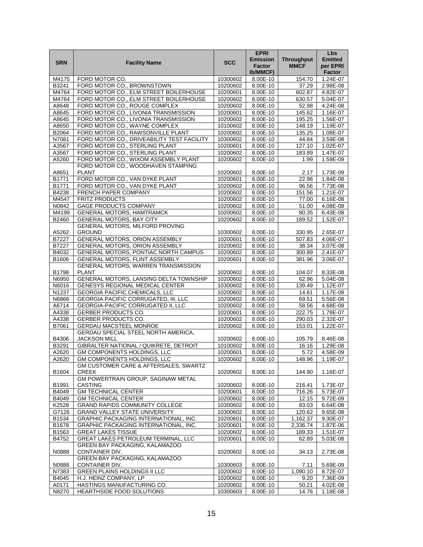|            |                                                                               |            | <b>EPRI</b>     |                   | <b>Lbs</b>               |
|------------|-------------------------------------------------------------------------------|------------|-----------------|-------------------|--------------------------|
| <b>SRN</b> | <b>Facility Name</b>                                                          | <b>SCC</b> | <b>Emission</b> | <b>Throughput</b> | <b>Emitted</b>           |
|            |                                                                               |            | <b>Factor</b>   | <b>MMCF</b>       | per EPRI                 |
|            |                                                                               |            | Ib/MMCF)        |                   | <b>Factor</b>            |
| M4175      | FORD MOTOR CO.                                                                | 10300602   | 8.00E-10        | 154.70            | 1.24E-07                 |
| B3241      | FORD MOTOR CO., BROWNSTOWN                                                    | 10200602   | 8.00E-10        | 37.29             | 2.98E-08                 |
| M4764      | FORD MOTOR CO., ELM STREET BOILERHOUSE                                        | 10200601   | 8.00E-10        | 602.87            | 4.82E-07                 |
| M4764      | FORD MOTOR CO., ELM STREET BOILERHOUSE                                        | 10200602   | 8.00E-10        | 630.57            | $5.04E - 07$             |
| A8648      | FORD MOTOR CO., ROUGE COMPLEX                                                 | 10200602   | 8.00E-10        | 52.98             | 4.24E-08                 |
| A8645      | FORD MOTOR CO., LIVONIA TRANSMISSION                                          | 10200601   | 8.00E-10        | 145.62            | 1.16E-07                 |
| A8645      | FORD MOTOR CO., LIVONIA TRANSMISSION                                          | 10200602   | 8.00E-10        | 195.25            | 1.56E-07                 |
| A8650      | FORD MOTOR CO., WAYNE COMPLEX                                                 | 10100602   | 8.00E-10        | 148.19            | $1.19E-07$               |
| B2064      | FORD MOTOR CO., RAWSONVILLE PLANT                                             | 10200602   | 8.00E-10        | 135.25            | 1.08E-07                 |
| N7081      | FORD MOTOR CO., DRIVEABILITY TEST FACILITY                                    | 10300602   | 8.00E-10        | 44.84             | 3.59E-08                 |
| A3567      | FORD MOTOR CO., STERLING PLANT                                                | 10200601   | 8.00E-10        | 127.10            | 1.02E-07                 |
| A3567      | FORD MOTOR CO., STERLING PLANT                                                | 10200602   | 8.00E-10        | 183.89            | 1.47E-07                 |
| A5260      | FORD MOTOR CO., WIXOM ASSEMBLY PLANT                                          | 10200602   | 8.00E-10        | 1.99              | 1.59E-09                 |
|            | FORD MOTOR CO., WOODHAVEN STAMPING                                            |            |                 |                   |                          |
| A8651      | <b>PLANT</b>                                                                  | 10200602   | 8.00E-10        | 2.17              | 1.73E-09                 |
| B1771      | FORD MOTOR CO., VAN DYKE PLANT                                                | 10200601   | 8.00E-10        | 22.96             | 1.84E-08                 |
| B1771      | FORD MOTOR CO., VAN DYKE PLANT                                                | 10200602   | 8.00E-10        | 96.56             | 7.73E-08                 |
| B4238      | FRENCH PAPER COMPANY                                                          | 10200602   | 8.00E-10        | 151.56            | 1.21E-07                 |
| M4547      | <b>FRITZ PRODUCTS</b>                                                         | 10200602   | 8.00E-10        |                   |                          |
| N0842      | <b>GAGE PRODUCTS COMPANY</b>                                                  | 10200602   | 8.00E-10        | 77.00<br>51.00    | 6.16E-08<br>$4.08E - 08$ |
|            |                                                                               |            |                 |                   |                          |
| M4199      | <b>GENERAL MOTORS, HAMTRAMCK</b>                                              | 10200602   | 8.00E-10        | 80.35             | 6.43E-08                 |
| B2460      | GENERAL MOTORS, BAY CITY                                                      | 10200602   | 8.00E-10        | 189.52            | $1.52E-07$               |
| A5262      | GENERAL MOTORS, MILFORD PROVING                                               |            |                 |                   |                          |
| B7227      | <b>GROUND</b><br><b>GENERAL MOTORS, ORION ASSEMBLY</b>                        | 10300602   | 8.00E-10        | 330.95            | 2.65E-07                 |
|            |                                                                               | 10200601   | 8.00E-10        | 507.83            | 4.06E-07                 |
| B7227      | GENERAL MOTORS, ORION ASSEMBLY<br><b>GENERAL MOTORS, PONTIAC NORTH CAMPUS</b> | 10200602   | 8.00E-10        | 38.34             | 3.07E-08                 |
| B4032      |                                                                               | 10200602   | 8.00E-10        | 300.89            | 2.41E-07                 |
| B1606      | GENERAL MOTORS, FLINT ASSEMBLY<br>GENERAL MOTORS, WARREN TRANSMISSION         | 10200601   | 8.00E-10        | 381.96            | 3.06E-07                 |
| B1798      | <b>PLANT</b>                                                                  | 10200602   | 8.00E-10        | 104.07            | 8.33E-08                 |
| N6950      | GENERAL MOTORS, LANSING DELTA TOWNSHIP                                        | 10200602   | 8.00E-10        | 62.96             | 5.04E-08                 |
| N6016      | GENESYS REGIONAL MEDICAL CENTER                                               | 10300602   | 8.00E-10        | 139.49            | 1.12E-07                 |
| N1237      | GEORGIA PACIFIC CHEMICALS, LLC                                                | 10200602   | 8.00E-10        | 14.61             | 1.17E-08                 |
| N6866      | GEORGIA PACIFIC CORRUGATED, III, LLC                                          | 10200602   | 8.00E-10        | 69.51             | 5.56E-08                 |
| A6714      | GEORGIA-PACIFIC CORRUGATED II, LLC                                            | 10200602   | 8.00E-10        | 58.56             | 4.68E-08                 |
| A4338      | <b>GERBER PRODUCTS CO.</b>                                                    | 10200601   | 8.00E-10        | 222.75            | 1.78E-07                 |
| A4338      | GERBER PRODUCTS CO.                                                           | 10200602   | 8.00E-10        | 290.03            | $2.32E-07$               |
| B7061      | GERDAU MACSTEEL MONROE                                                        | 10200602   | 8.00E-10        | 153.01            | 1.22E-07                 |
|            | GERDAU SPECIAL STEEL NORTH AMERICA,                                           |            |                 |                   |                          |
| B4306      | <b>JACKSON MILL</b>                                                           | 10200602   | 8.00E-10        | 105.79            | 8.46E-08                 |
| B3291      | GIBRALTER NATIONAL / QUIKRETE, DETROIT                                        | 10100602   | 8.00E-10        | 16.16             | 1.29E-08                 |
| A2620      | GM COMPONENTS HOLDINGS, LLC                                                   | 10200601   | 8.00E-10        | 5.72              | 4.58E-09                 |
| A2620      | GM COMPONENTS HOLDINGS ILC                                                    | 10200602   | 8.00F-10        | 148.96            | 1.19F-07                 |
|            | GM CUSTOMER CARE & AFTERSALES, SWARTZ                                         |            |                 |                   |                          |
| B1604      | <b>CREEK</b>                                                                  | 10200602   | 8.00E-10        | 144.90            | 1.16E-07                 |
|            | GM POWERTRAIN GROUP, SAGINAW METAL                                            |            |                 |                   |                          |
| B1991      | CASTING                                                                       | 10200602   | 8.00E-10        | 216.41            | 1.73E-07                 |
| B4049      | <b>GM TECHNICAL CENTER</b>                                                    | 10200601   | 8.00E-10        | 716.26            | 5.73E-07                 |
| B4049      | <b>GM TECHNICAL CENTER</b>                                                    | 10200602   | 8.00E-10        | 12.15             | 9.72E-09                 |
| K2528      | <b>GRAND RAPIDS COMMUNITY COLLEGE</b>                                         | 10300602   | 8.00E-10        | 83.03             | 6.64E-08                 |
| G7126      | GRAND VALLEY STATE UNIVERSITY                                                 | 10300602   | 8.00E-10        | 120.62            | 9.65E-08                 |
| B1534      | GRAPHIC PACKAGING INTERNATIONAL, INC.                                         | 10200601   | 8.00E-10        | 1,162.37          | 9.30E-07                 |
| B1678      | GRAPHIC PACKAGING INTERNATIONAL, INC.                                         | 10200601   | 8.00E-10        | 2,336.74          | 1.87E-06                 |
| B1563      | <b>GREAT LAKES TISSUE</b>                                                     | 10200602   | 8.00E-10        | 189.33            | 1.51E-07                 |
| B4752      | <b>GREAT LAKES PETROLEUM TERMINAL, LLC</b>                                    | 10200601   | 8.00E-10        | 62.89             | 5.03E-08                 |
|            | GREEN BAY PACKAGING, KALAMAZOO                                                |            |                 |                   |                          |
| N0888      | CONTAINER DIV.                                                                | 10200602   | 8.00E-10        | 34.13             | 2.73E-08                 |
|            | GREEN BAY PACKAGING, KALAMAZOO                                                |            |                 |                   |                          |
| N0888      | CONTAINER DIV.                                                                | 10300603   | 8.00E-10        | 7.11              | 5.69E-09                 |
| N7383      | GREEN PLAINS HOLDINGS II LLC                                                  | 10200602   | 8.00E-10        | 1,090.10          | 8.72E-07                 |
| B4045      | H.J. HEINZ COMPANY, LP                                                        | 10200602   | 8.00E-10        | 9.20              | 7.36E-09                 |
| A0171      | HASTINGS MANUFACTURING CO.                                                    | 10200602   | 8.00E-10        | 50.21             | 4.02E-08                 |
| N8270      | HEARTHSIDE FOOD SOLUTIONS                                                     | 10300603   | 8.00E-10        | 14.76             | 1.18E-08                 |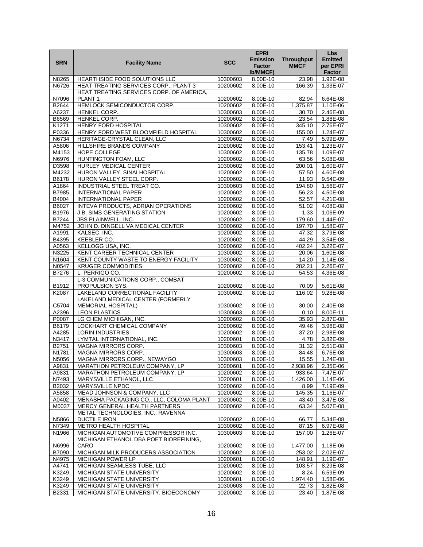|                |                                                                |                      | <b>EPRI</b>                                         |                                  | Lbs                                  |
|----------------|----------------------------------------------------------------|----------------------|-----------------------------------------------------|----------------------------------|--------------------------------------|
| <b>SRN</b>     | <b>Facility Name</b>                                           | <b>SCC</b>           | <b>Emission</b><br><b>Factor</b><br><b>Ib/MMCF)</b> | <b>Throughput</b><br><b>MMCF</b> | <b>Emitted</b><br>per EPRI<br>Factor |
| N8265          | HEARTHSIDE FOOD SOLUTIONS LLC                                  | 10300603             | 8.00E-10                                            | 23.98                            | 1.92E-08                             |
| N6726          | HEAT TREATING SERVICES CORP., PLANT 3                          | 10200602             | 8.00E-10                                            | 166.39                           | 1.33E-07                             |
|                | HEAT TREATING SERVICES CORP. OF AMERICA,                       |                      |                                                     |                                  |                                      |
| N7096          | PLANT <sub>1</sub>                                             | 10200602             | 8.00E-10                                            | 82.94                            | 6.64E-08                             |
| B2644          | HEMLOCK SEMICONDUCTOR CORP.                                    | 10200602             | 8.00E-10                                            | 1,375.87                         | $1.10E-06$                           |
| A6237          | HENKEL CORP.                                                   | 10300603             | 8.00E-10                                            | 30.70                            | 2.46E-08                             |
| B6569          | HENKEL CORP.                                                   | 10200602             | 8.00E-10                                            | 23.54                            | 1.88E-08                             |
| K1271          | <b>HENRY FORD HOSPITAL</b>                                     | 10300602             | 8.00E-10                                            | 345.10                           | 2.76E-07                             |
| P0336          | HENRY FORD WEST BLOOMFIELD HOSPITAL                            | 10300602             | 8.00E-10                                            | 155.00                           | 1.24E-07                             |
| N6734          | HERITAGE-CRYSTAL CLEAN, LLC                                    | 10200602             | 8.00E-10                                            | 7.49                             | 5.99E-09                             |
| A5806          | <b>HILLSHIRE BRANDS COMPANY</b>                                | 10200602             | 8.00E-10                                            | 153.41                           | 1.23E-07                             |
| M4153          | HOPE COLLEGE                                                   | 10300602             | 8.00E-10                                            | 135.78                           | 1.09E-07                             |
| N6976          | HUNTINGTON FOAM, LLC                                           | 10200602             | 8.00E-10                                            | 63.56                            | 5.08E-08                             |
| D3598<br>M4232 | HURLEY MEDICAL CENTER<br>HURON VALLEY, SINAI HOSPITAL          | 10300602<br>10200602 | 8.00E-10<br>8.00E-10                                | 200.01<br>57.50                  | 1.60E-07<br>4.60E-08                 |
| B6178          | HURON VALLEY STEEL CORP.                                       | 10200602             | 8.00E-10                                            | 11.93                            | 9.54E-09                             |
| A1864          | INDUSTRIAL STEEL TREAT CO.                                     | 10300603             | 8.00E-10                                            | 194.80                           | 1.56E-07                             |
| B7985          | <b>INTERNATIONAL PAPER</b>                                     | 10200602             | 8.00E-10                                            | 56.23                            | 4.50E-08                             |
| B4004          | <b>INTERNATIONAL PAPER</b>                                     | 10200602             | 8.00E-10                                            | 52.57                            | 4.21E-08                             |
| B6027          | INTEVA PRODUCTS, ADRIAN OPERATIONS                             | 10200602             | 8.00E-10                                            | 51.02                            | 4.08E-08                             |
| B1976          | J.B. SIMS GENERATING STATION                                   | 10200602             | 8.00E-10                                            | 1.33                             | 1.06E-09                             |
| B7244          | JBS PLAINWELL, INC.                                            | 10200602             | 8.00E-10                                            | 179.60                           | 1.44E-07                             |
| M4752          | JOHN D. DINGELL VA MEDICAL CENTER                              | 10300602             | 8.00E-10                                            | 197.70                           | 1.58E-07                             |
| A1991          | KALSEC, INC.                                                   | 10200602             | 8.00E-10                                            | 47.32                            | 3.79E-08                             |
| B4395          | KEEBLER CO.                                                    | 10200602             | 8.00E-10                                            | 44.29                            | $3.54E-08$                           |
| A0563          | KELLOGG USA, INC.                                              | 10200602             | 8.00E-10                                            | 402.24                           | 3.22E-07                             |
| N3225          | KENT CAREER TECHNICAL CENTER                                   | 10300602             | 8.00E-10                                            | 20.06                            | 1.60E-08                             |
| N1604          | KENT COUNTY WASTE TO ENERGY FACILITY                           | 10300602             | 8.00E-10                                            | 14.20                            | 1.14E-08                             |
| N0547          | <b>KRUGER COMMODITIES</b>                                      | 10200602             | 8.00E-10                                            | 282.21                           | 2.26E-07                             |
| B7276          | L. PERRIGO CO.                                                 | 10200602             | 8.00E-10                                            | 54.53                            | 4.36E-08                             |
|                | L-3 COMMUNICATIONS CORP., COMBAT                               |                      |                                                     |                                  |                                      |
| B1912          | PROPULSION SYS.                                                | 10200602             | 8.00E-10                                            | 70.09                            | 5.61E-08                             |
| K2087          | LAKELAND CORRECTIONAL FACILITY                                 | 10300602             | 8.00E-10                                            | 116.02                           | 9.28E-08                             |
| C5704          | LAKELAND MEDICAL CENTER (FORMERLY<br><b>MEMORIAL HOSPITAL)</b> | 10300602             | 8.00E-10                                            |                                  | 2.40E-08                             |
| A2396          | <b>LEON PLASTICS</b>                                           | 10300603             | 8.00E-10                                            | 30.00<br>0.10                    | 8.00E-11                             |
| P0087          | LG CHEM MICHIGAN, INC.                                         | 10200602             | 8.00E-10                                            | 35.93                            | 2.87E-08                             |
| B6179          | LOCKHART CHEMICAL COMPANY                                      | 10200602             | 8.00E-10                                            | 49.46                            | 3.96E-08                             |
| A4285          | <b>LORIN INDUSTRIES</b>                                        | 10200602             | 8.00E-10                                            | 37.20                            | 2.98E-08                             |
| N3417          | LYMTAL INTERNATIONAL, INC.                                     | 10200601             | 8.00E-10                                            | 4.78                             | 3.82E-09                             |
| B2751          | MAGNA MIRRORS CORP.                                            | 10300603             | 8.00E-10                                            | 31.32                            | 2.51E-08                             |
| N1781          | MAGNA MIRRORS CORP.                                            | 10300603             | 8.00E-10                                            | 84.48                            | 6.76E-08                             |
| N5056          | <b>NEWAYGO</b><br>MAGNA MIRRORS CORP.                          | 10300603             | 8.00E-10                                            | 15.55                            | $1.24F - 08$                         |
| A9831          | MARATHON PETROLEUM COMPANY, LP                                 | 10200601             | 8.00E-10                                            | 2,938.96                         | $2.35E - 06$                         |
| A9831          | MARATHON PETROLEUM COMPANY, LP                                 | 10200602             | 8.00E-10                                            | 933.64                           | 7.47E-07                             |
| N7493          | MARYSVILLE ETHANOL, LLC                                        | 10200601             | 8.00E-10                                            | 1,426.00                         | 1.14E-06                             |
| B2032          | MARYSVILLE NPDC                                                | 10200602             | 8.00E-10                                            | 8.99                             | 7.19E-09                             |
| A5858          | MEAD JOHNSON & COMPANY, LLC                                    | 10200602             | 8.00E-10                                            | 145.35                           | 1.16E-07                             |
| A0402          | MENASHA PACKAGING CO., LLC, COLOMA PLANT                       | 10200602             | 8.00E-10                                            | 43.40                            | 3.47E-08                             |
| M0037          | MERCY GENERAL HEALTH PARTNERS                                  | 10300602             | 8.00E-10                                            | 63.34                            | 5.07E-08                             |
|                | METAL TECHNOLOGIES, INC., RAVENNA                              |                      |                                                     |                                  |                                      |
| N5866          | <b>DUCTILE IRON</b>                                            | 10200602             | 8.00E-10                                            | 66.77                            | 5.34E-08                             |
| N7349          | <b>METRO HEALTH HOSPITAL</b>                                   | 10300602             | 8.00E-10                                            | 87.15                            | 6.97E-08                             |
| N1966          | MICHIGAN AUTOMOTIVE COMPRESSOR INC.                            | 10300603             | 8.00E-10                                            | 157.00                           | 1.26E-07                             |
|                | MICHIGAN ETHANOL DBA POET BIOREFINING,                         |                      |                                                     |                                  |                                      |
| N6996          | CARO                                                           | 10200602             | 8.00E-10                                            | 1,477.00                         | 1.18E-06                             |
| B7090          | MICHIGAN MILK PRODUCERS ASSOCIATION                            | 10200602             | 8.00E-10                                            | 253.02                           | 2.02E-07                             |
| N4975<br>A4741 | MICHIGAN POWER LP<br>MICHIGAN SEAMLESS TUBE, LLC               | 10200601<br>10200602 | 8.00E-10<br>8.00E-10                                | 148.91<br>103.57                 | 1.19E-07<br>8.29E-08                 |
| K3249          | MICHIGAN STATE UNIVERSITY                                      | 10200602             | 8.00E-10                                            | 8.24                             | 6.59E-09                             |
| K3249          | MICHIGAN STATE UNIVERSITY                                      | 10300601             | 8.00E-10                                            | 1,974.40                         | 1.58E-06                             |
| K3249          | MICHIGAN STATE UNIVERSITY                                      | 10300603             | 8.00E-10                                            | 22.73                            | 1.82E-08                             |
| B2331          | MICHIGAN STATE UNIVERSITY, BIOECONOMY                          | 10200602             | 8.00E-10                                            | 23.40                            | 1.87E-08                             |
|                |                                                                |                      |                                                     |                                  |                                      |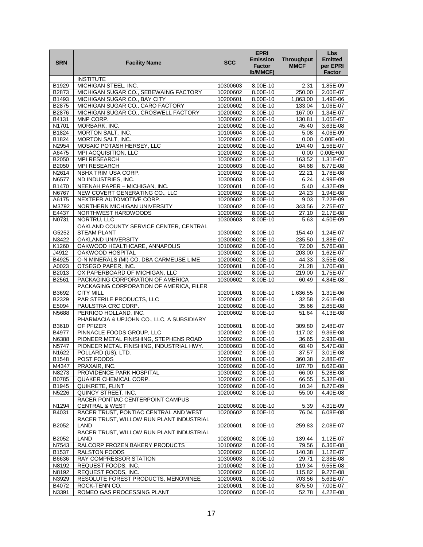| <b>SRN</b>        | <b>Facility Name</b>                                         | SCC                  | <b>EPRI</b><br><b>Emission</b><br><b>Factor</b><br><b>Ib/MMCF)</b> | <b>Throughput</b><br><b>MMCF</b> | <b>Lbs</b><br><b>Emitted</b><br>per EPRI<br>Factor |
|-------------------|--------------------------------------------------------------|----------------------|--------------------------------------------------------------------|----------------------------------|----------------------------------------------------|
|                   | <b>INSTITUTE</b>                                             |                      |                                                                    |                                  |                                                    |
| B <sub>1929</sub> | MICHIGAN STEEL, INC.                                         | 10300603             | 8.00E-10                                                           | 2.31                             | 1.85E-09                                           |
| B2873             | MICHIGAN SUGAR CO., SEBEWAING FACTORY                        | 10200602             | 8.00E-10                                                           | 250.00                           | 2.00E-07                                           |
| B1493             | MICHIGAN SUGAR CO., BAY CITY                                 | 10200601             | 8.00E-10                                                           | 1,863.00                         | 1.49E-06                                           |
| B2875             | MICHIGAN SUGAR CO., CARO FACTORY                             | 10200602             | 8.00E-10                                                           | 133.04                           | 1.06E-07                                           |
| B2876             | MICHIGAN SUGAR CO., CROSWELL FACTORY                         | 10200602             | $8.00E - 10$                                                       | 167.00                           | 1.34E-07                                           |
| B4131             | MNP CORP.                                                    | 10300602             | 8.00E-10                                                           | 130.81                           | $1.05E-07$                                         |
| N1701             | MORBARK. INC.                                                | 10200602             | 8.00E-10                                                           | 45.40                            | 3.63E-08                                           |
| B1824             | MORTON SALT, INC.                                            | 10100604             | 8.00E-10                                                           | 5.08                             | 4.06E-09                                           |
| B1824             | MORTON SALT, INC.                                            | 10200602             | 8.00E-10                                                           | 0.00                             | $0.00E + 00$                                       |
| N2954<br>A6475    | MOSAIC POTASH HERSEY, LLC<br>MPI ACQUISITION, LLC            | 10200602<br>10200602 | 8.00E-10<br>8.00E-10                                               | 194.40<br>0.00                   | 1.56E-07<br>$0.00E + 00$                           |
| B2050             | MPI RESEARCH                                                 | 10300602             | 8.00E-10                                                           | 163.52                           | 1.31E-07                                           |
| B2050             | MPI RESEARCH                                                 | 10300603             | $8.00E - 10$                                                       | 84.68                            | 6.77E-08                                           |
| N2614             | NBHX TRIM USA CORP.                                          | 10200602             | 8.00E-10                                                           | 22.21                            | 1.78E-08                                           |
| N6577             | ND INDUSTRIES, INC.                                          | 10300603             | 8.00E-10                                                           | 6.24                             | 4.99E-09                                           |
| B1470             | <b>NEENAH PAPER - MICHIGAN, INC.</b>                         | 10200601             | 8.00E-10                                                           | 5.40                             | 4.32E-09                                           |
| N6767             | NEW COVERT GENERATING CO., LLC                               | 10200602             | 8.00E-10                                                           | 24.23                            | 1.94E-08                                           |
| A6175             | NEXTEER AUTOMOTIVE CORP.                                     | 10200602             | 8.00E-10                                                           | 9.03                             | 7.22E-09                                           |
| M3792             | NORTHERN MICHIGAN UNIVERSITY                                 | 10300602             | 8.00E-10                                                           | 343.56                           | 2.75E-07                                           |
| E4437             | NORTHWEST HARDWOODS                                          | 10200602             | 8.00E-10                                                           | 27.10                            | 2.17E-08                                           |
| N0731             | NORTRU, LLC                                                  | 10300603             | 8.00E-10                                                           | 5.63                             | 4.50E-09                                           |
| G5252             | OAKLAND COUNTY SERVICE CENTER, CENTRAL<br><b>STEAM PLANT</b> | 10300602             | 8.00E-10                                                           | 154.40                           | 1.24E-07                                           |
| N3422             | OAKLAND UNIVERSITY                                           | 10300602             | 8.00E-10                                                           | 235.50                           | 1.88E-07                                           |
| K1260             | OAKWOOD HEALTHCARE, ANNAPOLIS                                | 10100602             | 8.00E-10                                                           | 72.00                            | 5.76E-08                                           |
| J4912             | OAKWOOD HOSPITAL                                             | 10300602             | 8.00E-10                                                           | 203.00                           | 1.62E-07                                           |
| B4925             | O-N MINERALS (MI) CO. DBA CARMEUSE LIME                      | 10200602             | 8.00E-10                                                           | 44.33                            | 3.55E-08                                           |
| A0023             | OTSEGO PAPER, INC.                                           | 10200601             | 8.00E-10                                                           | 21.28                            | 1.70E-08                                           |
| B2013             | OX PAPERBOARD OF MICHIGAN, LLC                               | 10200602             | 8.00E-10                                                           | 219.00                           | 1.75E-07                                           |
| B2561             | PACKAGING CORPORATION OF AMERICA                             | 10300602             | 8.00E-10                                                           | 60.49                            | 4.84E-08                                           |
| B3692             | PACKAGING CORPORATION OF AMERICA, FILER<br><b>CITY MILL</b>  | 10200601             | 8.00E-10                                                           | 1,636.55                         | 1.31E-06                                           |
| B2329             | PAR STERILE PRODUCTS, LLC                                    | 10200602             | 8.00E-10                                                           | 32.58                            | 2.61E-08                                           |
| E5094             | PAULSTRA CRC CORP.                                           | 10200602             | 8.00E-10                                                           | 35.66                            | 2.85E-08                                           |
| N5688             | PERRIGO HOLLAND, INC.                                        | 10200602             | 8.00E-10                                                           | 51.64                            | 4.13E-08                                           |
| B3610             | PHARMACIA & UPJOHN CO., LLC, A SUBSIDIARY<br>OF PFIZER       | 10200601             | 8.00E-10                                                           | 309.80                           | 2.48E-07                                           |
| B4977             | PINNACLE FOODS GROUP, LLC                                    | 10200602             | 8.00E-10                                                           | 117.02                           | 9.36E-08                                           |
| N6388             | PIONEER METAL FINISHING, STEPHENS ROAD                       | 10200602             | 8.00E-10                                                           | 36.65                            | 2.93E-08                                           |
| N5747             | PIONEER METAL FINISHING, INDUSTRIAL HWY.                     | 10300603             | 8.00E-10                                                           | 68.40                            | 5.47E-08                                           |
| N1622             | POLLARD (US), LTD.                                           | 10200602             | 8.00E-10                                                           | 37.57                            | 3.01E-08                                           |
| <b>B1548</b>      | POST FOODS                                                   | 10200601             | 8.00E-10                                                           | 360.38                           | 2.88F-07                                           |
| M4347             | PRAXAIR, INC.                                                | 10200602             | 8.00E-10                                                           | 107.70                           | 8.62E-08                                           |
| N8273             | PROVIDENCE PARK HOSPITAL                                     | 10300602             | 8.00E-10                                                           | 66.00                            | 5.28E-08                                           |
| B0785             | QUAKER CHEMICAL CORP.                                        | 10200602             | 8.00E-10                                                           | 66.55                            | 5.32E-08                                           |
| B1945             | QUIKRETE, FLINT                                              | 10200602             | 8.00E-10                                                           | 10.34                            | 8.27E-09                                           |
| N5226             | QUINCY STREET, INC.                                          | 10200602             | 8.00E-10                                                           | 55.00                            | 4.40E-08                                           |
|                   | RACER PONTIAC CENTERPOINT CAMPUS                             |                      |                                                                    |                                  |                                                    |
| N1294             | <b>CENTRAL &amp; WEST</b>                                    | 10200602             | 8.00E-10                                                           | 5.39                             | 4.31E-09                                           |
| B4031             | RACER TRUST, PONTIAC CENTRAL AND WEST                        | 10200602             | 8.00E-10                                                           | 76.04                            | 6.08E-08                                           |
| B2052             | RACER TRUST, WILLOW RUN PLANT INDUSTRIAL<br>LAND             | 10200601             | 8.00E-10                                                           | 259.83                           | 2.08E-07                                           |
| B2052             | RACER TRUST, WILLOW RUN PLANT INDUSTRIAL<br>LAND             | 10200602             | 8.00E-10                                                           | 139.44                           | 1.12E-07                                           |
| N7543             | RALCORP FROZEN BAKERY PRODUCTS                               | 10100602             | 8.00E-10                                                           | 79.56                            | 6.36E-08                                           |
| B1537             | <b>RALSTON FOODS</b>                                         | 10200602             | 8.00E-10                                                           | 140.38                           | 1.12E-07                                           |
| B6636             | RAY COMPRESSOR STATION                                       | 10300603             | 8.00E-10                                                           | 29.71                            | 2.38E-08                                           |
| N8192             | REQUEST FOODS, INC.                                          | 10100602             | 8.00E-10                                                           | 119.34                           | 9.55E-08                                           |
| N8192             | REQUEST FOODS, INC.                                          | 10200602             | 8.00E-10                                                           | 115.82                           | 9.27E-08                                           |
| N3929             | RESOLUTE FOREST PRODUCTS, MENOMINEE                          | 10200601             | 8.00E-10                                                           | 703.56                           | 5.63E-07                                           |
| B4072             | ROCK-TENN CO.                                                | 10200601             | 8.00E-10                                                           | 875.50                           | 7.00E-07                                           |
| N3391             | ROMEO GAS PROCESSING PLANT                                   | 10200602             | 8.00E-10                                                           | 52.78                            | 4.22E-08                                           |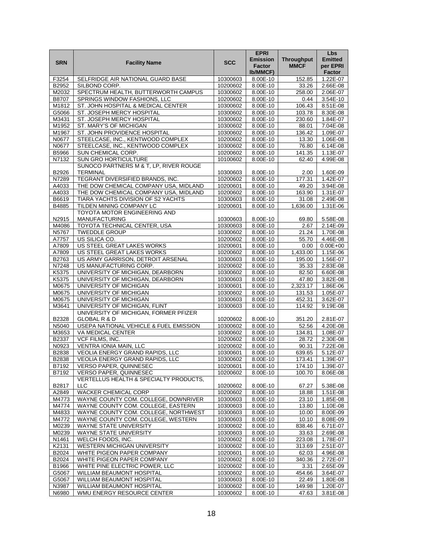|            |                                        |            | <b>EPRI</b>     |                   | <b>Lbs</b>     |
|------------|----------------------------------------|------------|-----------------|-------------------|----------------|
| <b>SRN</b> | <b>Facility Name</b>                   | <b>SCC</b> | <b>Emission</b> | <b>Throughput</b> | <b>Emitted</b> |
|            |                                        |            | <b>Factor</b>   | <b>MMCF</b>       | per EPRI       |
|            |                                        |            | Ib/MMCF)        |                   | Factor         |
| F3254      | SELFRIDGE AIR NATIONAL GUARD BASE      | 10300603   | 8.00E-10        | 152.85            | 1.22E-07       |
| B2952      | SILBOND CORP.                          | 10200602   | 8.00E-10        | 33.26             | 2.66E-08       |
| M2032      | SPECTRUM HEALTH, BUTTERWORTH CAMPUS    | 10300602   | 8.00E-10        | 258.00            | 2.06E-07       |
| B8707      | SPRINGS WINDOW FASHIONS, LLC           | 10200602   | 8.00E-10        | 0.44              | 3.54E-10       |
| M1812      | ST. JOHN HOSPITAL & MEDICAL CENTER     | 10300602   | 8.00E-10        | 106.43            | 8.51E-08       |
| G5066      | ST. JOSEPH MERCY HOSPITAL              | 10300602   | 8.00E-10        | 103.78            | 8.30E-08       |
| M3431      | ST. JOSEPH MERCY HOSPITAL              | 10300602   | 8.00E-10        | 230.60            | 1.84E-07       |
| M1952      | ST. MARY'S OF MICHIGAN                 | 10300602   | 8.00E-10        | 88.01             | 7.04E-08       |
| M1967      | ST. JOHN PROVIDENCE HOSPITAL           | 10300602   | 8.00E-10        | 136.42            | 1.09E-07       |
| N0677      | STEELCASE, INC., KENTWOOD COMPLEX      | 10200602   | 8.00E-10        | 13.30             | 1.06E-08       |
| N0677      | STEELCASE, INC., KENTWOOD COMPLEX      | 10300602   | 8.00E-10        | 76.80             | 6.14E-08       |
| B5966      | SUN CHEMICAL CORP.                     | 10200602   | 8.00E-10        | 141.35            | 1.13E-07       |
| N7132      | <b>SUN GRO HORTICULTURE</b>            | 10100602   | 8.00E-10        | 62.40             | 4.99E-08       |
|            | SUNOCO PARTNERS M & T, LP, RIVER ROUGE |            |                 |                   |                |
| B2926      | <b>TERMINAL</b>                        | 10300603   | 8.00E-10        | 2.00              | 1.60E-09       |
| N7289      | TEGRANT DIVERSIFIED BRANDS, INC.       | 10200602   | 8.00E-10        | 177.31            | 1.42E-07       |
| A4033      | THE DOW CHEMICAL COMPANY USA, MIDLAND  | 10200601   | 8.00E-10        | 49.20             | 3.94E-08       |
| A4033      | THE DOW CHEMICAL COMPANY USA, MIDLAND  | 10200602   | 8.00E-10        | 163.90            | 1.31E-07       |
| B6619      | TIARA YACHTS DIVISION OF S2 YACHTS     | 10300603   | 8.00E-10        | 31.08             | 2.49E-08       |
| B4885      | TILDEN MINING COMPANY LC               | 10200601   | 8.00E-10        | 1,636.00          | 1.31E-06       |
|            | TOYOTA MOTOR ENGINEERING AND           |            |                 |                   |                |
| N2915      | <b>MANUFACTURING</b>                   | 10300603   | 8.00E-10        | 69.80             | 5.58E-08       |
| M4086      | TOYOTA TECHNICAL CENTER, USA           | 10300603   | 8.00E-10        | 2.67              | 2.14E-09       |
| N5767      | <b>TWEDDLE GROUP</b>                   | 10300602   | 8.00E-10        | 21.24             | 1.70E-08       |
| A7757      | US SILICA CO.                          | 10200602   | 8.00E-10        | 55.70             | 4.46E-08       |
| A7809      | US STEEL GREAT LAKES WORKS             | 10200601   | 8.00E-10        | 0.00              | $0.00E + 00$   |
| A7809      | US STEEL GREAT LAKES WORKS             | 10200602   | 8.00E-10        | 1,433.00          | 1.15E-06       |
| B2763      | US ARMY GARRISON, DETROIT ARSENAL      | 10300603   | 8.00E-10        | 195.00            | 1.56E-07       |
| N7248      | US MANUFACTURING CORP.                 | 10200602   | 8.00E-10        | 35.33             | 2.83E-08       |
| K5375      | UNIVERSITY OF MICHIGAN, DEARBORN       | 10300602   | $8.00E - 10$    | 82.50             | 6.60E-08       |
| K5375      | UNIVERSITY OF MICHIGAN, DEARBORN       | 10300603   | 8.00E-10        | 47.80             | 3.82E-08       |
| M0675      | UNIVERSITY OF MICHIGAN                 | 10300601   | 8.00E-10        | 2,323.17          | 1.86E-06       |
| M0675      | UNIVERSITY OF MICHIGAN                 | 10300602   | 8.00E-10        | 131.53            | 1.05E-07       |
| M0675      | UNIVERSITY OF MICHIGAN                 | 10300603   | 8.00E-10        | 452.31            | 3.62E-07       |
| M3641      | UNIVERSITY OF MICHIGAN, FLINT          | 10300603   | 8.00E-10        | 114.92            | 9.19E-08       |
|            | UNIVERSITY OF MICHIGAN, FORMER PFIZER  |            |                 |                   |                |
| B2328      | <b>GLOBAL R &amp; D</b>                | 10200602   | 8.00E-10        | 351.20            | 2.81E-07       |
| N5040      | USEPA NATIONAL VEHICLE & FUEL EMISSION | 10300602   | 8.00E-10        | 52.56             | 4.20E-08       |
| M3653      | VA MEDICAL CENTER                      | 10300602   | 8.00E-10        | 134.81            | 1.08E-07       |
| B2337      | VCF FILMS, INC.                        | 10200602   | 8.00E-10        | 28.72             | 2.30E-08       |
| N0923      | <b>VENTRA IONIA MAIN, LLC</b>          | 10200602   | 8.00E-10        | 90.31             | 7.22E-08       |
| B2838      | <b>VEOLIA ENERGY GRAND RAPIDS, LLC</b> | 10300601   | 8.00E-10        | 639.65            | 5.12E-07       |
| B2838      | <b>VEOLIA ENERGY GRAND RAPIDS. LLC</b> | 10300602   | 8.00E-10        | 173.41            | 1.39F-07       |
| B7192      | VERSO PAPER, QUINNESEC                 | 10200601   | 8.00E-10        | 174.10            | 1.39E-07       |
| B7192      | VERSO PAPER, QUINNESEC                 | 10200602   | 8.00E-10        | 100.70            | 8.06E-08       |
|            | VERTELLUS HEALTH & SPECIALTY PRODUCTS, |            |                 |                   |                |
| B2817      | <b>LLC</b>                             | 10200602   | 8.00E-10        | 67.27             | 5.38E-08       |
| A2849      | <b>WACKER CHEMICAL CORP</b>            | 10200602   | 8.00E-10        | 18.88             | 1.51E-08       |
| M4773      | WAYNE COUNTY COM. COLLEGE, DOWNRIVER   | 10300603   | 8.00E-10        | 23.10             | 1.85E-08       |
| M4774      | WAYNE COUNTY COM. COLLEGE, EASTERN     | 10300603   | 8.00E-10        | 13.80             | 1.10E-08       |
| M4833      | WAYNE COUNTY COM. COLLEGE, NORTHWEST   | 10300603   | 8.00E-10        | 10.00             | 8.00E-09       |
| M4772      | WAYNE COUNTY COM. COLLEGE, WESTERN     | 10300603   | 8.00E-10        | 10.10             | 8.08E-09       |
| M0239      | WAYNE STATE UNIVERSITY                 | 10300602   | 8.00E-10        | 838.46            | 6.71E-07       |
| M0239      | WAYNE STATE UNIVERSITY                 | 10300603   | 8.00E-10        | 33.63             | 2.69E-08       |
| N1461      | WELCH FOODS, INC.                      | 10200602   | 8.00E-10        | 223.08            | 1.78E-07       |
| K2131      | WESTERN MICHIGAN UNIVERSITY            | 10300602   | 8.00E-10        | 313.69            | 2.51E-07       |
| B2024      | WHITE PIGEON PAPER COMPANY             | 10200601   | 8.00E-10        | 62.03             | 4.96E-08       |
| B2024      | WHITE PIGEON PAPER COMPANY             | 10200602   | 8.00E-10        | 340.36            | 2.72E-07       |
| B1966      | WHITE PINE ELECTRIC POWER, LLC         | 10200602   | 8.00E-10        | 3.31              | 2.65E-09       |
| G5067      | WILLIAM BEAUMONT HOSPITAL              | 10300602   | 8.00E-10        | 454.66            | $3.64E - 07$   |
| G5067      | WILLIAM BEAUMONT HOSPITAL              | 10300603   | 8.00E-10        | 22.49             | 1.80E-08       |
| N3987      | WILLIAM BEAUMONT HOSPITAL              | 10300602   | 8.00E-10        | 149.98            | 1.20E-07       |
| N6980      | WMU ENERGY RESOURCE CENTER             | 10300602   | 8.00E-10        | 47.63             | 3.81E-08       |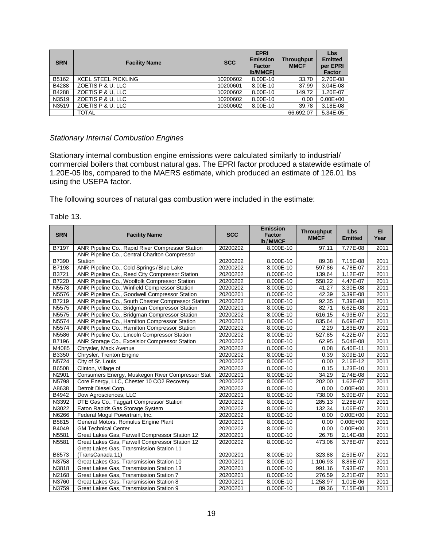| <b>SRN</b> | <b>Facility Name</b>       | <b>SCC</b> | <b>EPRI</b><br><b>Emission</b><br><b>Factor</b><br><b>Ib/MMCF)</b> | <b>Throughput</b><br><b>MMCF</b> | Lbs<br><b>Emitted</b><br>per EPRI<br>Factor |
|------------|----------------------------|------------|--------------------------------------------------------------------|----------------------------------|---------------------------------------------|
| B5162      | <b>XCEL STEEL PICKLING</b> | 10200602   | 8.00E-10                                                           | 33.70                            | 2.70E-08                                    |
| B4288      | ZOETIS P & U, LLC          | 10200601   | 8.00E-10                                                           | 37.99                            | 3.04E-08                                    |
| B4288      | ZOETIS P & U. LLC          | 10200602   | 8.00E-10                                                           | 149.72                           | 1.20E-07                                    |
| N3519      | ZOETIS P & U, LLC          | 10200602   | 8.00E-10                                                           | 0.00                             | $0.00E + 00$                                |
| N3519      | ZOETIS P & U. LLC          | 10300602   | 8.00E-10                                                           | 39.78                            | 3.18E-08                                    |
|            | <b>TOTAL</b>               |            |                                                                    | 66.692.07                        | 5.34E-05                                    |

#### *Stationary Internal Combustion Engines*

Stationary internal combustion engine emissions were calculated similarly to industrial/ commercial boilers that combust natural gas. The EPRI factor produced a statewide estimate of 1.20E-05 lbs, compared to the MAERS estimate, which produced an estimate of 126.01 lbs using the USEPA factor.

The following sources of natural gas combustion were included in the estimate:

| Table 13. |  |
|-----------|--|
|-----------|--|

| <b>SRN</b> | <b>Facility Name</b>                               | <b>SCC</b> | <b>Emission</b><br><b>Factor</b><br><b>Ib/MMCF</b> | <b>Throughput</b><br><b>MMCF</b> | <b>Lbs</b><br><b>Emitted</b> | EI.<br>Year |
|------------|----------------------------------------------------|------------|----------------------------------------------------|----------------------------------|------------------------------|-------------|
| B7197      | ANR Pipeline Co., Rapid River Compressor Station   | 20200202   | 8.000E-10                                          | 97.11                            | 7.77E-08                     | 2011        |
|            | ANR Pipeline Co., Central Charlton Compressor      |            |                                                    |                                  |                              |             |
| B7390      | Station                                            | 20200202   | 8.000E-10                                          | 89.38                            | 7.15E-08                     | 2011        |
| B7198      | ANR Pipeline Co., Cold Springs / Blue Lake         | 20200202   | 8.000E-10                                          | 597.86                           | 4.78E-07                     | 2011        |
| B3721      | ANR Pipeline Co., Reed City Compressor Station     | 20200202   | 8.000E-10                                          | 139.64                           | 1.12E-07                     | 2011        |
| B7220      | ANR Pipeline Co., Woolfolk Compressor Station      | 20200202   | 8.000E-10                                          | 558.22                           | 4.47E-07                     | 2011        |
| N5578      | ANR Pipeline Co., Winfield Compressor Station      | 20200202   | 8.000E-10                                          | 41.27                            | 3.30E-08                     | 2011        |
| N5576      | ANR Pipeline Co., Goodwell Compressor Station      | 20200201   | 8.000E-10                                          | 42.39                            | 3.39E-08                     | 2011        |
| B7219      | ANR Pipeline Co., South Chester Compressor Station | 20200202   | 8.000E-10                                          | 92.35                            | 7.39E-08                     | 2011        |
| N5575      | ANR Pipeline Co., Bridgman Compressor Station      | 20200201   | 8.000E-10                                          | 82.71                            | 6.62E-08                     | 2011        |
| N5575      | ANR Pipeline Co., Bridgman Compressor Station      | 20200202   | 8.000E-10                                          | 616.15                           | 4.93E-07                     | 2011        |
| N5574      | ANR Pipeline Co., Hamilton Compressor Station      | 20200201   | 8.000E-10                                          | 835.64                           | 6.69E-07                     | 2011        |
| N5574      | ANR Pipeline Co., Hamilton Compressor Station      | 20200202   | 8.000E-10                                          | 2.29                             | 1.83E-09                     | 2011        |
| N5586      | ANR Pipeline Co., Lincoln Compressor Station       | 20200202   | 8.000E-10                                          | 527.85                           | 4.22E-07                     | 2011        |
| B7196      | ANR Storage Co., Excelsior Compressor Station      | 20200202   | 8.000E-10                                          | 62.95                            | 5.04E-08                     | 2011        |
| M4085      | Chrysler, Mack Avenue                              | 20200202   | 8.000E-10                                          | 0.08                             | 6.40E-11                     | 2011        |
| B3350      | Chrysler, Trenton Engine                           | 20200202   | 8.000E-10                                          | 0.39                             | 3.09E-10                     | 2011        |
| N5724      | City of St. Louis                                  | 20200202   | 8.000E-10                                          | 0.00                             | 2.16E-12                     | 2011        |
| B6508      | Clinton, Village of                                | 20200202   | 8.000E-10                                          | 0.15                             | 1.23E-10                     | 2011        |
| N2901      | Consumers Energy, Muskegon River Compressor Stat   | 20200201   | 8.000E-10                                          | 34.29                            | 2.74E-08                     | 2011        |
| N5798      | Core Energy, LLC, Chester 10 CO2 Recovery          | 20200202   | 8.000E-10                                          | 202.00                           | $1.62E - 07$                 | 2011        |
| A8638      | Detroit Diesel Corp.                               | 20200202   | 8.000E-10                                          | 0.00                             | $0.00E + 00$                 | 2011        |
| B4942      | Dow Agrosciences, LLC                              | 20200201   | 8.000E-10                                          | 738.00                           | 5.90E-07                     | 2011        |
| N3392      | DTE Gas Co., Taggart Compressor Station            | 20200202   | 8.000E-10                                          | 285.13                           | 2.28E-07                     | 2011        |
| N3022      | Eaton Rapids Gas Storage System                    | 20200202   | 8.000E-10                                          | 132.34                           | 1.06E-07                     | 2011        |
| N6266      | Federal Mogul Powertrain, Inc.                     | 20200202   | 8.000E-10                                          | 0.00                             | $0.00E + 00$                 | 2011        |
| B5815      | General Motors, Romulus Engine Plant               | 20200201   | 8.000E-10                                          | 0.00                             | $0.00E + 00$                 | 2011        |
| B4049      | <b>GM Technical Center</b>                         | 20200202   | 8.000E-10                                          | 0.00                             | $0.00E + 00$                 | 2011        |
| N5581      | Great Lakes Gas, Farwell Compressor Station 12     | 20200201   | 8.000E-10                                          | 26.78                            | 2.14E-08                     | 2011        |
| N5581      | Great Lakes Gas, Farwell Compressor Station 12     | 20200202   | 8.000E-10                                          | 473.06                           | 3.78E-07                     | 2011        |
|            | Great Lakes Gas, Transmission Station 11           |            |                                                    |                                  |                              |             |
| B8573      | (TransCanada 11)                                   | 20200201   | 8.000E-10                                          | 323.88                           | 2.59E-07                     | 2011        |
| N3758      | Great Lakes Gas, Transmission Station 10           | 20200201   | 8.000E-10                                          | 1,106.93                         | 8.86E-07                     | 2011        |
| N3818      | Great Lakes Gas, Transmission Station 13           | 20200201   | 8.000E-10                                          | 991.16                           | 7.93E-07                     | 2011        |
| N2168      | Great Lakes Gas, Transmission Station 7            | 20200201   | 8.000E-10                                          | 276.59                           | 2.21E-07                     | 2011        |
| N3760      | Great Lakes Gas, Transmission Station 8            | 20200201   | 8.000E-10                                          | 1,258.97                         | 1.01E-06                     | 2011        |
| N3759      | Great Lakes Gas, Transmission Station 9            | 20200201   | 8.000E-10                                          | 89.36                            | 7.15E-08                     | 2011        |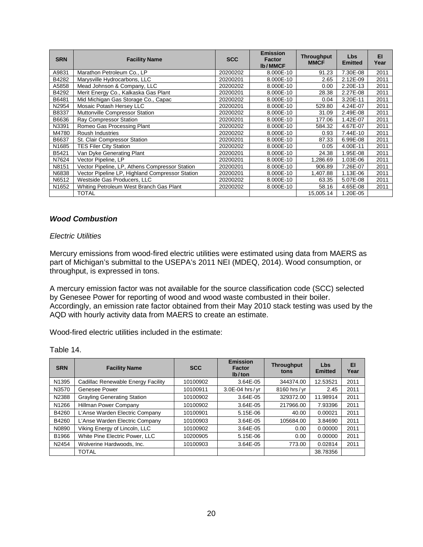| <b>SRN</b>        | <b>Facility Name</b>                            | <b>SCC</b> | <b>Emission</b><br><b>Factor</b><br><b>Ib/MMCF</b> | <b>Throughput</b><br><b>MMCF</b> | <b>Lbs</b><br><b>Emitted</b> | EI.<br>Year |
|-------------------|-------------------------------------------------|------------|----------------------------------------------------|----------------------------------|------------------------------|-------------|
| A9831             | Marathon Petroleum Co., LP                      | 20200202   | 8.000E-10                                          | 91.23                            | 7.30E-08                     | 2011        |
| B4282             | Marysville Hydrocarbons, LLC                    | 20200201   | 8.000E-10                                          | 2.65                             | 2.12E-09                     | 2011        |
| A5858             | Mead Johnson & Company, LLC                     | 20200202   | 8.000E-10                                          | 0.00                             | 2.20E-13                     | 2011        |
| B4292             | Merit Energy Co., Kalkaska Gas Plant            | 20200201   | 8.000E-10                                          | 28.38                            | 2.27E-08                     | 2011        |
| B6481             | Mid Michigan Gas Storage Co., Capac             | 20200202   | 8.000E-10                                          | 0.04                             | 3.20E-11                     | 2011        |
| N2954             | Mosaic Potash Hersey LLC                        | 20200201   | 8.000E-10                                          | 529.80                           | 4.24E-07                     | 2011        |
| B8337             | Muttonville Compressor Station                  | 20200202   | 8.000E-10                                          | 31.09                            | 2.49E-08                     | 2011        |
| B6636             | <b>Ray Compressor Station</b>                   | 20200201   | 8.000E-10                                          | 177.06                           | 1.42E-07                     | 2011        |
| N3391             | Romeo Gas Processing Plant                      | 20200202   | 8.000E-10                                          | 584.32                           | 4.67E-07                     | 2011        |
| M4780             | <b>Roush Industries</b>                         | 20200202   | 8.000E-10                                          | 0.93                             | 7.44E-10                     | 2011        |
| B6637             | St. Clair Compressor Station                    | 20200201   | 8.000E-10                                          | 87.33                            | 6.99E-08                     | 2011        |
| N <sub>1685</sub> | <b>TES Filer City Station</b>                   | 20200202   | 8.000E-10                                          | 0.05                             | 4.00E-11                     | 2011        |
| B5421             | Van Dyke Generating Plant                       | 20200201   | 8.000E-10                                          | 24.38                            | 1.95E-08                     | 2011        |
| N7624             | Vector Pipeline, LP                             | 20200201   | 8.000E-10                                          | 1,286.69                         | 1.03E-06                     | 2011        |
| N8151             | Vector Pipeline, LP, Athens Compressor Station  | 20200201   | 8.000E-10                                          | 906.89                           | 7.26E-07                     | 2011        |
| N6838             | Vector Pipeline LP, Highland Compressor Station | 20200201   | 8.000E-10                                          | 1.407.88                         | 1.13E-06                     | 2011        |
| N6512             | Westside Gas Producers, LLC                     | 20200202   | 8.000E-10                                          | 63.35                            | 5.07E-08                     | 2011        |
| N <sub>1652</sub> | Whiting Petroleum West Branch Gas Plant         | 20200202   | 8.000E-10                                          | 58.16                            | 4.65E-08                     | 2011        |
|                   | TOTAL                                           |            |                                                    | 15,005.14                        | 1.20E-05                     |             |

# <span id="page-22-0"></span>*Wood Combustion*

#### *Electric Utilities*

Mercury emissions from wood-fired electric utilities were estimated using data from MAERS as part of Michigan's submittal to the USEPA's 2011 NEI (MDEQ, 2014). Wood consumption, or throughput, is expressed in tons.

A mercury emission factor was not available for the source classification code (SCC) selected by Genesee Power for reporting of wood and wood waste combusted in their boiler. Accordingly, an emission rate factor obtained from their May 2010 stack testing was used by the AQD with hourly activity data from MAERS to create an estimate.

Wood-fired electric utilities included in the estimate:

| Table 14. |
|-----------|
|           |

| <b>SRN</b> | <b>Facility Name</b>               | <b>SCC</b> | <b>Emission</b><br><b>Factor</b><br>lb/ton | <b>Throughput</b><br>tons | Lbs<br><b>Emitted</b> | EI<br>Year |
|------------|------------------------------------|------------|--------------------------------------------|---------------------------|-----------------------|------------|
| N1395      | Cadillac Renewable Energy Facility | 10100902   | 3.64E-05                                   | 344374.00                 | 12.53521              | 2011       |
| N3570      | Genesee Power                      | 10100911   | 3.0E-04 hrs/yr                             | 8160 hrs/yr               | 2.45                  | 2011       |
| N2388      | <b>Grayling Generating Station</b> | 10100902   | 3.64E-05                                   | 329372.00                 | 11.98914              | 2011       |
| N1266      | Hillman Power Company              | 10100902   | 3.64E-05                                   | 217966.00                 | 7.93396               | 2011       |
| B4260      | L'Anse Warden Electric Company     | 10100901   | $5.15E - 06$                               | 40.00                     | 0.00021               | 2011       |
| B4260      | L'Anse Warden Electric Company     | 10100903   | 3.64E-05                                   | 105684.00                 | 3.84690               | 2011       |
| N0890      | Viking Energy of Lincoln, LLC      | 10100902   | 3.64E-05                                   | 0.00                      | 0.00000               | 2011       |
| B1966      | White Pine Electric Power, LLC     | 10200905   | $5.15E - 06$                               | 0.00                      | 0.00000               | 2011       |
| N2454      | Wolverine Hardwoods, Inc.          | 10100903   | 3.64E-05                                   | 773.00                    | 0.02814               | 2011       |
|            | <b>TOTAL</b>                       |            |                                            |                           | 38.78356              |            |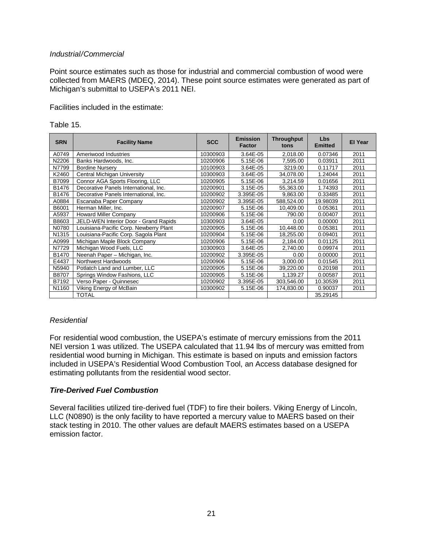#### *Industrial/Commercial*

Point source estimates such as those for industrial and commercial combustion of wood were collected from MAERS (MDEQ, 2014). These point source estimates were generated as part of Michigan's submittal to USEPA's 2011 NEI.

Facilities included in the estimate:

| <b>SRN</b> | <b>Facility Name</b>                   | <b>SCC</b> | <b>Emission</b><br>Factor | <b>Throughput</b><br>tons | <b>Lbs</b><br><b>Emitted</b> | <b>El Year</b> |
|------------|----------------------------------------|------------|---------------------------|---------------------------|------------------------------|----------------|
| A0749      | Ameriwood Industries                   | 10300903   | 3.64E-05                  | 2,018.00                  | 0.07346                      | 2011           |
| N2206      | Banks Hardwoods, Inc.                  | 10200906   | 5.15E-06                  | 7,595.00                  | 0.03911                      | 2011           |
| N7799      | <b>Bordine Nursery</b>                 | 10100903   | 3.64E-05                  | 3219.00                   | 0.11717                      | 2011           |
| K2460      | Central Michigan University            | 10300903   | 3.64E-05                  | 34,078.00                 | 1.24044                      | 2011           |
| B7099      | Connor AGA Sports Flooring, LLC        | 10200905   | 5.15E-06                  | 3,214.59                  | 0.01656                      | 2011           |
| B1476      | Decorative Panels International, Inc.  | 10200901   | $3.15E - 05$              | 55,363.00                 | 1.74393                      | 2011           |
| B1476      | Decorative Panels International, Inc.  | 10200902   | 3.395E-05                 | 9,863.00                  | 0.33485                      | 2011           |
| A0884      | Escanaba Paper Company                 | 10200902   | 3.395E-05                 | 588,524.00                | 19.98039                     | 2011           |
| B6001      | Herman Miller, Inc.                    | 10200907   | 5.15E-06                  | 10,409.00                 | 0.05361                      | 2011           |
| A5937      | <b>Howard Miller Company</b>           | 10200906   | $5.15E-06$                | 790.00                    | 0.00407                      | 2011           |
| B8603      | JELD-WEN Interior Door - Grand Rapids  | 10300903   | 3.64E-05                  | 0.00                      | 0.00000                      | 2011           |
| N0780      | Louisiana-Pacific Corp. Newberry Plant | 10200905   | 5.15E-06                  | 10,448.00                 | 0.05381                      | 2011           |
| N1315      | Louisiana-Pacific Corp. Sagola Plant   | 10200904   | 5.15E-06                  | 18,255.00                 | 0.09401                      | 2011           |
| A0999      | Michigan Maple Block Company           | 10200906   | 5.15E-06                  | 2,184.00                  | 0.01125                      | 2011           |
| N7729      | Michigan Wood Fuels, LLC               | 10300903   | 3.64E-05                  | 2,740.00                  | 0.09974                      | 2011           |
| B1470      | Neenah Paper - Michigan, Inc.          | 10200902   | 3.395E-05                 | 0.00                      | 0.00000                      | 2011           |
| E4437      | Northwest Hardwoods                    | 10200906   | $5.15E-06$                | 3,000.00                  | 0.01545                      | 2011           |
| N5940      | Potlatch Land and Lumber, LLC          | 10200905   | 5.15E-06                  | 39,220.00                 | 0.20198                      | 2011           |
| B8707      | Springs Window Fashions, LLC           | 10200905   | 5.15E-06                  | 1,139.27                  | 0.00587                      | 2011           |
| B7192      | Verso Paper - Quinnesec                | 10200902   | 3.395E-05                 | 303,546.00                | 10.30539                     | 2011           |
| N1160      | Viking Energy of McBain                | 10300902   | 5.15E-06                  | 174,830.00                | 0.90037                      | 2011           |
|            | <b>TOTAL</b>                           |            |                           |                           | 35.29145                     |                |

Table 15.

#### *Residential*

For residential wood combustion, the USEPA's estimate of mercury emissions from the 2011 NEI version 1 was utilized. The USEPA calculated that 11.94 lbs of mercury was emitted from residential wood burning in Michigan. This estimate is based on inputs and emission factors included in USEPA's Residential Wood Combustion Tool, an Access database designed for estimating pollutants from the residential wood sector.

#### *Tire-Derived Fuel Combustion*

Several facilities utilized tire-derived fuel (TDF) to fire their boilers. Viking Energy of Lincoln, LLC (N0890) is the only facility to have reported a mercury value to MAERS based on their stack testing in 2010. The other values are default MAERS estimates based on a USEPA emission factor.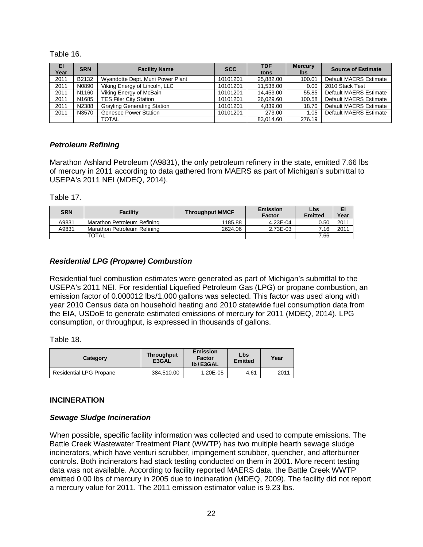Table 16.

| EI<br>Year | <b>SRN</b> | <b>Facility Name</b>               | <b>SCC</b> | <b>TDF</b><br>tons | <b>Mercury</b><br><b>lbs</b> | <b>Source of Estimate</b> |
|------------|------------|------------------------------------|------------|--------------------|------------------------------|---------------------------|
| 2011       | B2132      | Wyandotte Dept. Muni Power Plant   | 10101201   | 25.882.00          | 100.01                       | Default MAERS Estimate    |
| 2011       | N0890      | Viking Energy of Lincoln, LLC      | 10101201   | 11,538.00          | 0.00                         | 2010 Stack Test           |
| 2011       | N1160      | Viking Energy of McBain            | 10101201   | 14.453.00          | 55.85                        | Default MAERS Estimate    |
| 2011       | N1685      | <b>TES Filer City Station</b>      | 10101201   | 26.029.60          | 100.58                       | Default MAERS Estimate    |
| 2011       | N2388      | <b>Grayling Generating Station</b> | 10101201   | 4.839.00           | 18.70                        | Default MAERS Estimate    |
| 2011       | N3570      | <b>Genesee Power Station</b>       | 10101201   | 273.00             | 1.05                         | Default MAERS Estimate    |
|            |            | TOTAL                              |            | 83.014.60          | 276.19                       |                           |

#### <span id="page-24-0"></span>*Petroleum Refining*

Marathon Ashland Petroleum (A9831), the only petroleum refinery in the state, emitted 7.66 lbs of mercury in 2011 according to data gathered from MAERS as part of Michigan's submittal to USEPA's 2011 NEI (MDEQ, 2014).

Table 17.

| <b>SRN</b> | <b>Facility</b>             | <b>Throughput MMCF</b> | <b>Emission</b><br><b>Factor</b> | Lbs<br>Emitted | EI<br>Year |
|------------|-----------------------------|------------------------|----------------------------------|----------------|------------|
| A9831      | Marathon Petroleum Refining | 1185.88                | 4.23E-04                         | 0.50           | 2011       |
| A9831      | Marathon Petroleum Refining | 2624.06                | 2.73E-03                         | 7.16           | 2011       |
|            | <b>TOTAL</b>                |                        |                                  | 7.66           |            |

#### <span id="page-24-1"></span>*Residential LPG (Propane) Combustion*

Residential fuel combustion estimates were generated as part of Michigan's submittal to the USEPA's 2011 NEI. For residential Liquefied Petroleum Gas (LPG) or propane combustion, an emission factor of 0.000012 lbs/1,000 gallons was selected. This factor was used along with year 2010 Census data on household heating and 2010 statewide fuel consumption data from the EIA, USDoE to generate estimated emissions of mercury for 2011 (MDEQ, 2014). LPG consumption, or throughput, is expressed in thousands of gallons.

Table 18.

| Category                       | <b>Throughput</b><br>E3GAL | Emission<br><b>Factor</b><br>lb/E3GAL | Lbs<br><b>Emitted</b> | Year |
|--------------------------------|----------------------------|---------------------------------------|-----------------------|------|
| <b>Residential LPG Propane</b> | 384.510.00                 | 1.20E-05                              | 4.61                  | 2011 |

#### <span id="page-24-2"></span>**INCINERATION**

#### <span id="page-24-3"></span>*Sewage Sludge Incineration*

When possible, specific facility information was collected and used to compute emissions. The Battle Creek Wastewater Treatment Plant (WWTP) has two multiple hearth sewage sludge incinerators, which have venturi scrubber, impingement scrubber, quencher, and afterburner controls. Both incinerators had stack testing conducted on them in 2001. More recent testing data was not available. According to facility reported MAERS data, the Battle Creek WWTP emitted 0.00 lbs of mercury in 2005 due to incineration (MDEQ, 2009). The facility did not report a mercury value for 2011. The 2011 emission estimator value is 9.23 lbs.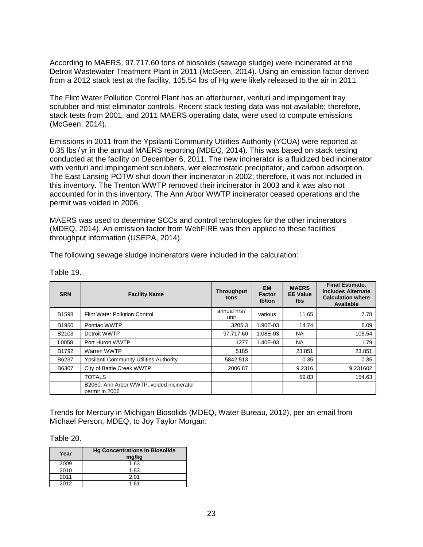According to MAERS, 97,717.60 tons of biosolids (sewage sludge) were incinerated at the Detroit Wastewater Treatment Plant in 2011 (McGeen, 2014). Using an emission factor derived from a 2012 stack test at the facility, 105.54 lbs of Hg were likely released to the air in 2011.

The Flint Water Pollution Control Plant has an afterburner, venturi and impingement tray scrubber and mist eliminator controls. Recent stack testing data was not available; therefore, stack tests from 2001, and 2011 MAERS operating data, were used to compute emissions (McGeen, 2014).

Emissions in 2011 from the Ypsilanti Community Utilities Authority (YCUA) were reported at 0.35 lbs / yr in the annual MAERS reporting (MDEQ, 2014). This was based on stack testing conducted at the facility on December 6, 2011. The new incinerator is a fluidized bed incinerator with venturi and impingement scrubbers, wet electrostatic precipitator, and carbon adsorption. The East Lansing POTW shut down their incinerator in 2002; therefore, it was not included in this inventory. The Trenton WWTP removed their incinerator in 2003 and it was also not accounted for in this inventory. The Ann Arbor WWTP incinerator ceased operations and the permit was voided in 2006.

MAERS was used to determine SCCs and control technologies for the other incinerators (MDEQ, 2014). An emission factor from WebFIRE was then applied to these facilities' throughput information (USEPA, 2014).

The following sewage sludge incinerators were included in the calculation:

| <b>SRN</b> | <b>Facility Name</b>                                        | <b>Throughput</b><br>tons | <b>EM</b><br><b>Factor</b><br>lb/ton | <b>MAERS</b><br><b>EE Value</b><br>lbs. | <b>Final Estimate,</b><br>includes Alternate<br><b>Calculation where</b><br>Available |
|------------|-------------------------------------------------------------|---------------------------|--------------------------------------|-----------------------------------------|---------------------------------------------------------------------------------------|
| B1598      | <b>Flint Water Pollution Control</b>                        | annual hrs/<br>unit       | various                              | 11.65                                   | 7.78                                                                                  |
| B1950      | Pontiac WWTP                                                | 3205.3                    | 1.90E-03                             | 14.74                                   | 6.09                                                                                  |
| B2103      | Detroit WWTP                                                | 97,717.60                 | 1.08E-03                             | <b>NA</b>                               | 105.54                                                                                |
| L0058      | Port Huron WWTP                                             | 1277                      | 1.40E-03                             | NA.                                     | 1.79                                                                                  |
| B1792      | Warren WWTP                                                 | 5185                      |                                      | 23.851                                  | 23.851                                                                                |
| B6237      | <b>Ypsilanti Community Utilities Authority</b>              | 5842.513                  |                                      | 0.35                                    | 0.35                                                                                  |
| B6307      | City of Battle Creek WWTP                                   | 2006.87                   |                                      | 9.2316                                  | 9.231602                                                                              |
|            | <b>TOTALS</b>                                               |                           |                                      | 59.83                                   | 154.63                                                                                |
|            | B2060, Ann Arbor WWTP, voided incinerator<br>permit in 2006 |                           |                                      |                                         |                                                                                       |

Table 19.

Trends for Mercury in Michigan Biosolids (MDEQ, Water Bureau, 2012), per an email from Michael Person, MDEQ, to Joy Taylor Morgan:

Table 20.

| Year | <b>Hg Concentrations in Biosolids</b><br>mg/kg |
|------|------------------------------------------------|
| 2009 | 1.63                                           |
| 2010 | 1.83                                           |
| 2011 | 2.01                                           |
| 2012 | 1.61                                           |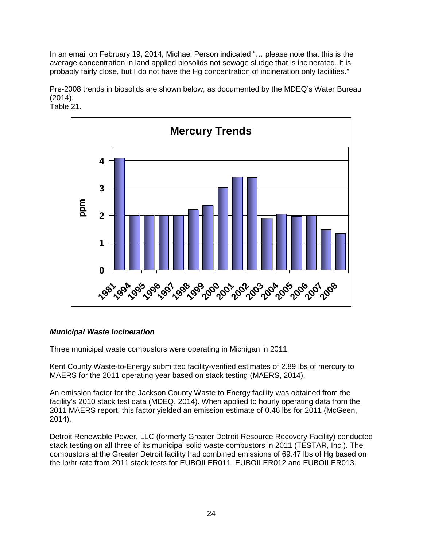In an email on February 19, 2014, Michael Person indicated "… please note that this is the average concentration in land applied biosolids not sewage sludge that is incinerated. It is probably fairly close, but I do not have the Hg concentration of incineration only facilities."

Pre-2008 trends in biosolids are shown below, as documented by the MDEQ's Water Bureau (2014).



# <span id="page-26-0"></span>*Municipal Waste Incineration*

Three municipal waste combustors were operating in Michigan in 2011.

Kent County Waste-to-Energy submitted facility-verified estimates of 2.89 lbs of mercury to MAERS for the 2011 operating year based on stack testing (MAERS, 2014).

An emission factor for the Jackson County Waste to Energy facility was obtained from the facility's 2010 stack test data (MDEQ, 2014). When applied to hourly operating data from the 2011 MAERS report, this factor yielded an emission estimate of 0.46 lbs for 2011 (McGeen, 2014).

Detroit Renewable Power, LLC (formerly Greater Detroit Resource Recovery Facility) conducted stack testing on all three of its municipal solid waste combustors in 2011 (TESTAR, Inc.). The combustors at the Greater Detroit facility had combined emissions of 69.47 lbs of Hg based on the lb/hr rate from 2011 stack tests for EUBOILER011, EUBOILER012 and EUBOILER013.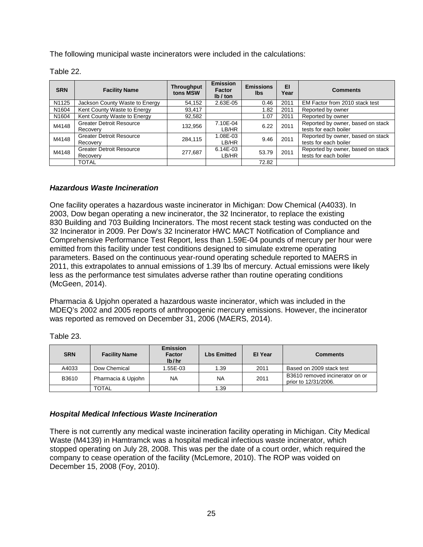The following municipal waste incinerators were included in the calculations:

| Table 22 |  |
|----------|--|
|----------|--|

| <b>SRN</b>        | <b>Facility Name</b>                        | <b>Throughput</b><br>tons MSW | Emission<br>Factor<br>Ib / ton | <b>Emissions</b><br>lbs. | EI<br>Year | <b>Comments</b>                                            |
|-------------------|---------------------------------------------|-------------------------------|--------------------------------|--------------------------|------------|------------------------------------------------------------|
| N1125             | Jackson County Waste to Energy              | 54,152                        | 2.63E-05                       | 0.46                     | 2011       | EM Factor from 2010 stack test                             |
| N1604             | Kent County Waste to Energy                 | 93,417                        |                                | 1.82                     | 2011       | Reported by owner                                          |
| N <sub>1604</sub> | Kent County Waste to Energy                 | 92,582                        |                                | 1.07                     | 2011       | Reported by owner                                          |
| M4148             | <b>Greater Detroit Resource</b><br>Recovery | 132,956                       | 7.10E-04<br>LB/HR              | 6.22                     | 2011       | Reported by owner, based on stack<br>tests for each boiler |
| M4148             | <b>Greater Detroit Resource</b><br>Recovery | 284,115                       | 1.08E-03<br>LB/HR              | 9.46                     | 2011       | Reported by owner, based on stack<br>tests for each boiler |
| M4148             | <b>Greater Detroit Resource</b><br>Recovery | 277,687                       | $6.14E-03$<br>LB/HR            | 53.79                    | 2011       | Reported by owner, based on stack<br>tests for each boiler |
|                   | <b>TOTAL</b>                                |                               |                                | 72.82                    |            |                                                            |

# <span id="page-27-0"></span>*Hazardous Waste Incineration*

One facility operates a hazardous waste incinerator in Michigan: Dow Chemical (A4033). In 2003, Dow began operating a new incinerator, the 32 Incinerator, to replace the existing 830 Building and 703 Building Incinerators. The most recent stack testing was conducted on the 32 Incinerator in 2009. Per Dow's 32 Incinerator HWC MACT Notification of Compliance and Comprehensive Performance Test Report, less than 1.59E-04 pounds of mercury per hour were emitted from this facility under test conditions designed to simulate extreme operating parameters. Based on the continuous year-round operating schedule reported to MAERS in 2011, this extrapolates to annual emissions of 1.39 lbs of mercury. Actual emissions were likely less as the performance test simulates adverse rather than routine operating conditions (McGeen, 2014).

Pharmacia & Upjohn operated a hazardous waste incinerator, which was included in the MDEQ's 2002 and 2005 reports of anthropogenic mercury emissions. However, the incinerator was reported as removed on December 31, 2006 (MAERS, 2014).

| <b>SRN</b> | <b>Facility Name</b> | <b>Emission</b><br><b>Factor</b><br>lb/hr | <b>Lbs Emitted</b> | El Year | <b>Comments</b>                                         |
|------------|----------------------|-------------------------------------------|--------------------|---------|---------------------------------------------------------|
| A4033      | Dow Chemical         | $1.55E-03$                                | 1.39               | 2011    | Based on 2009 stack test                                |
| B3610      | Pharmacia & Upjohn   | <b>NA</b>                                 | NA                 | 2011    | B3610 removed incinerator on or<br>prior to 12/31/2006. |
|            | TOTAL                |                                           | .39                |         |                                                         |

Table 23.

#### <span id="page-27-1"></span>*Hospital Medical Infectious Waste Incineration*

There is not currently any medical waste incineration facility operating in Michigan. City Medical Waste (M4139) in Hamtramck was a hospital medical infectious waste incinerator, which stopped operating on July 28, 2008. This was per the date of a court order, which required the company to cease operation of the facility (McLemore, 2010). The ROP was voided on December 15, 2008 (Foy, 2010).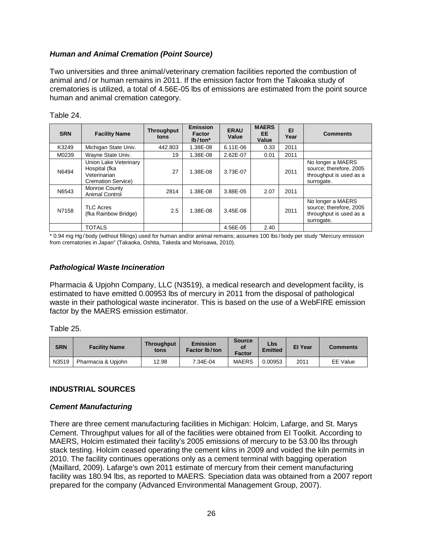# *Human and Animal Cremation (Point Source)*

Two universities and three animal/veterinary cremation facilities reported the combustion of animal and / or human remains in 2011. If the emission factor from the Takoaka study of crematories is utilized, a total of 4.56E-05 lbs of emissions are estimated from the point source human and animal cremation category.

| <b>SRN</b> | <b>Facility Name</b>                                                                | <b>Throughput</b><br>tons | <b>Emission</b><br><b>Factor</b><br>$lb/ton*$ | <b>ERAU</b><br>Value | <b>MAERS</b><br>EE<br>Value | EI<br>Year | <b>Comments</b>                                                                       |
|------------|-------------------------------------------------------------------------------------|---------------------------|-----------------------------------------------|----------------------|-----------------------------|------------|---------------------------------------------------------------------------------------|
| K3249      | Michigan State Univ.                                                                | 442.803                   | 1.38E-08                                      | $6.11E-06$           | 0.33                        | 2011       |                                                                                       |
| M0239      | Wayne State Univ.                                                                   | 19                        | 1.38E-08                                      | 2.62E-07             | 0.01                        | 2011       |                                                                                       |
| N6494      | Union Lake Veterinary<br>Hospital (fka<br>Veterinarian<br><b>Cremation Service)</b> | 27                        | 1.38E-08                                      | 3.73E-07             |                             | 2011       | No longer a MAERS<br>source; therefore, 2005<br>throughput is used as a<br>surrogate. |
| N6543      | Monroe County<br><b>Animal Control</b>                                              | 2814                      | 1.38E-08                                      | 3.88E-05             | 2.07                        | 2011       |                                                                                       |
| N7158      | <b>TLC Acres</b><br>(fka Rainbow Bridge)                                            | 2.5                       | 1.38E-08                                      | 3.45E-08             |                             | 2011       | No longer a MAERS<br>source; therefore, 2005<br>throughput is used as a<br>surrogate. |
|            | <b>TOTALS</b>                                                                       |                           |                                               | 4.56E-05             | 2.40                        |            |                                                                                       |

Table 24.

\* 0.94 mg Hg / body (without fillings) used for human and/or animal remains; assumes 100 lbs / body per study "Mercury emission from crematories in Japan" (Takaoka, Oshita, Takeda and Morisawa, 2010).

#### *Pathological Waste Incineration*

Pharmacia & Upjohn Company, LLC (N3519), a medical research and development facility, is estimated to have emitted 0.00953 lbs of mercury in 2011 from the disposal of pathological waste in their pathological waste incinerator. This is based on the use of a WebFIRE emission factor by the MAERS emission estimator.

Table 25.

| <b>SRN</b> | <b>Facility Name</b> | <b>Throughput</b><br>tons | <b>Emission</b><br>Factor Ib/ton | <b>Source</b><br>οf<br>Factor | Lbs<br><b>Emitted</b> | <b>El Year</b> | <b>Comments</b> |
|------------|----------------------|---------------------------|----------------------------------|-------------------------------|-----------------------|----------------|-----------------|
| N3519      | Pharmacia & Upjohn   | 12.98                     | 7.34E-04                         | MAERS                         | 0.00953               | 2011           | <b>EE</b> Value |

#### <span id="page-28-0"></span>**INDUSTRIAL SOURCES**

#### <span id="page-28-1"></span>*Cement Manufacturing*

There are three cement manufacturing facilities in Michigan: Holcim, Lafarge, and St. Marys Cement. Throughput values for all of the facilities were obtained from EI Toolkit. According to MAERS, Holcim estimated their facility's 2005 emissions of mercury to be 53.00 lbs through stack testing. Holcim ceased operating the cement kilns in 2009 and voided the kiln permits in 2010. The facility continues operations only as a cement terminal with bagging operation (Maillard, 2009). Lafarge's own 2011 estimate of mercury from their cement manufacturing facility was 180.94 lbs, as reported to MAERS. Speciation data was obtained from a 2007 report prepared for the company (Advanced Environmental Management Group, 2007).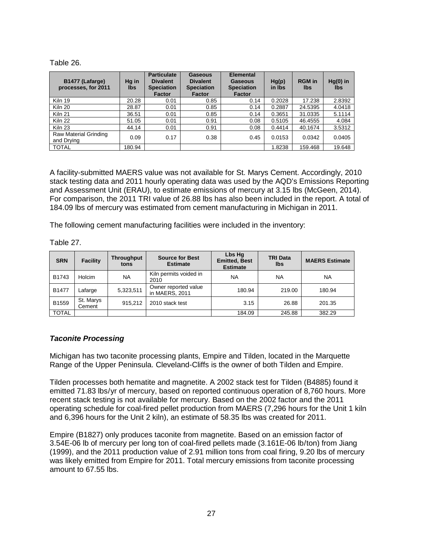#### Table 26.

| B1477 (Lafarge)<br>processes, for 2011 | Hg in<br>lbs | <b>Particulate</b><br><b>Divalent</b><br><b>Speciation</b><br><b>Factor</b> | Gaseous<br><b>Divalent</b><br><b>Speciation</b><br><b>Factor</b> | <b>Elemental</b><br>Gaseous<br><b>Speciation</b><br><b>Factor</b> | Hg(p)<br>in Ibs | <b>RGM</b> in<br>lbs | $Hg(0)$ in<br><b>lbs</b> |
|----------------------------------------|--------------|-----------------------------------------------------------------------------|------------------------------------------------------------------|-------------------------------------------------------------------|-----------------|----------------------|--------------------------|
| Kiln 19                                | 20.28        | 0.01                                                                        | 0.85                                                             | 0.14                                                              | 0.2028          | 17.238               | 2.8392                   |
| Kiln 20                                | 28.87        | 0.01                                                                        | 0.85                                                             | 0.14                                                              | 0.2887          | 24.5395              | 4.0418                   |
| Kiln <sub>21</sub>                     | 36.51        | 0.01                                                                        | 0.85                                                             | 0.14                                                              | 0.3651          | 31.0335              | 5.1114                   |
| Kiln 22                                | 51.05        | 0.01                                                                        | 0.91                                                             | 0.08                                                              | 0.5105          | 46.4555              | 4.084                    |
| Kiln 23                                | 44.14        | 0.01                                                                        | 0.91                                                             | 0.08                                                              | 0.4414          | 40.1674              | 3.5312                   |
| Raw Material Grinding<br>and Drying    | 0.09         | 0.17                                                                        | 0.38                                                             | 0.45                                                              | 0.0153          | 0.0342               | 0.0405                   |
| <b>TOTAL</b>                           | 180.94       |                                                                             |                                                                  |                                                                   | 1.8238          | 159.468              | 19.648                   |

A facility-submitted MAERS value was not available for St. Marys Cement. Accordingly, 2010 stack testing data and 2011 hourly operating data was used by the AQD's Emissions Reporting and Assessment Unit (ERAU), to estimate emissions of mercury at 3.15 lbs (McGeen, 2014). For comparison, the 2011 TRI value of 26.88 lbs has also been included in the report. A total of 184.09 lbs of mercury was estimated from cement manufacturing in Michigan in 2011.

The following cement manufacturing facilities were included in the inventory:

| <b>SRN</b>   | <b>Facility</b>     | <b>Throughput</b><br>tons | <b>Source for Best</b><br><b>Estimate</b> | Lbs Hg<br><b>Emitted, Best</b><br><b>Estimate</b> | <b>TRI Data</b><br><b>Ibs</b> | <b>MAERS Estimate</b> |
|--------------|---------------------|---------------------------|-------------------------------------------|---------------------------------------------------|-------------------------------|-----------------------|
| B1743        | Holcim              | <b>NA</b>                 | Kiln permits voided in<br>2010            | <b>NA</b>                                         | <b>NA</b>                     | NA                    |
| B1477        | Lafarge             | 5,323,511                 | Owner reported value<br>in MAERS, 2011    | 180.94                                            | 219.00                        | 180.94                |
| B1559        | St. Marys<br>Cement | 915.212                   | 2010 stack test                           | 3.15                                              | 26.88                         | 201.35                |
| <b>TOTAL</b> |                     |                           |                                           | 184.09                                            | 245.88                        | 382.29                |

Table 27.

# <span id="page-29-0"></span>*Taconite Processing*

Michigan has two taconite processing plants, Empire and Tilden, located in the Marquette Range of the Upper Peninsula. Cleveland-Cliffs is the owner of both Tilden and Empire.

Tilden processes both hematite and magnetite. A 2002 stack test for Tilden (B4885) found it emitted 71.83 lbs/yr of mercury, based on reported continuous operation of 8,760 hours. More recent stack testing is not available for mercury. Based on the 2002 factor and the 2011 operating schedule for coal-fired pellet production from MAERS (7,296 hours for the Unit 1 kiln and 6,396 hours for the Unit 2 kiln), an estimate of 58.35 lbs was created for 2011.

Empire (B1827) only produces taconite from magnetite. Based on an emission factor of 3.54E-06 lb of mercury per long ton of coal-fired pellets made (3.161E-06 lb/ton) from Jiang (1999), and the 2011 production value of 2.91 million tons from coal firing, 9.20 lbs of mercury was likely emitted from Empire for 2011. Total mercury emissions from taconite processing amount to 67.55 lbs.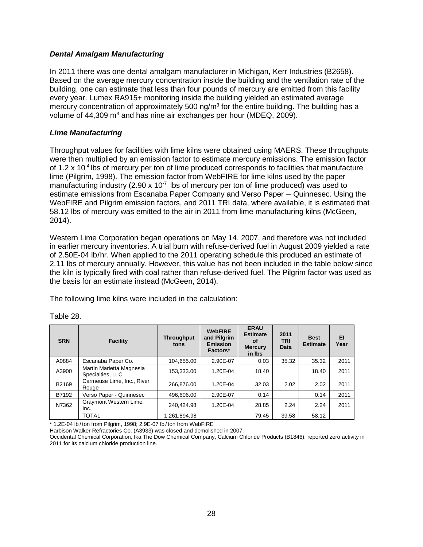#### <span id="page-30-0"></span>*Dental Amalgam Manufacturing*

In 2011 there was one dental amalgam manufacturer in Michigan, Kerr Industries (B2658). Based on the average mercury concentration inside the building and the ventilation rate of the building, one can estimate that less than four pounds of mercury are emitted from this facility every year. Lumex RA915+ monitoring inside the building yielded an estimated average mercury concentration of approximately 500 ng/m<sup>3</sup> for the entire building. The building has a volume of  $44,309$  m<sup>3</sup> and has nine air exchanges per hour (MDEQ, 2009).

#### <span id="page-30-1"></span>*Lime Manufacturing*

Throughput values for facilities with lime kilns were obtained using MAERS. These throughputs were then multiplied by an emission factor to estimate mercury emissions. The emission factor of 1.2  $\times$  10<sup>-4</sup> lbs of mercury per ton of lime produced corresponds to facilities that manufacture lime (Pilgrim, 1998). The emission factor from WebFIRE for lime kilns used by the paper manufacturing industry (2.90 x  $10^{-7}$  lbs of mercury per ton of lime produced) was used to estimate emissions from Escanaba Paper Company and Verso Paper – Quinnesec. Using the WebFIRE and Pilgrim emission factors, and 2011 TRI data, where available, it is estimated that 58.12 lbs of mercury was emitted to the air in 2011 from lime manufacturing kilns (McGeen, 2014).

Western Lime Corporation began operations on May 14, 2007, and therefore was not included in earlier mercury inventories. A trial burn with refuse-derived fuel in August 2009 yielded a rate of 2.50E-04 lb/hr. When applied to the 2011 operating schedule this produced an estimate of 2.11 lbs of mercury annually. However, this value has not been included in the table below since the kiln is typically fired with coal rather than refuse-derived fuel. The Pilgrim factor was used as the basis for an estimate instead (McGeen, 2014).

The following lime kilns were included in the calculation:

| <b>SRN</b> | <b>Facility</b>                              | <b>Throughput</b><br>tons | <b>WebFIRE</b><br>and Pilgrim<br><b>Emission</b><br>Factors* | <b>ERAU</b><br><b>Estimate</b><br>Οf<br><b>Mercury</b><br>in Ibs | 2011<br><b>TRI</b><br><b>Data</b> | <b>Best</b><br><b>Estimate</b> | EI<br>Year |
|------------|----------------------------------------------|---------------------------|--------------------------------------------------------------|------------------------------------------------------------------|-----------------------------------|--------------------------------|------------|
| A0884      | Escanaba Paper Co.                           | 104,655.00                | 2.90E-07                                                     | 0.03                                                             | 35.32                             | 35.32                          | 2011       |
| A3900      | Martin Marietta Magnesia<br>Specialties, LLC | 153,333.00                | 1.20E-04                                                     | 18.40                                                            |                                   | 18.40                          | 2011       |
| B2169      | Carmeuse Lime, Inc., River<br>Rouge          | 266.876.00                | 1.20E-04                                                     | 32.03                                                            | 2.02                              | 2.02                           | 2011       |
| B7192      | Verso Paper - Quinnesec                      | 496.606.00                | 2.90E-07                                                     | 0.14                                                             |                                   | 0.14                           | 2011       |
| N7362      | Graymont Western Lime,<br>Inc.               | 240.424.98                | 1.20E-04                                                     | 28.85                                                            | 2.24                              | 2.24                           | 2011       |
|            | <b>TOTAL</b>                                 | 1,261,894.98              |                                                              | 79.45                                                            | 39.58                             | 58.12                          |            |

#### Table 28.

\* 1.2E-04 lb / ton from Pilgrim, 1998; 2.9E-07 lb / ton from WebFIRE

Harbison Walker Refractories Co. (A3933) was closed and demolished in 2007.

Occidental Chemical Corporation, fka The Dow Chemical Company, Calcium Chloride Products (B1846), reported zero activity in 2011 for its calcium chloride production line.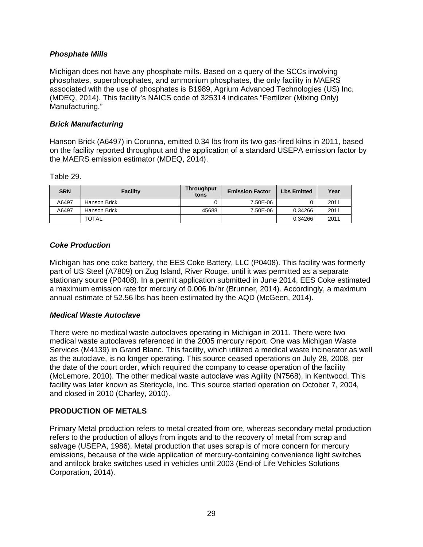# *Phosphate Mills*

Michigan does not have any phosphate mills. Based on a query of the SCCs involving phosphates, superphosphates, and ammonium phosphates, the only facility in MAERS associated with the use of phosphates is B1989, Agrium Advanced Technologies (US) Inc. (MDEQ, 2014). This facility's NAICS code of 325314 indicates "Fertilizer (Mixing Only) Manufacturing."

# <span id="page-31-0"></span>*Brick Manufacturing*

Hanson Brick (A6497) in Corunna, emitted 0.34 lbs from its two gas-fired kilns in 2011, based on the facility reported throughput and the application of a standard USEPA emission factor by the MAERS emission estimator (MDEQ, 2014).

Table 29.

| <b>SRN</b> | <b>Facility</b> | <b>Throughput</b><br>tons | <b>Emission Factor</b> | <b>Lbs Emitted</b> | Year |
|------------|-----------------|---------------------------|------------------------|--------------------|------|
| A6497      | Hanson Brick    |                           | 7.50E-06               |                    | 2011 |
| A6497      | Hanson Brick    | 45688                     | 7.50E-06               | 0.34266            | 2011 |
|            | <b>TOTAL</b>    |                           |                        | 0.34266            | 2011 |

# <span id="page-31-1"></span>*Coke Production*

Michigan has one coke battery, the EES Coke Battery, LLC (P0408). This facility was formerly part of US Steel (A7809) on Zug Island, River Rouge, until it was permitted as a separate stationary source (P0408). In a permit application submitted in June 2014, EES Coke estimated a maximum emission rate for mercury of 0.006 lb/hr (Brunner, 2014). Accordingly, a maximum annual estimate of 52.56 lbs has been estimated by the AQD (McGeen, 2014).

#### <span id="page-31-2"></span>*Medical Waste Autoclave*

There were no medical waste autoclaves operating in Michigan in 2011. There were two medical waste autoclaves referenced in the 2005 mercury report. One was Michigan Waste Services (M4139) in Grand Blanc. This facility, which utilized a medical waste incinerator as well as the autoclave, is no longer operating. This source ceased operations on July 28, 2008, per the date of the court order, which required the company to cease operation of the facility (McLemore, 2010). The other medical waste autoclave was Agility (N7568), in Kentwood. This facility was later known as Stericycle, Inc. This source started operation on October 7, 2004, and closed in 2010 (Charley, 2010).

#### <span id="page-31-3"></span>**PRODUCTION OF METALS**

Primary Metal production refers to metal created from ore, whereas secondary metal production refers to the production of alloys from ingots and to the recovery of metal from scrap and salvage (USEPA, 1986). Metal production that uses scrap is of more concern for mercury emissions, because of the wide application of mercury-containing convenience light switches and antilock brake switches used in vehicles until 2003 (End-of Life Vehicles Solutions Corporation, 2014).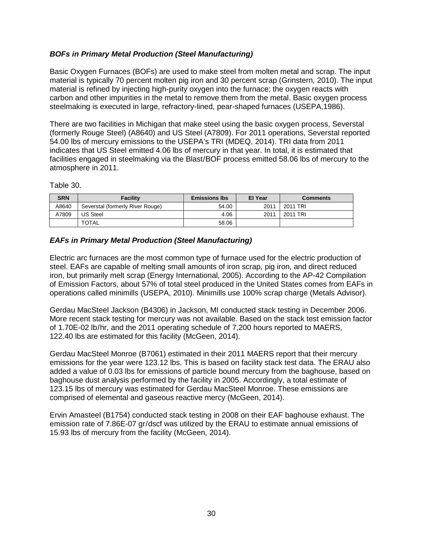# <span id="page-32-0"></span>*BOFs in Primary Metal Production (Steel Manufacturing)*

Basic Oxygen Furnaces (BOFs) are used to make steel from molten metal and scrap. The input material is typically 70 percent molten pig iron and 30 percent scrap (Grinstern, 2010). The input material is refined by injecting high-purity oxygen into the furnace; the oxygen reacts with carbon and other impurities in the metal to remove them from the metal. Basic oxygen process steelmaking is executed in large, refractory-lined, pear-shaped furnaces (USEPA,1986).

There are two facilities in Michigan that make steel using the basic oxygen process, Severstal (formerly Rouge Steel) (A8640) and US Steel (A7809). For 2011 operations, Severstal reported 54.00 lbs of mercury emissions to the USEPA's TRI (MDEQ, 2014). TRI data from 2011 indicates that US Steel emitted 4.06 lbs of mercury in that year. In total, it is estimated that facilities engaged in steelmaking via the Blast/BOF process emitted 58.06 lbs of mercury to the atmosphere in 2011.

Table 30.

| <b>SRN</b> | <b>Facility</b>                  | <b>Emissions lbs</b> | <b>El Year</b> | <b>Comments</b> |
|------------|----------------------------------|----------------------|----------------|-----------------|
| A8640      | Severstal (formerly River Rouge) | 54.00                | 2011           | 2011 TRI        |
| A7809      | <b>US Steel</b>                  | 4.06                 | 2011           | 2011 TRI        |
|            | <b>TOTAL</b>                     | 58.06                |                |                 |

# <span id="page-32-1"></span>*EAFs in Primary Metal Production (Steel Manufacturing)*

Electric arc furnaces are the most common type of furnace used for the electric production of steel. EAFs are capable of melting small amounts of iron scrap, pig iron, and direct reduced iron, but primarily melt scrap (Energy International, 2005). According to the AP-42 Compilation of Emission Factors, about 57% of total steel produced in the United States comes from EAFs in operations called minimills (USEPA, 2010). Minimills use 100% scrap charge (Metals Advisor).

Gerdau MacSteel Jackson (B4306) in Jackson, MI conducted stack testing in December 2006. More recent stack testing for mercury was not available. Based on the stack test emission factor of 1.70E-02 lb/hr, and the 2011 operating schedule of 7,200 hours reported to MAERS, 122.40 lbs are estimated for this facility (McGeen, 2014).

Gerdau MacSteel Monroe (B7061) estimated in their 2011 MAERS report that their mercury emissions for the year were 123.12 lbs. This is based on facility stack test data. The ERAU also added a value of 0.03 lbs for emissions of particle bound mercury from the baghouse, based on baghouse dust analysis performed by the facility in 2005. Accordingly, a total estimate of 123.15 lbs of mercury was estimated for Gerdau MacSteel Monroe. These emissions are comprised of elemental and gaseous reactive mercy (McGeen, 2014).

Ervin Amasteel (B1754) conducted stack testing in 2008 on their EAF baghouse exhaust. The emission rate of 7.86E-07 gr/dscf was utilized by the ERAU to estimate annual emissions of 15.93 lbs of mercury from the facility (McGeen, 2014).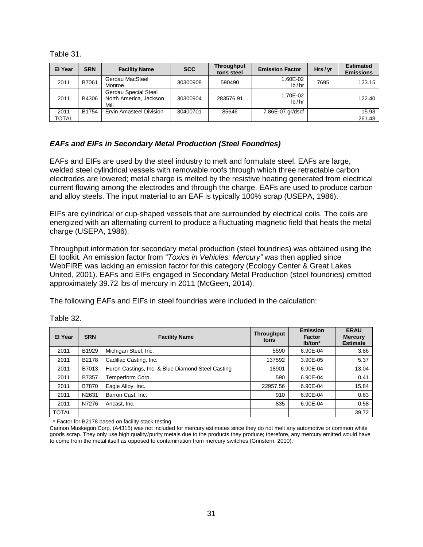Table 31.

| <b>El Year</b> | <b>SRN</b> | <b>Facility Name</b>                                   | <b>SCC</b> | <b>Throughput</b><br>tons steel | <b>Emission Factor</b> | Hrs/yr | <b>Estimated</b><br><b>Emissions</b> |
|----------------|------------|--------------------------------------------------------|------------|---------------------------------|------------------------|--------|--------------------------------------|
| 2011           | B7061      | Gerdau MacSteel<br>Monroe                              | 30300908   | 590490                          | 1.60E-02<br>lb/hr      | 7695   | 123.15                               |
| 2011           | B4306      | Gerdau Special Steel<br>North America, Jackson<br>Mill | 30300904   | 283576.91                       | 1.70E-02<br>lb/hr      |        | 122.40                               |
| 2011           | B1754      | <b>Ervin Amasteel Division</b>                         | 30400701   | 85646                           | 7.86E-07 gr/dscf       |        | 15.93                                |
| TOTAL          |            |                                                        |            |                                 |                        |        | 261.48                               |

# <span id="page-33-0"></span>*EAFs and EIFs in Secondary Metal Production (Steel Foundries)*

EAFs and EIFs are used by the steel industry to melt and formulate steel. EAFs are large, welded steel cylindrical vessels with removable roofs through which three retractable carbon electrodes are lowered; metal charge is melted by the resistive heating generated from electrical current flowing among the electrodes and through the charge. EAFs are used to produce carbon and alloy steels. The input material to an EAF is typically 100% scrap (USEPA, 1986).

EIFs are cylindrical or cup-shaped vessels that are surrounded by electrical coils. The coils are energized with an alternating current to produce a fluctuating magnetic field that heats the metal charge (USEPA, 1986).

Throughput information for secondary metal production (steel foundries) was obtained using the EI toolkit. An emission factor from *"Toxics in Vehicles: Mercury"* was then applied since WebFIRE was lacking an emission factor for this category (Ecology Center & Great Lakes United, 2001). EAFs and EIFs engaged in Secondary Metal Production (steel foundries) emitted approximately 39.72 lbs of mercury in 2011 (McGeen, 2014).

The following EAFs and EIFs in steel foundries were included in the calculation:

| El Year      | <b>SRN</b> | <b>Facility Name</b>                              | <b>Throughput</b><br>tons | <b>Emission</b><br>Factor<br>lb/ton* | <b>ERAU</b><br><b>Mercury</b><br><b>Estimate</b> |
|--------------|------------|---------------------------------------------------|---------------------------|--------------------------------------|--------------------------------------------------|
| 2011         | B1929      | Michigan Steel, Inc.                              | 5590                      | 6.90E-04                             | 3.86                                             |
| 2011         | B2178      | Cadillac Casting, Inc.                            | 137592                    | 3.90E-05                             | 5.37                                             |
| 2011         | B7013      | Huron Castings, Inc. & Blue Diamond Steel Casting | 18901                     | 6.90E-04                             | 13.04                                            |
| 2011         | B7357      | Temperform Corp.                                  | 590                       | 6.90E-04                             | 0.41                                             |
| 2011         | B7870      | Eagle Alloy, Inc.                                 | 22957.56                  | 6.90E-04                             | 15.84                                            |
| 2011         | N2631      | Barron Cast, Inc.                                 | 910                       | 6.90E-04                             | 0.63                                             |
| 2011         | N7276      | Ancast, Inc.                                      | 835                       | 6.90E-04                             | 0.58                                             |
| <b>TOTAL</b> |            |                                                   |                           |                                      | 39.72                                            |

Table 32.

\* Factor for B2178 based on facility stack testing

Cannon Muskegon Corp. (A4315) was not included for mercury estimates since they do not melt any automotive or common white goods scrap. They only use high quality/purity metals due to the products they produce; therefore, any mercury emitted would have to come from the metal itself as opposed to contamination from mercury switches (Grinstern, 2010).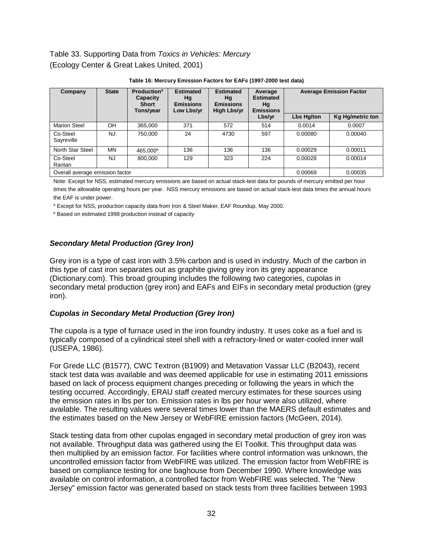# Table 33. Supporting Data from *Toxics in Vehicles: Mercury* (Ecology Center & Great Lakes United, 2001)

| Company                                               | <b>Production</b> <sup>a</sup><br><b>Estimated</b><br><b>Estimated</b><br><b>State</b><br>Capacity<br>Hg<br>Hg<br><b>Emissions</b><br>Hg<br><b>Short</b><br><b>Emissions</b><br>Tons/year<br>Low Lbs/yr<br><b>High Lbs/yr</b> |                      | Average<br><b>Estimated</b><br><b>Emissions</b> |      | <b>Average Emission Factor</b> |            |                         |
|-------------------------------------------------------|-------------------------------------------------------------------------------------------------------------------------------------------------------------------------------------------------------------------------------|----------------------|-------------------------------------------------|------|--------------------------------|------------|-------------------------|
|                                                       |                                                                                                                                                                                                                               |                      |                                                 |      | Lbs/yr                         | Lbs Hg/ton | <b>Kg Hg/metric ton</b> |
| <b>Marion Steel</b>                                   | OH                                                                                                                                                                                                                            | 365,000              | 371                                             | 572  | 514                            | 0.0014     | 0.0007                  |
| Co-Steel<br>Sayreville                                | <b>NJ</b>                                                                                                                                                                                                                     | 750,000              | 24                                              | 4730 | 597                            | 0.00080    | 0.00040                 |
| North Star Steel                                      | MN                                                                                                                                                                                                                            | 465.000 <sup>b</sup> | 136                                             | 136  | 136                            | 0.00029    | 0.00011                 |
| Co-Steel<br>Raritan                                   | NJ.                                                                                                                                                                                                                           | 800.000              | 129                                             | 323  | 224                            | 0.00028    | 0.00014                 |
| Overall average emission factor<br>0.00035<br>0.00069 |                                                                                                                                                                                                                               |                      |                                                 |      |                                |            |                         |

| Table 16: Mercury Emission Factors for EAFs (1997-2000 test data) |  |  |  |  |  |
|-------------------------------------------------------------------|--|--|--|--|--|
|-------------------------------------------------------------------|--|--|--|--|--|

Note: Except for NSS, estimated mercury emissions are based on actual stack-test data for pounds of mercury emitted per hour times the allowable operating hours per year. NSS mercury emissions are based on actual stack-test data times the annual hours the EAF is under power.

a Except for NSS, production capacity data from Iron & Steel Maker, EAF Roundup, May 2000.

**b** Based on estimated 1998 production instead of capacity

# <span id="page-34-0"></span>*Secondary Metal Production (Grey Iron)*

Grey iron is a type of cast iron with 3.5% carbon and is used in industry. Much of the carbon in this type of cast iron separates out as graphite giving grey iron its grey appearance (Dictionary.com). This broad grouping includes the following two categories, cupolas in secondary metal production (grey iron) and EAFs and EIFs in secondary metal production (grey iron).

#### <span id="page-34-1"></span>*Cupolas in Secondary Metal Production (Grey Iron)*

The cupola is a type of furnace used in the iron foundry industry. It uses coke as a fuel and is typically composed of a cylindrical steel shell with a refractory-lined or water-cooled inner wall (USEPA, 1986).

For Grede LLC (B1577), CWC Textron (B1909) and Metavation Vassar LLC (B2043), recent stack test data was available and was deemed applicable for use in estimating 2011 emissions based on lack of process equipment changes preceding or following the years in which the testing occurred. Accordingly, ERAU staff created mercury estimates for these sources using the emission rates in lbs per ton. Emission rates in lbs per hour were also utilized, where available. The resulting values were several times lower than the MAERS default estimates and the estimates based on the New Jersey or WebFIRE emission factors (McGeen, 2014).

Stack testing data from other cupolas engaged in secondary metal production of grey iron was not available. Throughput data was gathered using the EI Toolkit. This throughput data was then multiplied by an emission factor. For facilities where control information was unknown, the uncontrolled emission factor from WebFIRE was utilized. The emission factor from WebFIRE is based on compliance testing for one baghouse from December 1990. Where knowledge was available on control information, a controlled factor from WebFIRE was selected. The "New Jersey" emission factor was generated based on stack tests from three facilities between 1993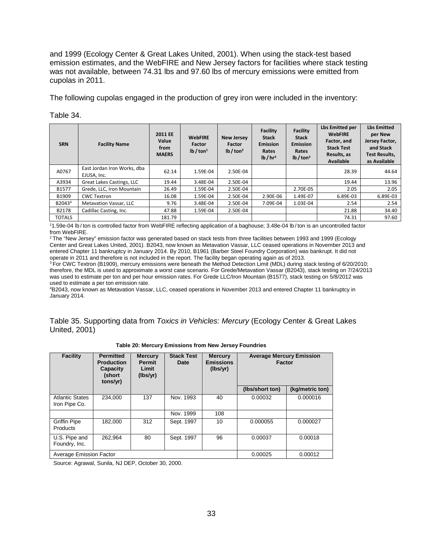and 1999 (Ecology Center & Great Lakes United, 2001). When using the stack-test based emission estimates, and the WebFIRE and New Jersey factors for facilities where stack testing was not available, between 74.31 lbs and 97.60 lbs of mercury emissions were emitted from cupolas in 2011.

The following cupolas engaged in the production of grey iron were included in the inventory:

| Table 34. |  |
|-----------|--|
|-----------|--|

| <b>SRN</b>         | <b>Facility Name</b>                       | 2011 EE<br>Value<br>from<br><b>MAERS</b> | <b>WebFIRE</b><br>Factor<br>lb / ton <sup>1</sup> | <b>New Jersey</b><br>Factor<br>lb / ton <sup>2</sup> | Facility<br><b>Stack</b><br><b>Emission</b><br>Rates<br>1 <sup>b</sup> / hr <sup>3</sup> | <b>Facility</b><br><b>Stack</b><br><b>Emission</b><br>Rates<br>$1b$ / ton <sup>3</sup> | <b>Lbs Emitted per</b><br><b>WebFIRE</b><br>Factor, and<br><b>Stack Test</b><br>Results, as<br><b>Available</b> | <b>Lbs Emitted</b><br>per New<br>Jersey Factor,<br>and Stack<br><b>Test Results,</b><br>as Available |
|--------------------|--------------------------------------------|------------------------------------------|---------------------------------------------------|------------------------------------------------------|------------------------------------------------------------------------------------------|----------------------------------------------------------------------------------------|-----------------------------------------------------------------------------------------------------------------|------------------------------------------------------------------------------------------------------|
| A0767              | East Jordan Iron Works, dba<br>EJUSA, Inc. | 62.14                                    | 1.59E-04                                          | 2.50E-04                                             |                                                                                          |                                                                                        | 28.39                                                                                                           | 44.64                                                                                                |
| A3934              | Great Lakes Castings, LLC                  | 19.44                                    | 3.48E-04                                          | 2.50E-04                                             |                                                                                          |                                                                                        | 19.44                                                                                                           | 13.96                                                                                                |
| B1577              | Grede, LLC, Iron Mountain                  | 26.49                                    | 1.59E-04                                          | 2.50E-04                                             |                                                                                          | 2.70E-05                                                                               | 2.05                                                                                                            | 2.05                                                                                                 |
| B1909              | <b>CWC Textron</b>                         | 16.08                                    | 1.59E-04                                          | 2.50E-04                                             | 2.90E-06                                                                                 | 1.49E-07                                                                               | 6.89E-03                                                                                                        | 6.89E-03                                                                                             |
| B2043 <sup>4</sup> | Metavation Vassar, LLC                     | 9.76                                     | 3.48E-04                                          | 2.50E-04                                             | 7.09E-04                                                                                 | 1.03E-04                                                                               | 2.54                                                                                                            | 2.54                                                                                                 |
| B2178              | Cadillac Casting, Inc.                     | 47.88                                    | 1.59E-04                                          | 2.50E-04                                             |                                                                                          |                                                                                        | 21.88                                                                                                           | 34.40                                                                                                |
| <b>TOTALS</b>      |                                            | 181.79                                   |                                                   |                                                      |                                                                                          |                                                                                        | 74.31                                                                                                           | 97.60                                                                                                |

1 1.59e-04 lb / ton is controlled factor from WebFIRE reflecting application of a baghouse; 3.48e-04 lb / ton is an uncontrolled factor from WebFIRE.<br><sup>2</sup> The "New Jersey" emission factor was generated based on stack tests from three facilities between 1993 and 1999 (Ecology

Center and Great Lakes United, 2001). B2043, now known as Metavation Vassar, LLC ceased operations in November 2013 and entered Chapter 11 bankruptcy in January 2014. By 2010, B1961 (Barber Steel Foundry Corporation) was bankrupt. It did not

operate in 2011 and therefore is not included in the report. The facility began operating again as of 2013.<br><sup>3</sup> For CWC Textron (B1909), mercury emissions were beneath the Method Detection Limit (MDL) during stack testing therefore, the MDL is used to approximate a worst case scenario. For Grede/Metavation Vassar (B2043), stack testing on 7/24/2013 was used to estimate per ton and per hour emission rates. For Grede LLC/Iron Mountain (B1577), stack testing on 5/8/2012 was used to estimate a per ton emission rate.

4 B2043, now known as Metavation Vassar, LLC, ceased operations in November 2013 and entered Chapter 11 bankruptcy in January 2014.

Table 35. Supporting data from *Toxics in Vehicles: Mercury* (Ecology Center & Great Lakes United, 2001)

| <b>Facility</b>                         | <b>Permitted</b><br><b>Production</b><br><b>Capacity</b><br>(short<br>tons/yr) | <b>Mercury</b><br><b>Permit</b><br>Limit<br>(lbs/yr) | <b>Stack Test</b><br>Date                     | <b>Mercury</b><br><b>Emissions</b><br>(lbs/yr) | <b>Average Mercury Emission</b><br>Factor |                 |  |  |  |
|-----------------------------------------|--------------------------------------------------------------------------------|------------------------------------------------------|-----------------------------------------------|------------------------------------------------|-------------------------------------------|-----------------|--|--|--|
|                                         |                                                                                |                                                      |                                               |                                                | (lbs/short ton)                           | (kg/metric ton) |  |  |  |
| <b>Atlantic States</b><br>Iron Pipe Co. | 234.000                                                                        | 137                                                  | Nov. 1993                                     | 40                                             | 0.00032                                   | 0.000016        |  |  |  |
|                                         |                                                                                |                                                      | Nov. 1999                                     | 108                                            |                                           |                 |  |  |  |
| <b>Griffin Pipe</b><br><b>Products</b>  | 182.000                                                                        | 312                                                  | Sept. 1997                                    | 10                                             | 0.000055                                  | 0.000027        |  |  |  |
| U.S. Pipe and<br>Foundry, Inc.          | 262.964                                                                        | 80                                                   | Sept. 1997                                    | 96                                             | 0.00037                                   | 0.00018         |  |  |  |
|                                         |                                                                                |                                                      | Average Emission Factor<br>0.00025<br>0.00012 |                                                |                                           |                 |  |  |  |

**Table 20: Mercury Emissions from New Jersey Foundries**

Source: Agrawal, Sunila, NJ DEP, October 30, 2000.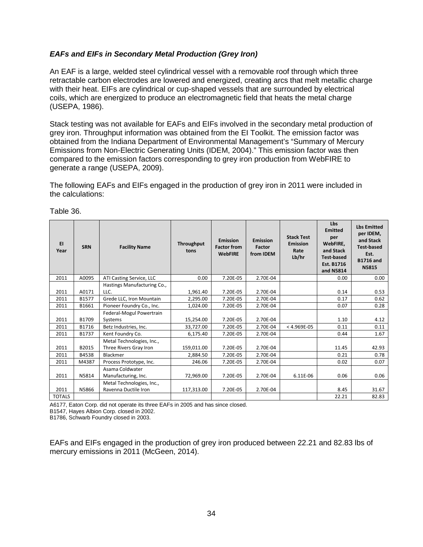#### <span id="page-36-0"></span>*EAFs and EIFs in Secondary Metal Production (Grey Iron)*

An EAF is a large, welded steel cylindrical vessel with a removable roof through which three retractable carbon electrodes are lowered and energized, creating arcs that melt metallic charge with their heat. EIFs are cylindrical or cup-shaped vessels that are surrounded by electrical coils, which are energized to produce an electromagnetic field that heats the metal charge (USEPA, 1986).

Stack testing was not available for EAFs and EIFs involved in the secondary metal production of grey iron. Throughput information was obtained from the EI Toolkit. The emission factor was obtained from the Indiana Department of Environmental Management's "Summary of Mercury Emissions from Non-Electric Generating Units (IDEM, 2004)." This emission factor was then compared to the emission factors corresponding to grey iron production from WebFIRE to generate a range (USEPA, 2009).

The following EAFs and EIFs engaged in the production of grey iron in 2011 were included in the calculations:

| EI<br>Year    | <b>SRN</b> | <b>Facility Name</b>                                | Throughput<br>tons | Emission<br><b>Factor from</b><br><b>WebFIRE</b> | <b>Emission</b><br>Factor<br>from IDEM | <b>Stack Test</b><br><b>Emission</b><br>Rate<br>Lb/hr | Lbs<br><b>Emitted</b><br>per<br>WebFIRE.<br>and Stack<br><b>Test based</b><br>Est. B1716<br>and N5814 | <b>Lbs Emitted</b><br>per IDEM,<br>and Stack<br><b>Test-based</b><br>Est.<br><b>B1716 and</b><br>N5815 |
|---------------|------------|-----------------------------------------------------|--------------------|--------------------------------------------------|----------------------------------------|-------------------------------------------------------|-------------------------------------------------------------------------------------------------------|--------------------------------------------------------------------------------------------------------|
| 2011          | A0095      | ATI Casting Service, LLC                            | 0.00               | 7.20E-05                                         | 2.70E-04                               |                                                       | 0.00                                                                                                  | 0.00                                                                                                   |
| 2011          | A0171      | Hastings Manufacturing Co.,<br>LLC.                 | 1,961.40           | 7.20E-05                                         | 2.70E-04                               |                                                       | 0.14                                                                                                  | 0.53                                                                                                   |
| 2011          | B1577      | Grede LLC, Iron Mountain                            | 2,295.00           | 7.20E-05                                         | 2.70E-04                               |                                                       | 0.17                                                                                                  | 0.62                                                                                                   |
| 2011          | B1661      | Pioneer Foundry Co., Inc.                           | 1,024.00           | 7.20E-05                                         | 2.70E-04                               |                                                       | 0.07                                                                                                  | 0.28                                                                                                   |
| 2011          | B1709      | Federal-Mogul Powertrain<br>Systems                 | 15,254.00          | 7.20E-05                                         | 2.70E-04                               |                                                       | 1.10                                                                                                  | 4.12                                                                                                   |
| 2011          | B1716      | Betz Industries, Inc.                               | 33,727.00          | 7.20E-05                                         | 2.70E-04                               | $< 4.969E-05$                                         | 0.11                                                                                                  | 0.11                                                                                                   |
| 2011          | B1737      | Kent Foundry Co.                                    | 6,175.40           | 7.20E-05                                         | 2.70E-04                               |                                                       | 0.44                                                                                                  | 1.67                                                                                                   |
| 2011          | B2015      | Metal Technologies, Inc.,<br>Three Rivers Gray Iron | 159,011.00         | 7.20E-05                                         | 2.70E-04                               |                                                       | 11.45                                                                                                 | 42.93                                                                                                  |
| 2011          | B4538      | Blackmer                                            | 2,884.50           | 7.20E-05                                         | 2.70E-04                               |                                                       | 0.21                                                                                                  | 0.78                                                                                                   |
| 2011          | M4387      | Process Prototype, Inc.                             | 246.06             | 7.20E-05                                         | 2.70E-04                               |                                                       | 0.02                                                                                                  | 0.07                                                                                                   |
| 2011          | N5814      | Asama Coldwater<br>Manufacturing, Inc.              | 72,969.00          | 7.20E-05                                         | 2.70E-04                               | 6.11E-06                                              | 0.06                                                                                                  | 0.06                                                                                                   |
| 2011          | N5866      | Metal Technologies, Inc.,<br>Ravenna Ductile Iron   | 117,313.00         | 7.20E-05                                         | 2.70E-04                               |                                                       | 8.45                                                                                                  | 31.67                                                                                                  |
| <b>TOTALS</b> |            |                                                     |                    |                                                  |                                        |                                                       | 22.21                                                                                                 | 82.83                                                                                                  |

Table 36.

A6177, Eaton Corp. did not operate its three EAFs in 2005 and has since closed.

B1547, Hayes Albion Corp. closed in 2002.

B1786, Schwarb Foundry closed in 2003.

EAFs and EIFs engaged in the production of grey iron produced between 22.21 and 82.83 lbs of mercury emissions in 2011 (McGeen, 2014).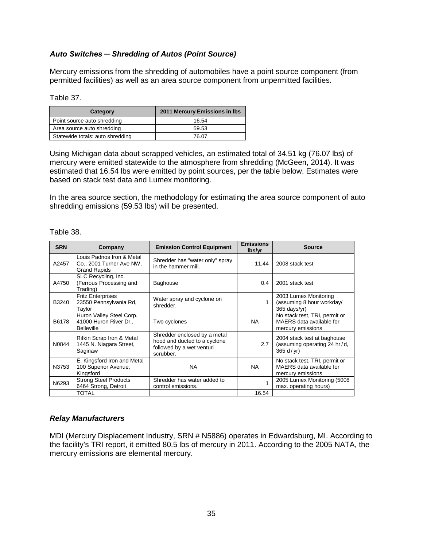# <span id="page-37-0"></span>*Auto Switches ─ Shredding of Autos (Point Source)*

Mercury emissions from the shredding of automobiles have a point source component (from permitted facilities) as well as an area source component from unpermitted facilities.

#### Table 37.

| Category                         | 2011 Mercury Emissions in Ibs |
|----------------------------------|-------------------------------|
| Point source auto shredding      | 16.54                         |
| Area source auto shredding       | 59.53                         |
| Statewide totals: auto shredding | 76.07                         |

Using Michigan data about scrapped vehicles, an estimated total of 34.51 kg (76.07 lbs) of mercury were emitted statewide to the atmosphere from shredding (McGeen, 2014). It was estimated that 16.54 lbs were emitted by point sources, per the table below. Estimates were based on stack test data and Lumex monitoring.

In the area source section, the methodology for estimating the area source component of auto shredding emissions (59.53 lbs) will be presented.

| <b>SRN</b> | Company                                                                      | <b>Emission Control Equipment</b>                                                                      | <b>Emissions</b><br>lbs/yr | <b>Source</b>                                                                  |
|------------|------------------------------------------------------------------------------|--------------------------------------------------------------------------------------------------------|----------------------------|--------------------------------------------------------------------------------|
| A2457      | Louis Padnos Iron & Metal<br>Co., 2001 Turner Ave NW,<br><b>Grand Rapids</b> | Shredder has "water only" spray<br>in the hammer mill.                                                 | 11.44                      | 2008 stack test                                                                |
| A4750      | SLC Recycling, Inc.<br>(Ferrous Processing and<br>Trading)                   | <b>Baghouse</b>                                                                                        | 0.4                        | 2001 stack test                                                                |
| B3240      | <b>Fritz Enterprises</b><br>23550 Pennsylvania Rd,<br>Taylor                 | Water spray and cyclone on<br>shredder.                                                                |                            | 2003 Lumex Monitoring<br>(assuming 8 hour workday/<br>$365$ days/yr)           |
| B6178      | Huron Valley Steel Corp.<br>41000 Huron River Dr.,<br><b>Belleville</b>      | Two cyclones                                                                                           | <b>NA</b>                  | No stack test, TRI, permit or<br>MAERS data available for<br>mercury emissions |
| N0844      | Rifkin Scrap Iron & Metal<br>1445 N. Niagara Street,<br>Saginaw              | Shredder enclosed by a metal<br>hood and ducted to a cyclone<br>followed by a wet venturi<br>scrubber. | 2.7                        | 2004 stack test at baghouse<br>(assuming operating 24 hr/d,<br>365 d/yr        |
| N3753      | E. Kingsford Iron and Metal<br>100 Superior Avenue,<br>Kingsford             | <b>NA</b>                                                                                              | NA.                        | No stack test, TRI, permit or<br>MAERS data available for<br>mercury emissions |
| N6293      | <b>Strong Steel Products</b><br>6464 Strong, Detroit                         | Shredder has water added to<br>control emissions.                                                      |                            | 2005 Lumex Monitoring (5008<br>max. operating hours)                           |
|            | <b>TOTAL</b>                                                                 |                                                                                                        | 16.54                      |                                                                                |

Table 38.

#### *Relay Manufacturers*

MDI (Mercury Displacement Industry, SRN # N5886) operates in Edwardsburg, MI. According to the facility's TRI report, it emitted 80.5 lbs of mercury in 2011. According to the 2005 NATA, the mercury emissions are elemental mercury.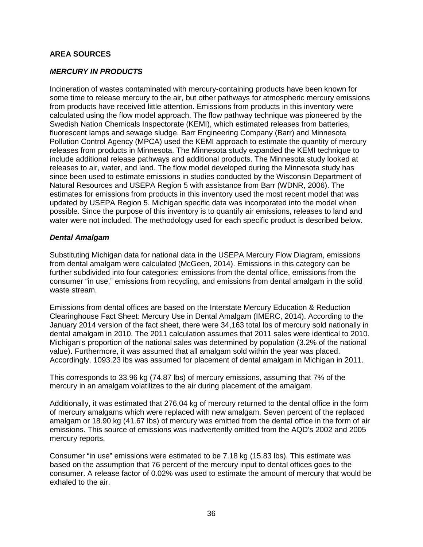# <span id="page-38-0"></span>**AREA SOURCES**

# <span id="page-38-1"></span>*MERCURY IN PRODUCTS*

Incineration of wastes contaminated with mercury-containing products have been known for some time to release mercury to the air, but other pathways for atmospheric mercury emissions from products have received little attention. Emissions from products in this inventory were calculated using the flow model approach. The flow pathway technique was pioneered by the Swedish Nation Chemicals Inspectorate (KEMI), which estimated releases from batteries, fluorescent lamps and sewage sludge. Barr Engineering Company (Barr) and Minnesota Pollution Control Agency (MPCA) used the KEMI approach to estimate the quantity of mercury releases from products in Minnesota. The Minnesota study expanded the KEMI technique to include additional release pathways and additional products. The Minnesota study looked at releases to air, water, and land. The flow model developed during the Minnesota study has since been used to estimate emissions in studies conducted by the Wisconsin Department of Natural Resources and USEPA Region 5 with assistance from Barr (WDNR, 2006). The estimates for emissions from products in this inventory used the most recent model that was updated by USEPA Region 5. Michigan specific data was incorporated into the model when possible. Since the purpose of this inventory is to quantify air emissions, releases to land and water were not included. The methodology used for each specific product is described below.

#### <span id="page-38-2"></span>*Dental Amalgam*

Substituting Michigan data for national data in the USEPA Mercury Flow Diagram, emissions from dental amalgam were calculated (McGeen, 2014). Emissions in this category can be further subdivided into four categories: emissions from the dental office, emissions from the consumer "in use," emissions from recycling, and emissions from dental amalgam in the solid waste stream.

Emissions from dental offices are based on the Interstate Mercury Education & Reduction Clearinghouse Fact Sheet: Mercury Use in Dental Amalgam (IMERC, 2014). According to the January 2014 version of the fact sheet, there were 34,163 total lbs of mercury sold nationally in dental amalgam in 2010. The 2011 calculation assumes that 2011 sales were identical to 2010. Michigan's proportion of the national sales was determined by population (3.2% of the national value). Furthermore, it was assumed that all amalgam sold within the year was placed. Accordingly, 1093.23 lbs was assumed for placement of dental amalgam in Michigan in 2011.

This corresponds to 33.96 kg (74.87 lbs) of mercury emissions, assuming that 7% of the mercury in an amalgam volatilizes to the air during placement of the amalgam.

Additionally, it was estimated that 276.04 kg of mercury returned to the dental office in the form of mercury amalgams which were replaced with new amalgam. Seven percent of the replaced amalgam or 18.90 kg (41.67 lbs) of mercury was emitted from the dental office in the form of air emissions. This source of emissions was inadvertently omitted from the AQD's 2002 and 2005 mercury reports.

Consumer "in use" emissions were estimated to be 7.18 kg (15.83 lbs). This estimate was based on the assumption that 76 percent of the mercury input to dental offices goes to the consumer. A release factor of 0.02% was used to estimate the amount of mercury that would be exhaled to the air.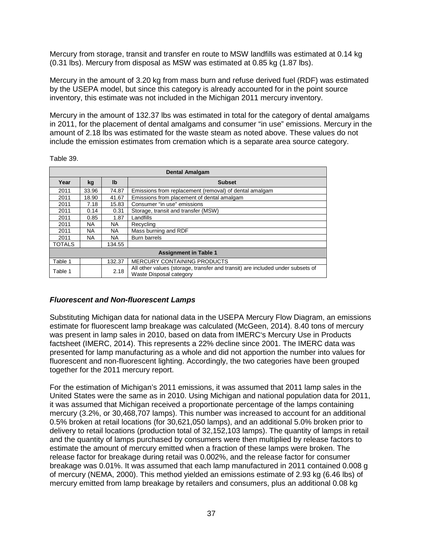Mercury from storage, transit and transfer en route to MSW landfills was estimated at 0.14 kg (0.31 lbs). Mercury from disposal as MSW was estimated at 0.85 kg (1.87 lbs).

Mercury in the amount of 3.20 kg from mass burn and refuse derived fuel (RDF) was estimated by the USEPA model, but since this category is already accounted for in the point source inventory, this estimate was not included in the Michigan 2011 mercury inventory.

Mercury in the amount of 132.37 lbs was estimated in total for the category of dental amalgams in 2011, for the placement of dental amalgams and consumer "in use" emissions. Mercury in the amount of 2.18 lbs was estimated for the waste steam as noted above. These values do not include the emission estimates from cremation which is a separate area source category.

Table 39.

| <b>Dental Amalgam</b> |       |              |                                                                                                           |  |  |  |
|-----------------------|-------|--------------|-----------------------------------------------------------------------------------------------------------|--|--|--|
| Year                  | kg    | $\mathbf{I}$ | <b>Subset</b>                                                                                             |  |  |  |
| 2011                  | 33.96 | 74.87        | Emissions from replacement (removal) of dental amalgam                                                    |  |  |  |
| 2011                  | 18.90 | 41.67        | Emissions from placement of dental amalgam                                                                |  |  |  |
| 2011                  | 7.18  | 15.83        | Consumer "in use" emissions                                                                               |  |  |  |
| 2011                  | 0.14  | 0.31         | Storage, transit and transfer (MSW)                                                                       |  |  |  |
| 2011                  | 0.85  | 1.87         | Landfills                                                                                                 |  |  |  |
| 2011                  | NA.   | NA.          | Recycling                                                                                                 |  |  |  |
| 2011                  | NA.   | NA.          | Mass burning and RDF                                                                                      |  |  |  |
| 2011                  | NA.   | NA.          | <b>Burn barrels</b>                                                                                       |  |  |  |
| TOTALS                |       | 134.55       |                                                                                                           |  |  |  |
|                       |       |              | <b>Assignment in Table 1</b>                                                                              |  |  |  |
| Table 1               |       | 132.37       | <b>MERCURY CONTAINING PRODUCTS</b>                                                                        |  |  |  |
| Table 1               |       | 2.18         | All other values (storage, transfer and transit) are included under subsets of<br>Waste Disposal category |  |  |  |

#### <span id="page-39-0"></span>*Fluorescent and Non-fluorescent Lamps*

Substituting Michigan data for national data in the USEPA Mercury Flow Diagram, an emissions estimate for fluorescent lamp breakage was calculated (McGeen, 2014). 8.40 tons of mercury was present in lamp sales in 2010, based on data from IMERC's Mercury Use in Products factsheet (IMERC, 2014). This represents a 22% decline since 2001. The IMERC data was presented for lamp manufacturing as a whole and did not apportion the number into values for fluorescent and non-fluorescent lighting. Accordingly, the two categories have been grouped together for the 2011 mercury report.

For the estimation of Michigan's 2011 emissions, it was assumed that 2011 lamp sales in the United States were the same as in 2010. Using Michigan and national population data for 2011, it was assumed that Michigan received a proportionate percentage of the lamps containing mercury (3.2%, or 30,468,707 lamps). This number was increased to account for an additional 0.5% broken at retail locations (for 30,621,050 lamps), and an additional 5.0% broken prior to delivery to retail locations (production total of 32,152,103 lamps). The quantity of lamps in retail and the quantity of lamps purchased by consumers were then multiplied by release factors to estimate the amount of mercury emitted when a fraction of these lamps were broken. The release factor for breakage during retail was 0.002%, and the release factor for consumer breakage was 0.01%. It was assumed that each lamp manufactured in 2011 contained 0.008 g of mercury (NEMA, 2000). This method yielded an emissions estimate of 2.93 kg (6.46 lbs) of mercury emitted from lamp breakage by retailers and consumers, plus an additional 0.08 kg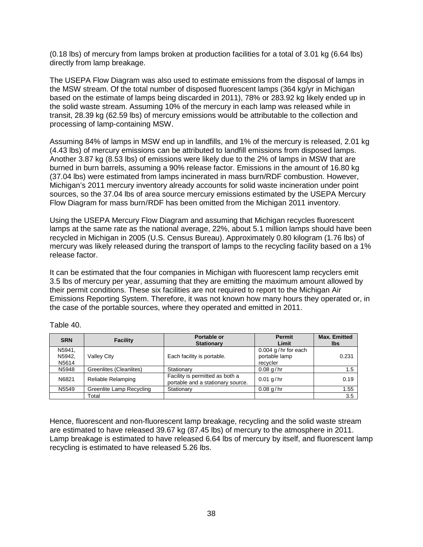(0.18 lbs) of mercury from lamps broken at production facilities for a total of 3.01 kg (6.64 lbs) directly from lamp breakage.

The USEPA Flow Diagram was also used to estimate emissions from the disposal of lamps in the MSW stream. Of the total number of disposed fluorescent lamps (364 kg/yr in Michigan based on the estimate of lamps being discarded in 2011), 78% or 283.92 kg likely ended up in the solid waste stream. Assuming 10% of the mercury in each lamp was released while in transit, 28.39 kg (62.59 lbs) of mercury emissions would be attributable to the collection and processing of lamp-containing MSW.

Assuming 84% of lamps in MSW end up in landfills, and 1% of the mercury is released, 2.01 kg (4.43 lbs) of mercury emissions can be attributed to landfill emissions from disposed lamps. Another 3.87 kg (8.53 lbs) of emissions were likely due to the 2% of lamps in MSW that are burned in burn barrels, assuming a 90% release factor. Emissions in the amount of 16.80 kg (37.04 lbs) were estimated from lamps incinerated in mass burn/RDF combustion. However, Michigan's 2011 mercury inventory already accounts for solid waste incineration under point sources, so the 37.04 lbs of area source mercury emissions estimated by the USEPA Mercury Flow Diagram for mass burn/RDF has been omitted from the Michigan 2011 inventory.

Using the USEPA Mercury Flow Diagram and assuming that Michigan recycles fluorescent lamps at the same rate as the national average, 22%, about 5.1 million lamps should have been recycled in Michigan in 2005 (U.S. Census Bureau). Approximately 0.80 kilogram (1.76 lbs) of mercury was likely released during the transport of lamps to the recycling facility based on a 1% release factor.

It can be estimated that the four companies in Michigan with fluorescent lamp recyclers emit 3.5 lbs of mercury per year, assuming that they are emitting the maximum amount allowed by their permit conditions. These six facilities are not required to report to the Michigan Air Emissions Reporting System. Therefore, it was not known how many hours they operated or, in the case of the portable sources, where they operated and emitted in 2011.

| <b>SRN</b>                | <b>Facility</b>                 | Portable or<br><b>Stationary</b>                                     | <b>Permit</b><br>Limit                             | <b>Max. Emitted</b><br>lbs |
|---------------------------|---------------------------------|----------------------------------------------------------------------|----------------------------------------------------|----------------------------|
| N5941,<br>N5942,<br>N5614 | <b>Valley City</b>              | Each facility is portable.                                           | $0.004$ g/hr for each<br>portable lamp<br>recycler | 0.231                      |
| N5948                     | Greenlites (Cleanlites)         | Stationary                                                           | $0.08$ g/hr                                        | 1.5                        |
| N6821                     | Reliable Relamping              | Facility is permitted as both a<br>portable and a stationary source. | $0.01$ g/hr                                        | 0.19                       |
| N5549                     | <b>Greenlite Lamp Recycling</b> | Stationary                                                           | $0.08$ g/hr                                        | 1.55                       |
|                           | Total                           |                                                                      |                                                    | 3.5                        |

#### Table 40.

Hence, fluorescent and non-fluorescent lamp breakage, recycling and the solid waste stream are estimated to have released 39.67 kg (87.45 lbs) of mercury to the atmosphere in 2011. Lamp breakage is estimated to have released 6.64 lbs of mercury by itself, and fluorescent lamp recycling is estimated to have released 5.26 lbs.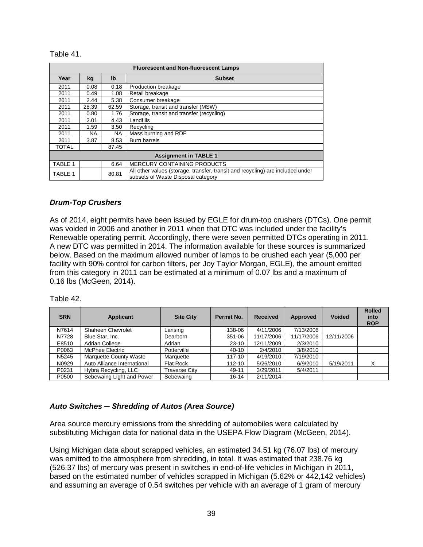Table 41.

| <b>Fluorescent and Non-fluorescent Lamps</b> |                              |       |                                                                                                                      |  |  |
|----------------------------------------------|------------------------------|-------|----------------------------------------------------------------------------------------------------------------------|--|--|
| Year                                         | kg                           | Ib    | <b>Subset</b>                                                                                                        |  |  |
| 2011                                         | 0.08                         | 0.18  | Production breakage                                                                                                  |  |  |
| 2011                                         | 0.49                         | 1.08  | Retail breakage                                                                                                      |  |  |
| 2011                                         | 2.44                         | 5.38  | Consumer breakage                                                                                                    |  |  |
| 2011                                         | 28.39                        | 62.59 | Storage, transit and transfer (MSW)                                                                                  |  |  |
| 2011                                         | 0.80                         | 1.76  | Storage, transit and transfer (recycling)                                                                            |  |  |
| 2011                                         | 2.01                         | 4.43  | Landfills                                                                                                            |  |  |
| 2011                                         | 1.59                         | 3.50  | Recycling                                                                                                            |  |  |
| 2011                                         | NA.                          | NA.   | Mass burning and RDF                                                                                                 |  |  |
| 2011                                         | 3.87                         | 8.53  | <b>Burn barrels</b>                                                                                                  |  |  |
| <b>TOTAL</b>                                 |                              | 87.45 |                                                                                                                      |  |  |
|                                              | <b>Assignment in TABLE 1</b> |       |                                                                                                                      |  |  |
| TABLE 1                                      |                              | 6.64  | <b>MERCURY CONTAINING PRODUCTS</b>                                                                                   |  |  |
| TABLE 1                                      |                              | 80.81 | All other values (storage, transfer, transit and recycling) are included under<br>subsets of Waste Disposal category |  |  |

#### *Drum-Top Crushers*

As of 2014, eight permits have been issued by EGLE for drum-top crushers (DTCs). One permit was voided in 2006 and another in 2011 when that DTC was included under the facility's Renewable operating permit. Accordingly, there were seven permitted DTCs operating in 2011. A new DTC was permitted in 2014. The information available for these sources is summarized below. Based on the maximum allowed number of lamps to be crushed each year (5,000 per facility with 90% control for carbon filters, per Joy Taylor Morgan, EGLE), the amount emitted from this category in 2011 can be estimated at a minimum of 0.07 lbs and a maximum of 0.16 lbs (McGeen, 2014).

| <b>SRN</b> | <b>Applicant</b>            | <b>Site City</b>     | <b>Permit No.</b> | <b>Received</b> | <b>Approved</b> | <b>Voided</b> | <b>Rolled</b><br>into<br><b>ROP</b> |
|------------|-----------------------------|----------------------|-------------------|-----------------|-----------------|---------------|-------------------------------------|
| N7614      | Shaheen Chevrolet           | Lansing              | 138-06            | 4/11/2006       | 7/13/2006       |               |                                     |
| N7728      | Blue Star, Inc.             | Dearborn             | 351-06            | 11/17/2006      | 11/17/2006      | 12/11/2006    |                                     |
| E8510      | Adrian College              | Adrian               | $23 - 10$         | 12/11/2009      | 2/3/2010        |               |                                     |
| P0063      | McPhee Electric             | Potterville          | 40-10             | 2/4/2010        | 3/8/2010        |               |                                     |
| N5245      | Marquette County Waste      | Marquette            | $117 - 10$        | 4/19/2010       | 7/19/2010       |               |                                     |
| N0929      | Auto Alliance International | Flat Rock            | 112-10            | 5/26/2010       | 6/9/2010        | 5/19/2011     | X                                   |
| P0231      | Hybra Recycling, LLC        | <b>Traverse City</b> | 49-11             | 3/29/2011       | 5/4/2011        |               |                                     |
| P0500      | Sebewaing Light and Power   | Sebewaing            | $16 - 14$         | 2/11/2014       |                 |               |                                     |

Table 42.

# <span id="page-41-0"></span>*Auto Switches ─ Shredding of Autos (Area Source)*

Area source mercury emissions from the shredding of automobiles were calculated by substituting Michigan data for national data in the USEPA Flow Diagram (McGeen, 2014).

Using Michigan data about scrapped vehicles, an estimated 34.51 kg (76.07 lbs) of mercury was emitted to the atmosphere from shredding, in total. It was estimated that 238.76 kg (526.37 lbs) of mercury was present in switches in end-of-life vehicles in Michigan in 2011, based on the estimated number of vehicles scrapped in Michigan (5.62% or 442,142 vehicles) and assuming an average of 0.54 switches per vehicle with an average of 1 gram of mercury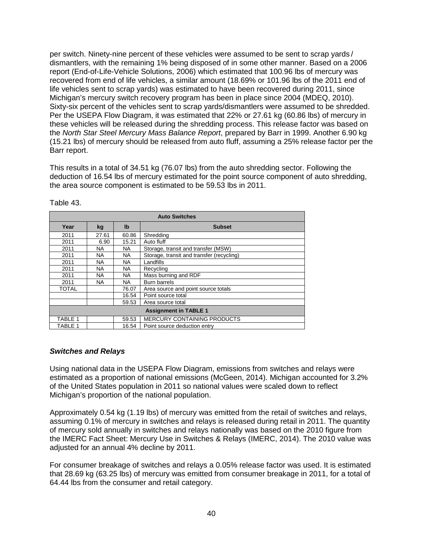per switch. Ninety-nine percent of these vehicles were assumed to be sent to scrap yards / dismantlers, with the remaining 1% being disposed of in some other manner. Based on a 2006 report (End-of-Life-Vehicle Solutions, 2006) which estimated that 100.96 lbs of mercury was recovered from end of life vehicles, a similar amount (18.69% or 101.96 lbs of the 2011 end of life vehicles sent to scrap yards) was estimated to have been recovered during 2011, since Michigan's mercury switch recovery program has been in place since 2004 (MDEQ, 2010). Sixty-six percent of the vehicles sent to scrap yards/dismantlers were assumed to be shredded. Per the USEPA Flow Diagram, it was estimated that 22% or 27.61 kg (60.86 lbs) of mercury in these vehicles will be released during the shredding process. This release factor was based on the *North Star Steel Mercury Mass Balance Report*, prepared by Barr in 1999. Another 6.90 kg (15.21 lbs) of mercury should be released from auto fluff, assuming a 25% release factor per the Barr report.

This results in a total of 34.51 kg (76.07 lbs) from the auto shredding sector. Following the deduction of 16.54 lbs of mercury estimated for the point source component of auto shredding, the area source component is estimated to be 59.53 lbs in 2011.

| <b>Auto Switches</b>         |           |           |                                           |  |
|------------------------------|-----------|-----------|-------------------------------------------|--|
| Year                         | kg        | Ib        | <b>Subset</b>                             |  |
| 2011                         | 27.61     | 60.86     | Shredding                                 |  |
| 2011                         | 6.90      | 15.21     | Auto fluff                                |  |
| 2011                         | <b>NA</b> | NA.       | Storage, transit and transfer (MSW)       |  |
| 2011                         | <b>NA</b> | <b>NA</b> | Storage, transit and transfer (recycling) |  |
| 2011                         | ΝA        | <b>NA</b> | Landfills                                 |  |
| 2011                         | <b>NA</b> | <b>NA</b> | Recycling                                 |  |
| 2011                         | <b>NA</b> | <b>NA</b> | Mass burning and RDF                      |  |
| 2011                         | <b>NA</b> | <b>NA</b> | Burn barrels                              |  |
| TOTAL                        |           | 76.07     | Area source and point source totals       |  |
|                              |           | 16.54     | Point source total                        |  |
|                              |           | 59.53     | Area source total                         |  |
| <b>Assignment in TABLE 1</b> |           |           |                                           |  |
| TABLE 1                      |           | 59.53     | <b>MERCURY CONTAINING PRODUCTS</b>        |  |
| TABLE 1                      |           | 16.54     | Point source deduction entry              |  |

Table 43.

#### <span id="page-42-0"></span>*Switches and Relays*

Using national data in the USEPA Flow Diagram, emissions from switches and relays were estimated as a proportion of national emissions (McGeen, 2014). Michigan accounted for 3.2% of the United States population in 2011 so national values were scaled down to reflect Michigan's proportion of the national population.

Approximately 0.54 kg (1.19 lbs) of mercury was emitted from the retail of switches and relays, assuming 0.1% of mercury in switches and relays is released during retail in 2011. The quantity of mercury sold annually in switches and relays nationally was based on the 2010 figure from the IMERC Fact Sheet: Mercury Use in Switches & Relays (IMERC, 2014). The 2010 value was adjusted for an annual 4% decline by 2011.

For consumer breakage of switches and relays a 0.05% release factor was used. It is estimated that 28.69 kg (63.25 lbs) of mercury was emitted from consumer breakage in 2011, for a total of 64.44 lbs from the consumer and retail category.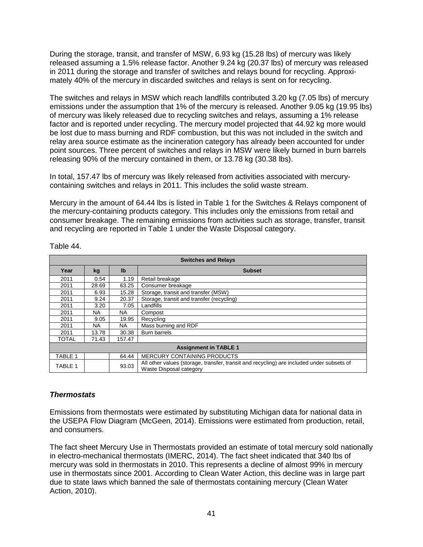During the storage, transit, and transfer of MSW, 6.93 kg (15.28 lbs) of mercury was likely released assuming a 1.5% release factor. Another 9.24 kg (20.37 lbs) of mercury was released in 2011 during the storage and transfer of switches and relays bound for recycling. Approximately 40% of the mercury in discarded switches and relays is sent on for recycling.

The switches and relays in MSW which reach landfills contributed 3.20 kg (7.05 lbs) of mercury emissions under the assumption that 1% of the mercury is released. Another 9.05 kg (19.95 lbs) of mercury was likely released due to recycling switches and relays, assuming a 1% release factor and is reported under recycling. The mercury model projected that 44.92 kg more would be lost due to mass burning and RDF combustion, but this was not included in the switch and relay area source estimate as the incineration category has already been accounted for under point sources. Three percent of switches and relays in MSW were likely burned in burn barrels releasing 90% of the mercury contained in them, or 13.78 kg (30.38 lbs).

In total, 157.47 lbs of mercury was likely released from activities associated with mercurycontaining switches and relays in 2011. This includes the solid waste stream.

Mercury in the amount of 64.44 lbs is listed in Table 1 for the Switches & Relays component of the mercury-containing products category. This includes only the emissions from retail and consumer breakage. The remaining emissions from activities such as storage, transfer, transit and recycling are reported in Table 1 under the Waste Disposal category.

| <b>Switches and Relays</b> |                              |                |                                                                                                                      |  |  |
|----------------------------|------------------------------|----------------|----------------------------------------------------------------------------------------------------------------------|--|--|
| Year                       | kg                           | I <sub>b</sub> | <b>Subset</b>                                                                                                        |  |  |
| 2011                       | 0.54                         | 1.19           | Retail breakage                                                                                                      |  |  |
| 2011                       | 28.69                        | 63.25          | Consumer breakage                                                                                                    |  |  |
| 2011                       | 6.93                         | 15.28          | Storage, transit and transfer (MSW)                                                                                  |  |  |
| 2011                       | 9.24                         | 20.37          | Storage, transit and transfer (recycling)                                                                            |  |  |
| 2011                       | 3.20                         | 7.05           | Landfills                                                                                                            |  |  |
| 2011                       | NA.                          | <b>NA</b>      | Compost                                                                                                              |  |  |
| 2011                       | 9.05                         | 19.95          | Recycling                                                                                                            |  |  |
| 2011                       | NA.                          | NA             | Mass burning and RDF                                                                                                 |  |  |
| 2011                       | 13.78                        | 30.38          | <b>Burn barrels</b>                                                                                                  |  |  |
| <b>TOTAL</b>               | 71.43                        | 157.47         |                                                                                                                      |  |  |
|                            | <b>Assignment in TABLE 1</b> |                |                                                                                                                      |  |  |
| TABLE 1                    |                              | 64.44          | <b>MERCURY CONTAINING PRODUCTS</b>                                                                                   |  |  |
| TABLE 1                    |                              | 93.03          | All other values (storage, transfer, transit and recycling) are included under subsets of<br>Waste Disposal category |  |  |

Table 44.

# <span id="page-43-0"></span>*Thermostats*

Emissions from thermostats were estimated by substituting Michigan data for national data in the USEPA Flow Diagram (McGeen, 2014). Emissions were estimated from production, retail, and consumers.

The fact sheet Mercury Use in Thermostats provided an estimate of total mercury sold nationally in electro-mechanical thermostats (IMERC, 2014). The fact sheet indicated that 340 lbs of mercury was sold in thermostats in 2010. This represents a decline of almost 99% in mercury use in thermostats since 2001. According to Clean Water Action, this decline was in large part due to state laws which banned the sale of thermostats containing mercury (Clean Water Action, 2010).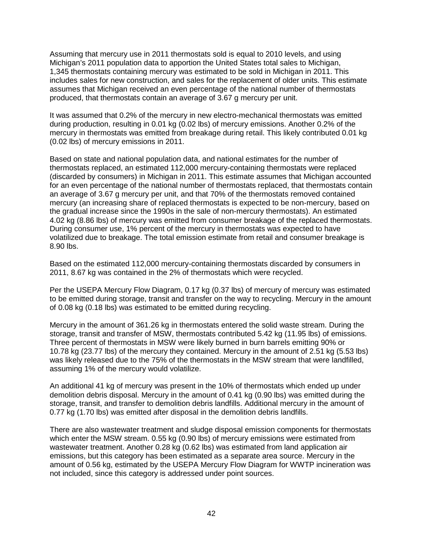Assuming that mercury use in 2011 thermostats sold is equal to 2010 levels, and using Michigan's 2011 population data to apportion the United States total sales to Michigan, 1,345 thermostats containing mercury was estimated to be sold in Michigan in 2011. This includes sales for new construction, and sales for the replacement of older units. This estimate assumes that Michigan received an even percentage of the national number of thermostats produced, that thermostats contain an average of 3.67 g mercury per unit.

It was assumed that 0.2% of the mercury in new electro-mechanical thermostats was emitted during production, resulting in 0.01 kg (0.02 lbs) of mercury emissions. Another 0.2% of the mercury in thermostats was emitted from breakage during retail. This likely contributed 0.01 kg (0.02 lbs) of mercury emissions in 2011.

Based on state and national population data, and national estimates for the number of thermostats replaced, an estimated 112,000 mercury-containing thermostats were replaced (discarded by consumers) in Michigan in 2011. This estimate assumes that Michigan accounted for an even percentage of the national number of thermostats replaced, that thermostats contain an average of 3.67 g mercury per unit, and that 70% of the thermostats removed contained mercury (an increasing share of replaced thermostats is expected to be non-mercury, based on the gradual increase since the 1990s in the sale of non-mercury thermostats). An estimated 4.02 kg (8.86 lbs) of mercury was emitted from consumer breakage of the replaced thermostats. During consumer use, 1% percent of the mercury in thermostats was expected to have volatilized due to breakage. The total emission estimate from retail and consumer breakage is 8.90 lbs.

Based on the estimated 112,000 mercury-containing thermostats discarded by consumers in 2011, 8.67 kg was contained in the 2% of thermostats which were recycled.

Per the USEPA Mercury Flow Diagram, 0.17 kg (0.37 lbs) of mercury of mercury was estimated to be emitted during storage, transit and transfer on the way to recycling. Mercury in the amount of 0.08 kg (0.18 lbs) was estimated to be emitted during recycling.

Mercury in the amount of 361.26 kg in thermostats entered the solid waste stream. During the storage, transit and transfer of MSW, thermostats contributed 5.42 kg (11.95 lbs) of emissions. Three percent of thermostats in MSW were likely burned in burn barrels emitting 90% or 10.78 kg (23.77 lbs) of the mercury they contained. Mercury in the amount of 2.51 kg (5.53 lbs) was likely released due to the 75% of the thermostats in the MSW stream that were landfilled, assuming 1% of the mercury would volatilize.

An additional 41 kg of mercury was present in the 10% of thermostats which ended up under demolition debris disposal. Mercury in the amount of 0.41 kg (0.90 lbs) was emitted during the storage, transit, and transfer to demolition debris landfills. Additional mercury in the amount of 0.77 kg (1.70 lbs) was emitted after disposal in the demolition debris landfills.

There are also wastewater treatment and sludge disposal emission components for thermostats which enter the MSW stream. 0.55 kg (0.90 lbs) of mercury emissions were estimated from wastewater treatment. Another 0.28 kg (0.62 lbs) was estimated from land application air emissions, but this category has been estimated as a separate area source. Mercury in the amount of 0.56 kg, estimated by the USEPA Mercury Flow Diagram for WWTP incineration was not included, since this category is addressed under point sources.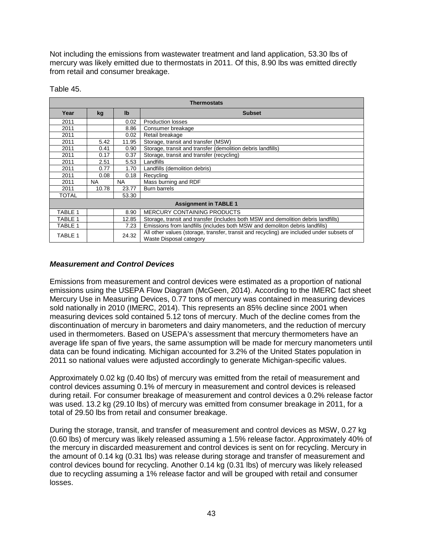Not including the emissions from wastewater treatment and land application, 53.30 lbs of mercury was likely emitted due to thermostats in 2011. Of this, 8.90 lbs was emitted directly from retail and consumer breakage.

| <b>Thermostats</b> |           |                |                                                                                                                      |  |
|--------------------|-----------|----------------|----------------------------------------------------------------------------------------------------------------------|--|
| Year               | kg        | I <sub>b</sub> | <b>Subset</b>                                                                                                        |  |
| 2011               |           | 0.02           | <b>Production losses</b>                                                                                             |  |
| 2011               |           | 8.86           | Consumer breakage                                                                                                    |  |
| 2011               |           | 0.02           | Retail breakage                                                                                                      |  |
| 2011               | 5.42      | 11.95          | Storage, transit and transfer (MSW)                                                                                  |  |
| 2011               | 0.41      | 0.90           | Storage, transit and transfer (demolition debris landfills)                                                          |  |
| 2011               | 0.17      | 0.37           | Storage, transit and transfer (recycling)                                                                            |  |
| 2011               | 2.51      | 5.53           | Landfills                                                                                                            |  |
| 2011               | 0.77      | 1.70           | Landfills (demolition debris)                                                                                        |  |
| 2011               | 0.08      | 0.18           | Recycling                                                                                                            |  |
| 2011               | <b>NA</b> | <b>NA</b>      | Mass burning and RDF                                                                                                 |  |
| 2011               | 10.78     | 23.77          | <b>Burn barrels</b>                                                                                                  |  |
| <b>TOTAL</b>       |           | 53.30          |                                                                                                                      |  |
|                    |           |                | <b>Assignment in TABLE 1</b>                                                                                         |  |
| TABLE 1            |           | 8.90           | <b>MERCURY CONTAINING PRODUCTS</b>                                                                                   |  |
| TABLE 1            |           | 12.85          | Storage, transit and transfer (includes both MSW and demolition debris landfills)                                    |  |
| TABLE 1            |           | 7.23           | Emissions from landfills (includes both MSW and demoliton debris landfills)                                          |  |
| TABLE 1            |           | 24.32          | All other values (storage, transfer, transit and recycling) are included under subsets of<br>Waste Disposal category |  |

Table 45.

# <span id="page-45-0"></span>*Measurement and Control Devices*

Emissions from measurement and control devices were estimated as a proportion of national emissions using the USEPA Flow Diagram (McGeen, 2014). According to the IMERC fact sheet Mercury Use in Measuring Devices, 0.77 tons of mercury was contained in measuring devices sold nationally in 2010 (IMERC, 2014). This represents an 85% decline since 2001 when measuring devices sold contained 5.12 tons of mercury. Much of the decline comes from the discontinuation of mercury in barometers and dairy manometers, and the reduction of mercury used in thermometers. Based on USEPA's assessment that mercury thermometers have an average life span of five years, the same assumption will be made for mercury manometers until data can be found indicating*.* Michigan accounted for 3.2% of the United States population in 2011 so national values were adjusted accordingly to generate Michigan-specific values.

Approximately 0.02 kg (0.40 lbs) of mercury was emitted from the retail of measurement and control devices assuming 0.1% of mercury in measurement and control devices is released during retail. For consumer breakage of measurement and control devices a 0.2% release factor was used. 13.2 kg (29.10 lbs) of mercury was emitted from consumer breakage in 2011, for a total of 29.50 lbs from retail and consumer breakage.

During the storage, transit, and transfer of measurement and control devices as MSW, 0.27 kg (0.60 lbs) of mercury was likely released assuming a 1.5% release factor. Approximately 40% of the mercury in discarded measurement and control devices is sent on for recycling. Mercury in the amount of 0.14 kg (0.31 lbs) was release during storage and transfer of measurement and control devices bound for recycling. Another 0.14 kg (0.31 lbs) of mercury was likely released due to recycling assuming a 1% release factor and will be grouped with retail and consumer losses.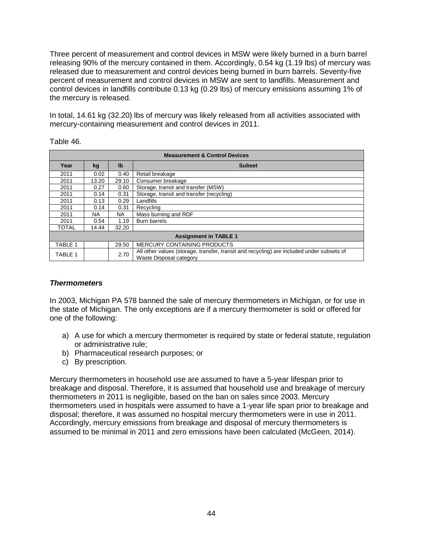Three percent of measurement and control devices in MSW were likely burned in a burn barrel releasing 90% of the mercury contained in them. Accordingly, 0.54 kg (1.19 lbs) of mercury was released due to measurement and control devices being burned in burn barrels. Seventy-five percent of measurement and control devices in MSW are sent to landfills. Measurement and control devices in landfills contribute 0.13 kg (0.29 lbs) of mercury emissions assuming 1% of the mercury is released.

In total, 14.61 kg (32.20) lbs of mercury was likely released from all activities associated with mercury-containing measurement and control devices in 2011.

Table 46.

| <b>Measurement &amp; Control Devices</b> |           |              |                                                                                                                      |  |
|------------------------------------------|-----------|--------------|----------------------------------------------------------------------------------------------------------------------|--|
| Year                                     | kg        | $\mathbf{I}$ | <b>Subset</b>                                                                                                        |  |
| 2011                                     | 0.02      | 0.40         | Retail breakage                                                                                                      |  |
| 2011                                     | 13.20     | 29.10        | Consumer breakage                                                                                                    |  |
| 2011                                     | 0.27      | 0.60         | Storage, transit and transfer (MSW)                                                                                  |  |
| 2011                                     | 0.14      | 0.31         | Storage, transit and transfer (recycling)                                                                            |  |
| 2011                                     | 0.13      | 0.29         | Landfills                                                                                                            |  |
| 2011                                     | 0.14      | 0.31         | Recycling                                                                                                            |  |
| 2011                                     | <b>NA</b> | <b>NA</b>    | Mass burning and RDF                                                                                                 |  |
| 2011                                     | 0.54      | 1.19         | <b>Burn barrels</b>                                                                                                  |  |
| <b>TOTAL</b>                             | 14.44     | 32.20        |                                                                                                                      |  |
| <b>Assignment in TABLE 1</b>             |           |              |                                                                                                                      |  |
| TABLE 1                                  |           | 29.50        | <b>MERCURY CONTAINING PRODUCTS</b>                                                                                   |  |
| TABLE 1                                  |           | 2.70         | All other values (storage, transfer, transit and recycling) are included under subsets of<br>Waste Disposal category |  |

#### <span id="page-46-0"></span>*Thermometers*

In 2003, Michigan PA 578 banned the sale of mercury thermometers in Michigan, or for use in the state of Michigan. The only exceptions are if a mercury thermometer is sold or offered for one of the following:

- a) A use for which a mercury thermometer is required by state or federal statute, regulation or administrative rule;
- b) Pharmaceutical research purposes; or
- c) By prescription.

Mercury thermometers in household use are assumed to have a 5-year lifespan prior to breakage and disposal. Therefore, it is assumed that household use and breakage of mercury thermometers in 2011 is negligible, based on the ban on sales since 2003. Mercury thermometers used in hospitals were assumed to have a 1-year life span prior to breakage and disposal; therefore, it was assumed no hospital mercury thermometers were in use in 2011. Accordingly, mercury emissions from breakage and disposal of mercury thermometers is assumed to be minimal in 2011 and zero emissions have been calculated (McGeen, 2014).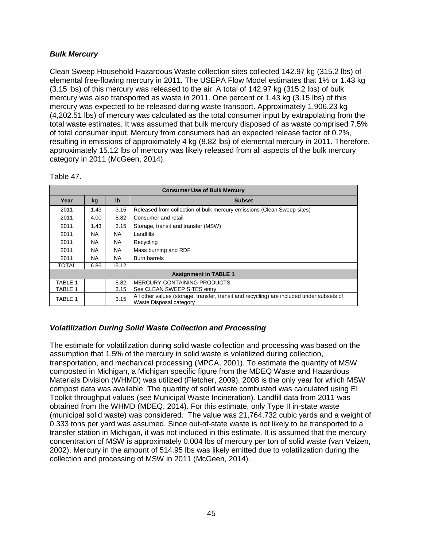# <span id="page-47-0"></span>*Bulk Mercury*

Clean Sweep Household Hazardous Waste collection sites collected 142.97 kg (315.2 lbs) of elemental free-flowing mercury in 2011. The USEPA Flow Model estimates that 1% or 1.43 kg (3.15 lbs) of this mercury was released to the air. A total of 142.97 kg (315.2 lbs) of bulk mercury was also transported as waste in 2011. One percent or 1.43 kg (3.15 lbs) of this mercury was expected to be released during waste transport. Approximately 1,906.23 kg (4,202.51 lbs) of mercury was calculated as the total consumer input by extrapolating from the total waste estimates. It was assumed that bulk mercury disposed of as waste comprised 7.5% of total consumer input. Mercury from consumers had an expected release factor of 0.2%, resulting in emissions of approximately 4 kg (8.82 lbs) of elemental mercury in 2011. Therefore, approximately 15.12 lbs of mercury was likely released from all aspects of the bulk mercury category in 2011 (McGeen, 2014).

| <b>Consumer Use of Bulk Mercury</b> |           |                |                                                                                                                      |  |
|-------------------------------------|-----------|----------------|----------------------------------------------------------------------------------------------------------------------|--|
| Year                                | kg        | I <sub>b</sub> | <b>Subset</b>                                                                                                        |  |
| 2011                                | 1.43      | 3.15           | Released from collection of bulk mercury emissions (Clean Sweep sites)                                               |  |
| 2011                                | 4.00      | 8.82           | Consumer and retail                                                                                                  |  |
| 2011                                | 1.43      | 3.15           | Storage, transit and transfer (MSW)                                                                                  |  |
| 2011                                | NA.       | NA.            | Landfills                                                                                                            |  |
| 2011                                | <b>NA</b> | <b>NA</b>      | Recycling                                                                                                            |  |
| 2011                                | <b>NA</b> | <b>NA</b>      | Mass burning and RDF                                                                                                 |  |
| 2011                                | <b>NA</b> | <b>NA</b>      | Burn barrels                                                                                                         |  |
| <b>TOTAL</b>                        | 6.86      | 15.12          |                                                                                                                      |  |
|                                     |           |                | <b>Assignment in TABLE 1</b>                                                                                         |  |
| TABLE 1                             |           | 8.82           | <b>MERCURY CONTAINING PRODUCTS</b>                                                                                   |  |
| TABLE 1                             |           | 3.15           | See CLEAN SWEEP SITES entry                                                                                          |  |
| TABLE 1                             |           | 3.15           | All other values (storage, transfer, transit and recycling) are included under subsets of<br>Waste Disposal category |  |

Table 47.

# <span id="page-47-1"></span>*Volatilization During Solid Waste Collection and Processing*

The estimate for volatilization during solid waste collection and processing was based on the assumption that 1.5% of the mercury in solid waste is volatilized during collection, transportation, and mechanical processing (MPCA, 2001). To estimate the quantity of MSW composted in Michigan, a Michigan specific figure from the MDEQ Waste and Hazardous Materials Division (WHMD) was utilized (Fletcher, 2009). 2008 is the only year for which MSW compost data was available. The quantity of solid waste combusted was calculated using EI Toolkit throughput values (see Municipal Waste Incineration). Landfill data from 2011 was obtained from the WHMD (MDEQ, 2014). For this estimate, only Type II in-state waste (municipal solid waste) was considered. The value was 21,764,732 cubic yards and a weight of 0.333 tons per yard was assumed. Since out-of-state waste is not likely to be transported to a transfer station in Michigan, it was not included in this estimate. It is assumed that the mercury concentration of MSW is approximately 0.004 lbs of mercury per ton of solid waste (van Veizen, 2002). Mercury in the amount of 514.95 lbs was likely emitted due to volatilization during the collection and processing of MSW in 2011 (McGeen, 2014).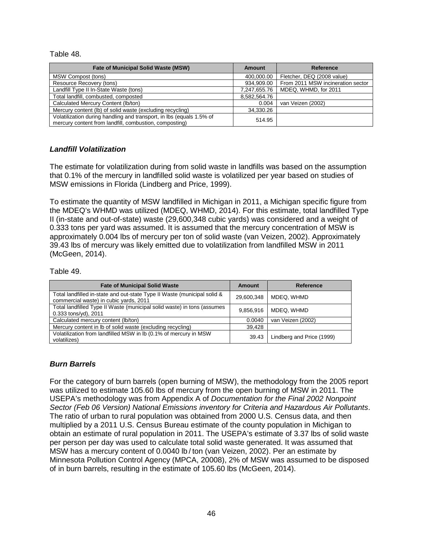#### Table 48.

| <b>Fate of Municipal Solid Waste (MSW)</b>                                                                                     | Amount       | Reference                         |
|--------------------------------------------------------------------------------------------------------------------------------|--------------|-----------------------------------|
| MSW Compost (tons)                                                                                                             | 400,000.00   | Fletcher, DEQ (2008 value)        |
| Resource Recovery (tons)                                                                                                       | 934,909.00   | From 2011 MSW incineration sector |
| Landfill Type II In-State Waste (tons)                                                                                         | 7,247,655.76 | MDEQ, WHMD, for 2011              |
| Total landfill, combusted, composted                                                                                           | 8,582,564.76 |                                   |
| Calculated Mercury Content (Ib/ton)                                                                                            | 0.004        | van Veizen (2002)                 |
| Mercury content (lb) of solid waste (excluding recycling)                                                                      | 34,330.26    |                                   |
| Volatilization during handling and transport, in lbs (equals 1.5% of<br>mercury content from landfill, combustion, composting) | 514.95       |                                   |

#### <span id="page-48-0"></span>*Landfill Volatilization*

The estimate for volatilization during from solid waste in landfills was based on the assumption that 0.1% of the mercury in landfilled solid waste is volatilized per year based on studies of MSW emissions in Florida (Lindberg and Price, 1999).

To estimate the quantity of MSW landfilled in Michigan in 2011, a Michigan specific figure from the MDEQ's WHMD was utilized (MDEQ, WHMD, 2014). For this estimate, total landfilled Type II (in-state and out-of-state) waste (29,600,348 cubic yards) was considered and a weight of 0.333 tons per yard was assumed. It is assumed that the mercury concentration of MSW is approximately 0.004 lbs of mercury per ton of solid waste (van Veizen, 2002). Approximately 39.43 lbs of mercury was likely emitted due to volatilization from landfilled MSW in 2011 (McGeen, 2014).

#### Table 49.

| <b>Fate of Municipal Solid Waste</b>                                                                               | Amount     | Reference                 |
|--------------------------------------------------------------------------------------------------------------------|------------|---------------------------|
| Total landfilled in-state and out-state Type II Waste (municipal solid &<br>commercial waste) in cubic yards, 2011 | 29,600,348 | MDEQ. WHMD                |
| Total landfilled Type II Waste (municipal solid waste) in tons (assumes<br>0.333 tons/yd), 2011                    | 9.856.916  | MDEQ, WHMD                |
| Calculated mercury content (lb/ton)                                                                                | 0.0040     | van Veizen (2002)         |
| Mercury content in Ib of solid waste (excluding recycling)                                                         | 39.428     |                           |
| Volatilization from landfilled MSW in Ib (0.1% of mercury in MSW<br>volatilizes)                                   | 39.43      | Lindberg and Price (1999) |

#### *Burn Barrels*

For the category of burn barrels (open burning of MSW), the methodology from the 2005 report was utilized to estimate 105.60 lbs of mercury from the open burning of MSW in 2011. The USEPA's methodology was from Appendix A of *Documentation for the Final 2002 Nonpoint Sector (Feb 06 Version) National Emissions inventory for Criteria and Hazardous Air Pollutants*. The ratio of urban to rural population was obtained from 2000 U.S. Census data, and then multiplied by a 2011 U.S. Census Bureau estimate of the county population in Michigan to obtain an estimate of rural population in 2011. The USEPA's estimate of 3.37 lbs of solid waste per person per day was used to calculate total solid waste generated. It was assumed that MSW has a mercury content of 0.0040 lb / ton (van Veizen, 2002). Per an estimate by Minnesota Pollution Control Agency (MPCA, 20008), 2% of MSW was assumed to be disposed of in burn barrels, resulting in the estimate of 105.60 lbs (McGeen, 2014).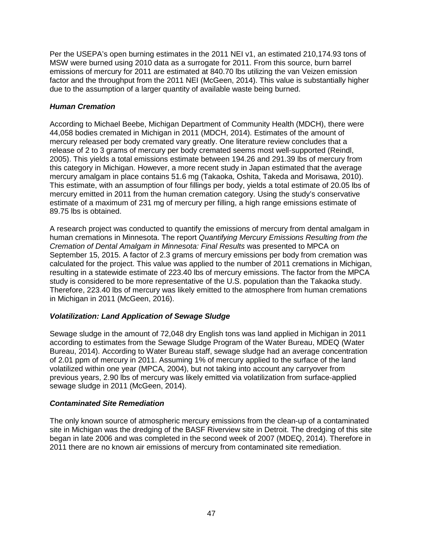Per the USEPA's open burning estimates in the 2011 NEI v1, an estimated 210,174.93 tons of MSW were burned using 2010 data as a surrogate for 2011. From this source, burn barrel emissions of mercury for 2011 are estimated at 840.70 lbs utilizing the van Veizen emission factor and the throughput from the 2011 NEI (McGeen, 2014). This value is substantially higher due to the assumption of a larger quantity of available waste being burned.

# <span id="page-49-0"></span>*Human Cremation*

According to Michael Beebe, Michigan Department of Community Health (MDCH), there were 44,058 bodies cremated in Michigan in 2011 (MDCH, 2014). Estimates of the amount of mercury released per body cremated vary greatly. One literature review concludes that a release of 2 to 3 grams of mercury per body cremated seems most well-supported (Reindl, 2005). This yields a total emissions estimate between 194.26 and 291.39 lbs of mercury from this category in Michigan. However, a more recent study in Japan estimated that the average mercury amalgam in place contains 51.6 mg (Takaoka, Oshita, Takeda and Morisawa, 2010). This estimate, with an assumption of four fillings per body, yields a total estimate of 20.05 lbs of mercury emitted in 2011 from the human cremation category. Using the study's conservative estimate of a maximum of 231 mg of mercury per filling, a high range emissions estimate of 89.75 lbs is obtained.

A research project was conducted to quantify the emissions of mercury from dental amalgam in human cremations in Minnesota. The report *Quantifying Mercury Emissions Resulting from the Cremation of Dental Amalgam in Minnesota: Final Results* was presented to MPCA on September 15, 2015. A factor of 2.3 grams of mercury emissions per body from cremation was calculated for the project. This value was applied to the number of 2011 cremations in Michigan, resulting in a statewide estimate of 223.40 lbs of mercury emissions. The factor from the MPCA study is considered to be more representative of the U.S. population than the Takaoka study. Therefore, 223.40 lbs of mercury was likely emitted to the atmosphere from human cremations in Michigan in 2011 (McGeen, 2016).

# *Volatilization: Land Application of Sewage Sludge*

Sewage sludge in the amount of 72,048 dry English tons was land applied in Michigan in 2011 according to estimates from the Sewage Sludge Program of the Water Bureau, MDEQ (Water Bureau, 2014). According to Water Bureau staff, sewage sludge had an average concentration of 2.01 ppm of mercury in 2011. Assuming 1% of mercury applied to the surface of the land volatilized within one year (MPCA, 2004), but not taking into account any carryover from previous years, 2.90 lbs of mercury was likely emitted via volatilization from surface-applied sewage sludge in 2011 (McGeen, 2014).

#### *Contaminated Site Remediation*

The only known source of atmospheric mercury emissions from the clean-up of a contaminated site in Michigan was the dredging of the BASF Riverview site in Detroit. The dredging of this site began in late 2006 and was completed in the second week of 2007 (MDEQ, 2014). Therefore in 2011 there are no known air emissions of mercury from contaminated site remediation.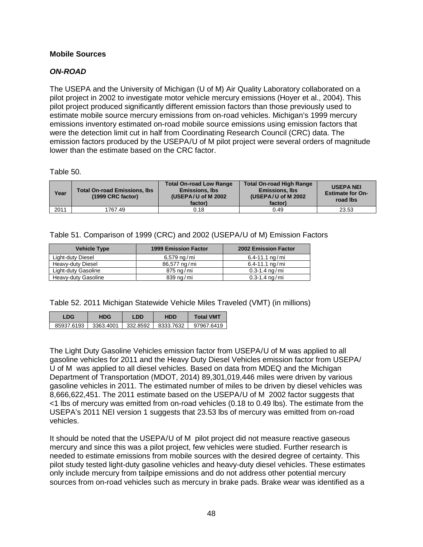# <span id="page-50-0"></span>**Mobile Sources**

# <span id="page-50-1"></span>*ON-ROAD*

The USEPA and the University of Michigan (U of M) Air Quality Laboratory collaborated on a pilot project in 2002 to investigate motor vehicle mercury emissions (Hoyer et al., 2004). This pilot project produced significantly different emission factors than those previously used to estimate mobile source mercury emissions from on-road vehicles. Michigan's 1999 mercury emissions inventory estimated on-road mobile source emissions using emission factors that were the detection limit cut in half from Coordinating Research Council (CRC) data. The emission factors produced by the USEPA/U of M pilot project were several orders of magnitude lower than the estimate based on the CRC factor.

Table 50.

| Year | <b>Total On-road Emissions, Ibs</b><br>(1999 CRC factor) | <b>Total On-road Low Range</b><br><b>Emissions, Ibs</b><br>(USEPA/U of M $2002$<br>factor) | <b>Total On-road High Range</b><br><b>Emissions, Ibs</b><br>(USEPA/U of M 2002)<br>factor) | <b>USEPA NEI</b><br><b>Estimate for On-</b><br>road lbs |
|------|----------------------------------------------------------|--------------------------------------------------------------------------------------------|--------------------------------------------------------------------------------------------|---------------------------------------------------------|
| 2011 | 1767.49                                                  | 0.18                                                                                       | 0.49                                                                                       | 23.53                                                   |

Table 51. Comparison of 1999 (CRC) and 2002 (USEPA/U of M) Emission Factors

| <b>Vehicle Type</b> | <b>1999 Emission Factor</b> | <b>2002 Emission Factor</b> |
|---------------------|-----------------------------|-----------------------------|
| Light-duty Diesel   | 6,579 ng/mi                 | 6.4-11.1 $\frac{ng}{mi}$    |
| Heavy-duty Diesel   | 86,577 ng/mi                | 6.4-11.1 $nq/mi$            |
| Light-duty Gasoline | 875 ng/mi                   | $0.3 - 1.4$ ng/mi           |
| Heavy-duty Gasoline | 839 ng/mi                   | $0.3 - 1.4$ ng/mi           |

Table 52. 2011 Michigan Statewide Vehicle Miles Traveled (VMT) (in millions)

| LDG        | HDG       | LDD      | <b>HDD</b> | Total VMT  |
|------------|-----------|----------|------------|------------|
| 85937.6193 | 3363.4001 | 332.8592 | 8333.7632  | 97967.6419 |

The Light Duty Gasoline Vehicles emission factor from USEPA/U of M was applied to all gasoline vehicles for 2011 and the Heavy Duty Diesel Vehicles emission factor from USEPA/ U of M was applied to all diesel vehicles. Based on data from MDEQ and the Michigan Department of Transportation (MDOT, 2014) 89,301,019,446 miles were driven by various gasoline vehicles in 2011. The estimated number of miles to be driven by diesel vehicles was 8,666,622,451. The 2011 estimate based on the USEPA/U of M 2002 factor suggests that <1 lbs of mercury was emitted from on-road vehicles (0.18 to 0.49 lbs). The estimate from the USEPA's 2011 NEI version 1 suggests that 23.53 lbs of mercury was emitted from on-road vehicles.

It should be noted that the USEPA/U of M pilot project did not measure reactive gaseous mercury and since this was a pilot project, few vehicles were studied. Further research is needed to estimate emissions from mobile sources with the desired degree of certainty. This pilot study tested light-duty gasoline vehicles and heavy-duty diesel vehicles. These estimates only include mercury from tailpipe emissions and do not address other potential mercury sources from on-road vehicles such as mercury in brake pads. Brake wear was identified as a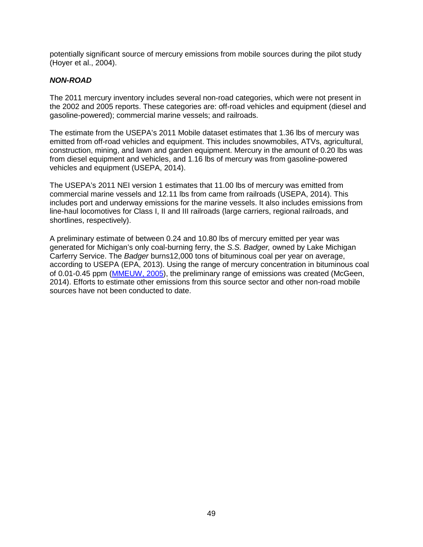potentially significant source of mercury emissions from mobile sources during the pilot study (Hoyer et al., 2004).

# <span id="page-51-0"></span>*NON-ROAD*

The 2011 mercury inventory includes several non-road categories, which were not present in the 2002 and 2005 reports. These categories are: off-road vehicles and equipment (diesel and gasoline-powered); commercial marine vessels; and railroads.

The estimate from the USEPA's 2011 Mobile dataset estimates that 1.36 lbs of mercury was emitted from off-road vehicles and equipment. This includes snowmobiles, ATVs, agricultural, construction, mining, and lawn and garden equipment. Mercury in the amount of 0.20 lbs was from diesel equipment and vehicles, and 1.16 lbs of mercury was from gasoline-powered vehicles and equipment (USEPA, 2014).

The USEPA's 2011 NEI version 1 estimates that 11.00 lbs of mercury was emitted from commercial marine vessels and 12.11 lbs from came from railroads (USEPA, 2014). This includes port and underway emissions for the marine vessels. It also includes emissions from line-haul locomotives for Class I, II and III railroads (large carriers, regional railroads, and shortlines, respectively).

A preliminary estimate of between 0.24 and 10.80 lbs of mercury emitted per year was generated for Michigan's only coal-burning ferry, the *S.S. Badger,* owned by Lake Michigan Carferry Service. The *Badger* burns12,000 tons of bituminous coal per year on average, according to USEPA (EPA, 2013). Using the range of mercury concentration in bituminous coal of 0.01-0.45 ppm [\(MMEUW, 2005\)](http://www.michigan.gov/documents/deq/deq-aqd-air-aqe-mercury-report_272074_7.pdf), the preliminary range of emissions was created (McGeen, 2014). Efforts to estimate other emissions from this source sector and other non-road mobile sources have not been conducted to date.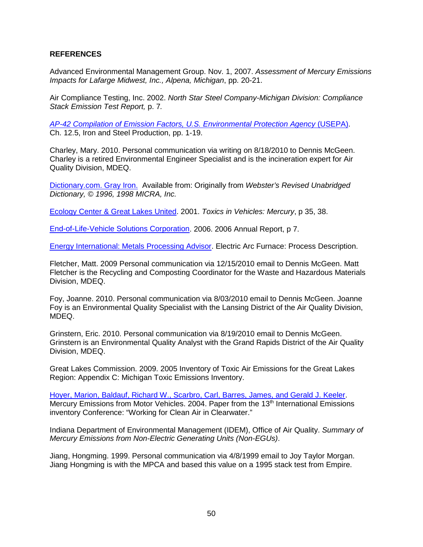#### <span id="page-52-0"></span>**REFERENCES**

Advanced Environmental Management Group. Nov. 1, 2007. *Assessment of Mercury Emissions Impacts for Lafarge Midwest, Inc., Alpena, Michigan*, pp. 20-21.

Air Compliance Testing, Inc. 2002. *North Star Steel Company-Michigan Division: Compliance Stack Emission Test Report,* p. 7*.* 

*[AP-42 Compilation of Emission Factors, U.S. Environmental Protection Agency](http://www.epa.gov/ttn/chief/ap42/ch12/final/c12s0501.pdf)* (USEPA). Ch. 12.5, Iron and Steel Production, pp. 1-19.

Charley, Mary. 2010. Personal communication via writing on 8/18/2010 to Dennis McGeen. Charley is a retired Environmental Engineer Specialist and is the incineration expert for Air Quality Division, MDEQ.

[Dictionary.com. Gray Iron.](http://dictionary.reference.com/search?q=gray%20iron) Available from: Originally from *Webster's Revised Unabridged Dictionary, © 1996, 1998 MICRA, Inc.*

[Ecology Center & Great Lakes United.](https://archive.epa.gov/region5/mercury/web/pdf/toxicsinvehicles_mercury.pdf) 2001. *Toxics in Vehicles: Mercury*, p 35, 38.

[End-of-Life-Vehicle Solutions Corporation.](http://www.seas.columbia.edu/earth/RRC/documents/End-of-Life%20Vehicle%20Solutions%20Corporation,%20annual%20report%202006.pdf) 2006. 2006 Annual Report, p 7.

[Energy International: Metals Processing Advisor.](http://heattreatconsortium.com/metals-advisor/electric-arc-furnace/) Electric Arc Furnace: Process Description.

Fletcher, Matt. 2009 Personal communication via 12/15/2010 email to Dennis McGeen. Matt Fletcher is the Recycling and Composting Coordinator for the Waste and Hazardous Materials Division, MDEQ.

Foy, Joanne. 2010. Personal communication via 8/03/2010 email to Dennis McGeen. Joanne Foy is an Environmental Quality Specialist with the Lansing District of the Air Quality Division, MDEQ.

Grinstern, Eric. 2010. Personal communication via 8/19/2010 email to Dennis McGeen. Grinstern is an Environmental Quality Analyst with the Grand Rapids District of the Air Quality Division, MDEQ.

Great Lakes Commission. 2009. 2005 Inventory of Toxic Air Emissions for the Great Lakes Region: Appendix C: Michigan Toxic Emissions Inventory.

[Hoyer, Marion, Baldauf, Richard W., Scarbro, Carl, Barres, James, and Gerald J. Keeler.](http://citeseerx.ist.psu.edu/viewdoc/download;jsessionid=6C6FA335AB34AB27422930B1FF54C23A?doi=10.1.1.508.4571&rep=rep1&type=pdf) Mercury Emissions from Motor Vehicles. 2004. Paper from the 13<sup>th</sup> International Emissions inventory Conference: "Working for Clean Air in Clearwater."

Indiana Department of Environmental Management (IDEM), Office of Air Quality. *Summary of Mercury Emissions from Non-Electric Generating Units (Non-EGUs)*.

Jiang, Hongming. 1999. Personal communication via 4/8/1999 email to Joy Taylor Morgan. Jiang Hongming is with the MPCA and based this value on a 1995 stack test from Empire.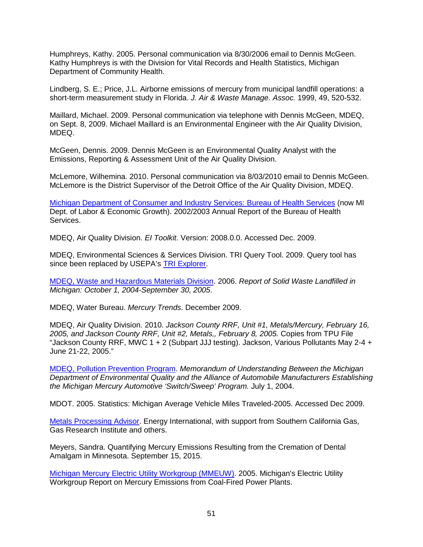Humphreys, Kathy. 2005. Personal communication via 8/30/2006 email to Dennis McGeen. Kathy Humphreys is with the Division for Vital Records and Health Statistics, Michigan Department of Community Health.

Lindberg, S. E.; Price, J.L. Airborne emissions of mercury from municipal landfill operations: a short-term measurement study in Florida. *J. Air & Waste Manage. Assoc.* 1999, 49, 520-532.

Maillard, Michael. 2009. Personal communication via telephone with Dennis McGeen, MDEQ, on Sept. 8, 2009. Michael Maillard is an Environmental Engineer with the Air Quality Division, MDEQ.

McGeen, Dennis. 2009. Dennis McGeen is an Environmental Quality Analyst with the Emissions, Reporting & Assessment Unit of the Air Quality Division.

McLemore, Wilhemina. 2010. Personal communication via 8/03/2010 email to Dennis McGeen. McLemore is the District Supervisor of the Detroit Office of the Air Quality Division, MDEQ.

[Michigan Department of Consumer and Industry Services: Bureau of Health Services](http://www.michigan.gov/documents/mdch_bhs2003AnnualReport_117627_7.pdf) (now MI Dept. of Labor & Economic Growth). 2002/2003 Annual Report of the Bureau of Health Services.

MDEQ, Air Quality Division. *EI Toolkit*. Version: 2008.0.0. Accessed Dec. 2009.

MDEQ, Environmental Sciences & Services Division. TRI Query Tool. 2009. Query tool has since been replaced by USEPA's [TRI Explorer.](https://enviro.epa.gov/triexplorer/tri_release.chemical)

[MDEQ, Waste and Hazardous Materials Division.](http://www.michigan.gov/deq/0,1607,7-135-3312_4123-47581--,00.html) 2006. *Report of Solid Waste Landfilled in Michigan: October 1, 2004-September 30, 2005*.

MDEQ, Water Bureau. *Mercury Trends*. December 2009.

MDEQ, Air Quality Division. 2010. *Jackson County RRF, Unit #1, Metals/Mercury, February 16, 2005, and Jackson County RRF, Unit #2, Metals,, February 8, 2005.* Copies from TPU File "Jackson County RRF, MWC 1 + 2 (Subpart JJJ testing). Jackson, Various Pollutants May 2-4 + June 21-22, 2005."

[MDEQ, Pollution Prevention Program.](https://www.michigan.gov/documents/deq/deq-ess-p2-mercury-switchsweepmou_306168_7.pdf) *Memorandum of Understanding Between the Michigan Department of Environmental Quality and the Alliance of Automobile Manufacturers Establishing the Michigan Mercury Automotive 'Switch/Sweep' Program.* July 1, 2004.

MDOT. 2005. Statistics: Michigan Average Vehicle Miles Traveled-2005. Accessed Dec 2009.

[Metals Processing Advisor.](http://heattreatconsortium.com/metals-advisor/electric-arc-furnace/) Energy International, with support from Southern California Gas, Gas Research Institute and others.

Meyers, Sandra. Quantifying Mercury Emissions Resulting from the Cremation of Dental Amalgam in Minnesota. September 15, 2015.

[Michigan Mercury Electric Utility Workgroup \(MMEUW\).](http://www.michigan.gov/documents/deq/deq-aqd-air-aqe-mercury-report_272074_7.pdf) 2005. Michigan's Electric Utility Workgroup Report on Mercury Emissions from Coal-Fired Power Plants.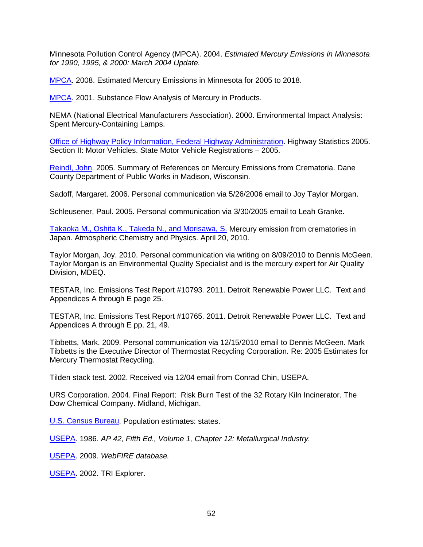Minnesota Pollution Control Agency (MPCA). 2004. *Estimated Mercury Emissions in Minnesota for 1990, 1995, & 2000: March 2004 Update.*

[MPCA.](https://www.pca.state.mn.us/sites/default/files/wq-iw1-21.pdf) 2008. Estimated Mercury Emissions in Minnesota for 2005 to 2018.

[MPCA.](https://www.pca.state.mn.us/sites/default/files/hg-substance.pdf) 2001. Substance Flow Analysis of Mercury in Products.

NEMA (National Electrical Manufacturers Association). 2000. Environmental Impact Analysis: Spent Mercury-Containing Lamps.

[Office of Highway Policy Information, Federal Highway Administration.](http://www.fhwa.dot.gov/policy/ohim/hs05/xls/mv1.xls) Highway Statistics 2005. Section II: Motor Vehicles. State Motor Vehicle Registrations – 2005.

[Reindl, John.](https://healthandenvironment.net/uploads-old/Mercury_Emissions_Crematoria.pdf) 2005. Summary of References on Mercury Emissions from Crematoria. Dane County Department of Public Works in Madison, Wisconsin.

Sadoff, Margaret. 2006. Personal communication via 5/26/2006 email to Joy Taylor Morgan.

Schleusener, Paul. 2005. Personal communication via 3/30/2005 email to Leah Granke.

[Takaoka M., Oshita K., Takeda N., and Morisawa, S.](http://www.atmos-chem-phys.net/10/3665/2010/acp-10-3665-2010.pdf) Mercury emission from crematories in Japan. Atmospheric Chemistry and Physics. April 20, 2010.

Taylor Morgan, Joy. 2010. Personal communication via writing on 8/09/2010 to Dennis McGeen. Taylor Morgan is an Environmental Quality Specialist and is the mercury expert for Air Quality Division, MDEQ.

TESTAR, Inc. Emissions Test Report #10793. 2011. Detroit Renewable Power LLC. Text and Appendices A through E page 25.

TESTAR, Inc. Emissions Test Report #10765. 2011. Detroit Renewable Power LLC. Text and Appendices A through E pp. 21, 49.

Tibbetts, Mark. 2009. Personal communication via 12/15/2010 email to Dennis McGeen. Mark Tibbetts is the Executive Director of Thermostat Recycling Corporation. Re: 2005 Estimates for Mercury Thermostat Recycling.

Tilden stack test. 2002. Received via 12/04 email from Conrad Chin, USEPA.

URS Corporation. 2004. Final Report: Risk Burn Test of the 32 Rotary Kiln Incinerator. The Dow Chemical Company. Midland, Michigan.

[U.S. Census Bureau.](http://www.census.gov/programs-surveys/popest.html) Population estimates: states.

[USEPA.](http://www.epa.gov/ttn/chief/ap42/ch12/index.html) 1986. *AP 42, Fifth Ed., Volume 1, Chapter 12: Metallurgical Industry.* 

[USEPA.](https://cfpub.epa.gov/webfire/) 2009. *WebFIRE database.*

[USEPA.](https://enviro.epa.gov/triexplorer/tri_release.chemical) 2002. TRI Explorer.